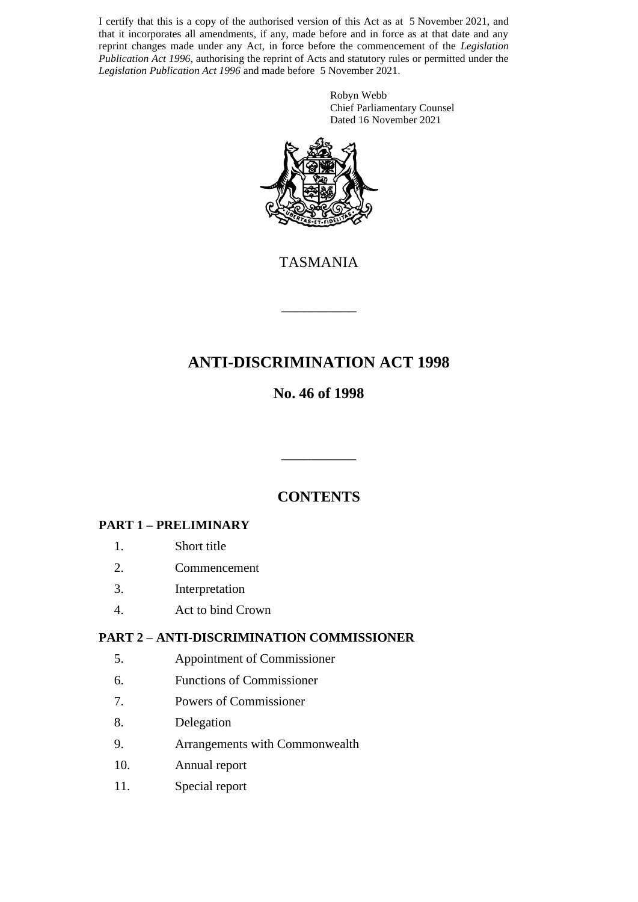I certify that this is a copy of the authorised version of this Act as at 5 November 2021, and that it incorporates all amendments, if any, made before and in force as at that date and any reprint changes made under any Act, in force before the commencement of the *Legislation Publication Act 1996*, authorising the reprint of Acts and statutory rules or permitted under the *Legislation Publication Act 1996* and made before 5 November 2021.

> Robyn Webb Chief Parliamentary Counsel Dated 16 November 2021



TASMANIA

\_\_\_\_\_\_\_\_\_\_

# **ANTI-DISCRIMINATION ACT 1998**

# **No. 46 of 1998**

# **CONTENTS**

\_\_\_\_\_\_\_\_\_\_

## **PART 1 – PRELIMINARY**

- 1. Short title
- 2. Commencement
- 3. Interpretation
- 4. Act to bind Crown

## **PART 2 – ANTI-DISCRIMINATION COMMISSIONER**

- 5. Appointment of Commissioner
- 6. Functions of Commissioner
- 7. Powers of Commissioner
- 8. Delegation
- 9. Arrangements with Commonwealth
- 10. Annual report
- 11. Special report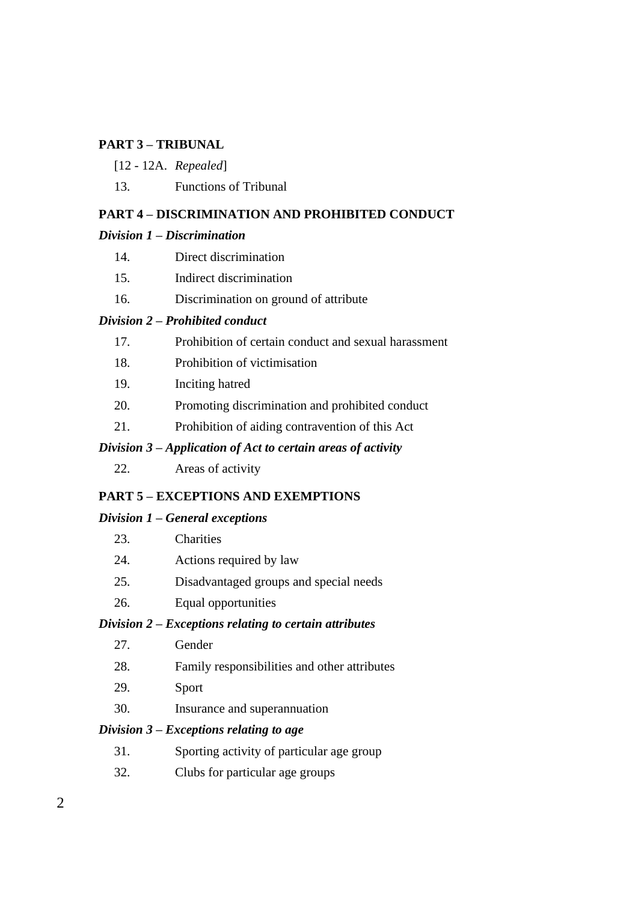#### **PART 3 – TRIBUNAL**

- [12 12A. *Repealed*]
- 13. Functions of Tribunal

#### **PART 4 – DISCRIMINATION AND PROHIBITED CONDUCT**

#### *Division 1 – Discrimination*

- 14. Direct discrimination
- 15. Indirect discrimination
- 16. Discrimination on ground of attribute

#### *Division 2 – Prohibited conduct*

- 17. Prohibition of certain conduct and sexual harassment
- 18. Prohibition of victimisation
- 19. Inciting hatred
- 20. Promoting discrimination and prohibited conduct
- 21. Prohibition of aiding contravention of this Act

#### *Division 3 – Application of Act to certain areas of activity*

22. Areas of activity

#### **PART 5 – EXCEPTIONS AND EXEMPTIONS**

#### *Division 1 – General exceptions*

| 23. | Charities |
|-----|-----------|
|     |           |

- 24. Actions required by law
- 25. Disadvantaged groups and special needs
- 26. Equal opportunities

#### *Division 2 – Exceptions relating to certain attributes*

- 27. Gender
- 28. Family responsibilities and other attributes
- 29. Sport
- 30. Insurance and superannuation

#### *Division 3 – Exceptions relating to age*

- 31. Sporting activity of particular age group
- 32. Clubs for particular age groups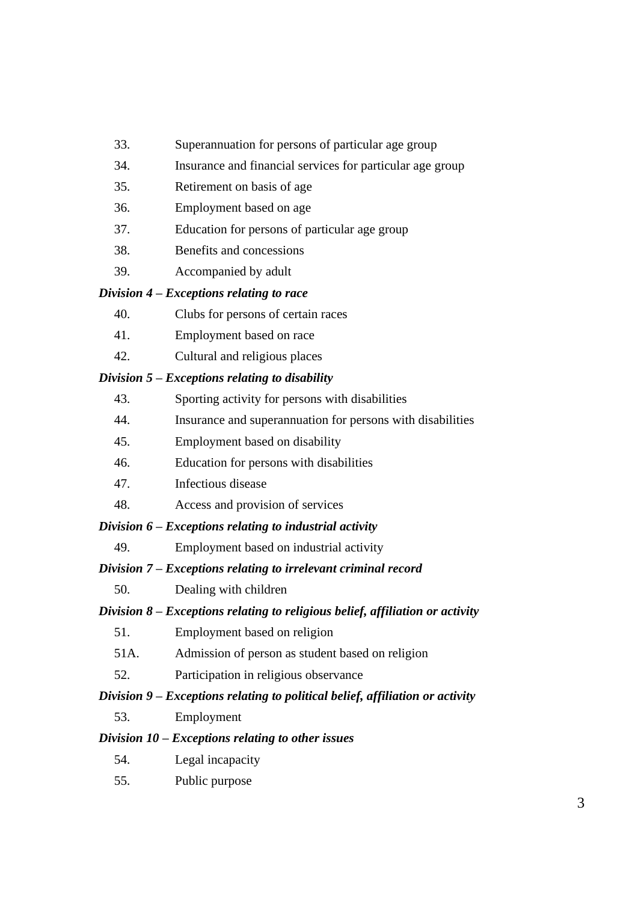- 33. Superannuation for persons of particular age group
- 34. Insurance and financial services for particular age group
- 35. Retirement on basis of age
- 36. Employment based on age
- 37. Education for persons of particular age group
- 38. Benefits and concessions
- 39. Accompanied by adult

#### *Division 4 – Exceptions relating to race*

- 40. Clubs for persons of certain races
- 41. Employment based on race
- 42. Cultural and religious places

### *Division 5 – Exceptions relating to disability*

- 43. Sporting activity for persons with disabilities
- 44. Insurance and superannuation for persons with disabilities
- 45. Employment based on disability
- 46. Education for persons with disabilities
- 47. Infectious disease
- 48. Access and provision of services

#### *Division 6 – Exceptions relating to industrial activity*

49. Employment based on industrial activity

## *Division 7 – Exceptions relating to irrelevant criminal record*

50. Dealing with children

## *Division 8 – Exceptions relating to religious belief, affiliation or activity*

- 51. Employment based on religion
- 51A. Admission of person as student based on religion
- 52. Participation in religious observance

## *Division 9 – Exceptions relating to political belief, affiliation or activity*

53. Employment

#### *Division 10 – Exceptions relating to other issues*

- 54. Legal incapacity
- 55. Public purpose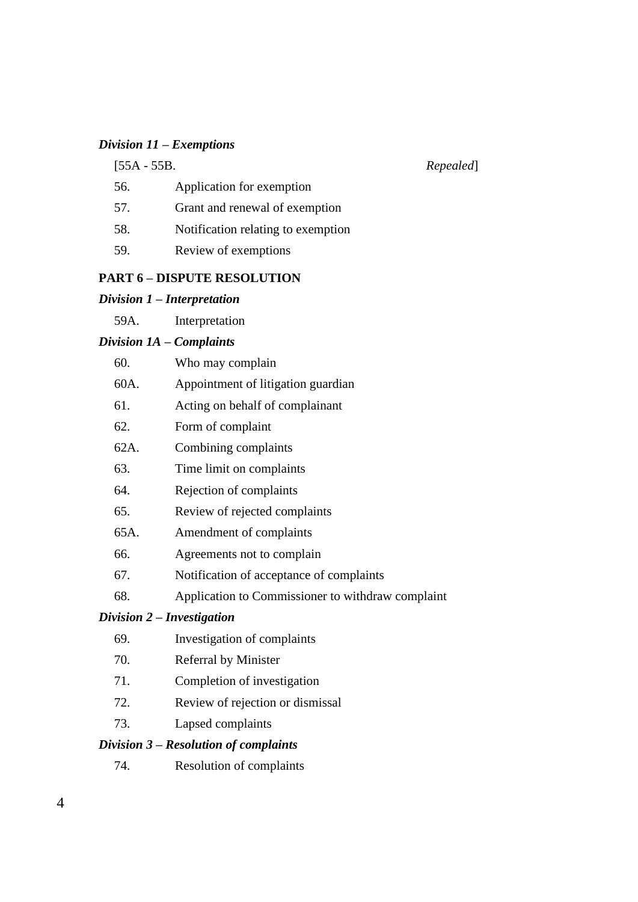#### *Division 11 – Exemptions*

[55A - 55B. *Repealed*]

- 56. Application for exemption
- 57. Grant and renewal of exemption
- 58. Notification relating to exemption
- 59. Review of exemptions

#### **PART 6 – DISPUTE RESOLUTION**

#### *Division 1 – Interpretation*

59A. Interpretation

#### *Division 1A – Complaints*

| 60. | Who may complain |
|-----|------------------|
|-----|------------------|

| 60A. | Appointment of litigation guardian |  |
|------|------------------------------------|--|
|      |                                    |  |

- 61. Acting on behalf of complainant
- 62. Form of complaint
- 62A. Combining complaints
- 63. Time limit on complaints
- 64. Rejection of complaints
- 65. Review of rejected complaints
- 65A. Amendment of complaints
- 66. Agreements not to complain
- 67. Notification of acceptance of complaints
- 68. Application to Commissioner to withdraw complaint

#### *Division 2 – Investigation*

- 69. Investigation of complaints
- 70. Referral by Minister
- 71. Completion of investigation
- 72. Review of rejection or dismissal
- 73. Lapsed complaints

#### *Division 3 – Resolution of complaints*

74. Resolution of complaints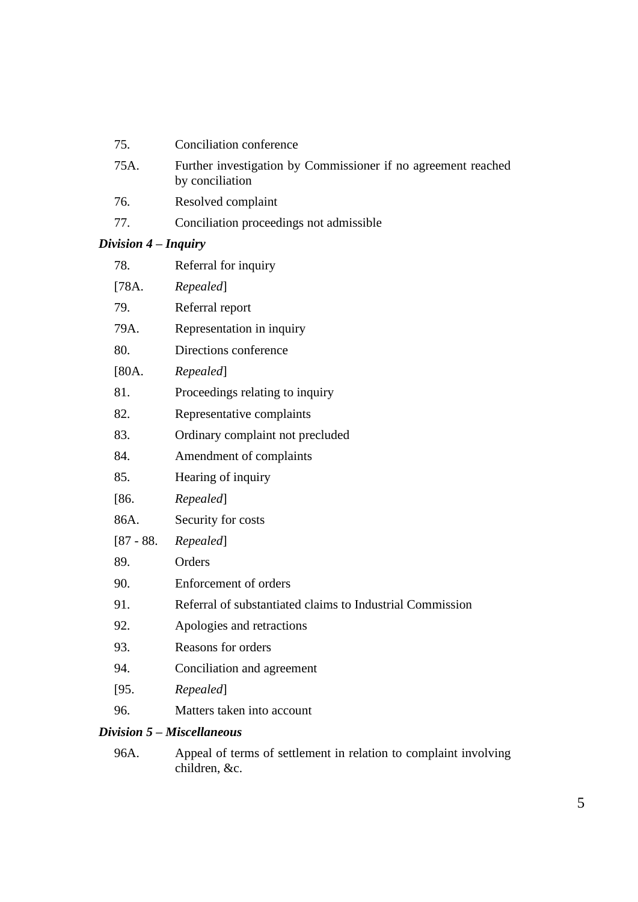- 75A. Further investigation by Commissioner if no agreement reached by conciliation
- 76. Resolved complaint
- 77. Conciliation proceedings not admissible

## *Division 4 – Inquiry*

| 78.   | Referral for inquiry                                      |
|-------|-----------------------------------------------------------|
| [78A. | Repealed]                                                 |
| 79.   | Referral report                                           |
| 79A.  | Representation in inquiry                                 |
| 80.   | Directions conference                                     |
| [80A. | Repealed]                                                 |
| 81.   | Proceedings relating to inquiry                           |
| 82.   | Representative complaints                                 |
| 83.   | Ordinary complaint not precluded                          |
| 84.   | Amendment of complaints                                   |
| 85.   | Hearing of inquiry                                        |
| [86.  | Repealed]                                                 |
| 86A.  | Security for costs                                        |
|       | $[87 - 88.$ Repealed]                                     |
| 89.   | Orders                                                    |
| 90.   | Enforcement of orders                                     |
| 91.   | Referral of substantiated claims to Industrial Commission |
| 92.   | Apologies and retractions                                 |
| 93.   | Reasons for orders                                        |
| 94.   | Conciliation and agreement                                |
| [95]  | Repealed]                                                 |
| 96.   | Matters taken into account                                |
|       | $\mathbf{z}$<br>- 77                                      |

#### *Division 5 – Miscellaneous*

96A. Appeal of terms of settlement in relation to complaint involving children, &c.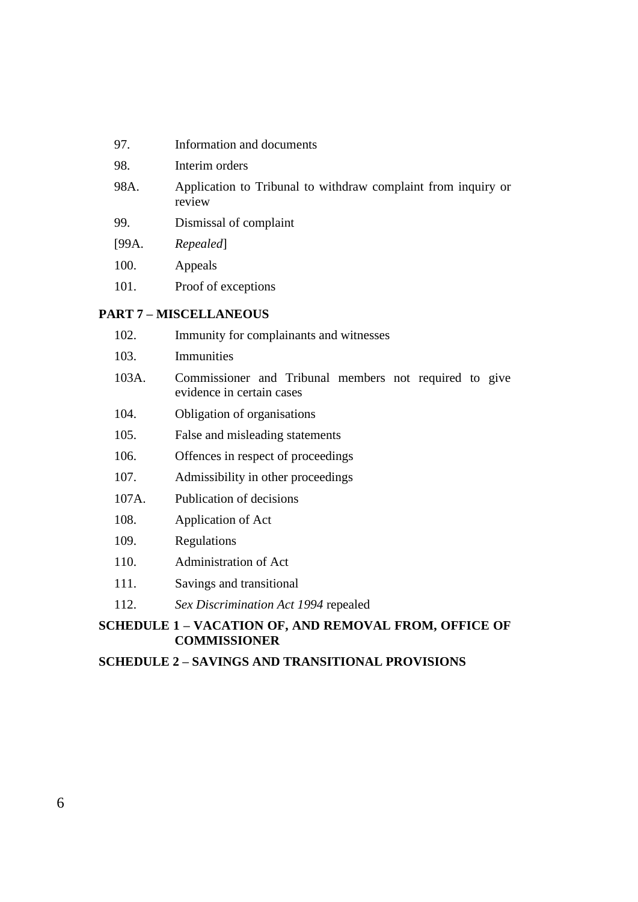| 97.   | Information and documents                                               |
|-------|-------------------------------------------------------------------------|
| 98.   | Interim orders                                                          |
| 98A.  | Application to Tribunal to withdraw complaint from inquiry or<br>review |
| 99.   | Dismissal of complaint                                                  |
| [99A. | Repealed                                                                |
| 100.  | Appeals                                                                 |
| 101.  | Proof of exceptions                                                     |
|       |                                                                         |

# **PART 7 – MISCELLANEOUS**

|                                                                              | 102.  | Immunity for complainants and witnesses                                             |
|------------------------------------------------------------------------------|-------|-------------------------------------------------------------------------------------|
|                                                                              | 103.  | Immunities                                                                          |
|                                                                              | 103A. | Commissioner and Tribunal members not required to give<br>evidence in certain cases |
|                                                                              | 104.  | Obligation of organisations                                                         |
|                                                                              | 105.  | False and misleading statements                                                     |
|                                                                              | 106.  | Offences in respect of proceedings                                                  |
|                                                                              | 107.  | Admissibility in other proceedings                                                  |
|                                                                              | 107A. | Publication of decisions                                                            |
|                                                                              | 108.  | Application of Act                                                                  |
|                                                                              | 109.  | Regulations                                                                         |
|                                                                              | 110.  | Administration of Act                                                               |
|                                                                              | 111.  | Savings and transitional                                                            |
|                                                                              | 112.  | Sex Discrimination Act 1994 repealed                                                |
| SCHEDULE 1 - VACATION OF, AND REMOVAL FROM, OFFICE OF<br><b>COMMISSIONER</b> |       |                                                                                     |

**SCHEDULE 2 – SAVINGS AND TRANSITIONAL PROVISIONS**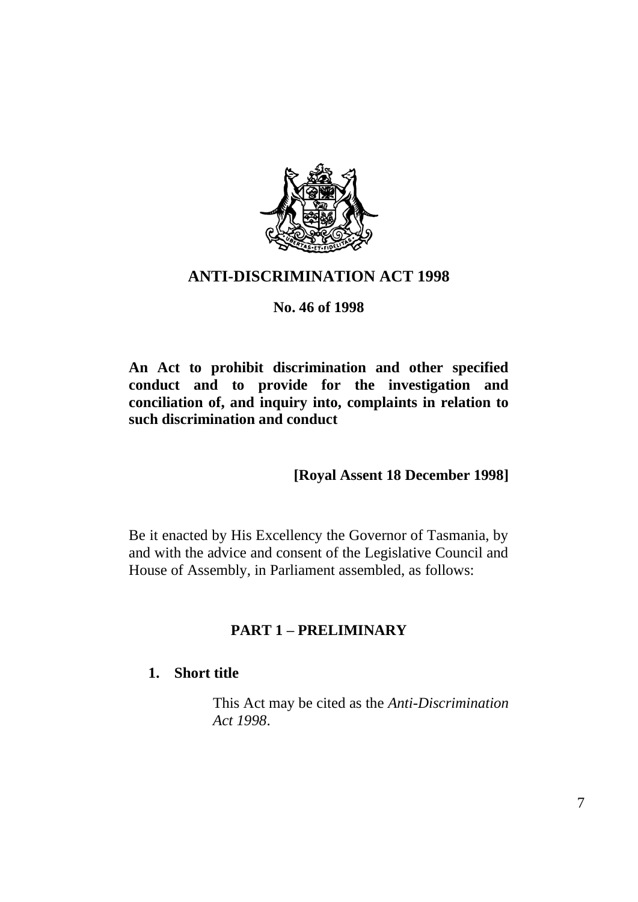

## **ANTI-DISCRIMINATION ACT 1998**

## **No. 46 of 1998**

**An Act to prohibit discrimination and other specified conduct and to provide for the investigation and conciliation of, and inquiry into, complaints in relation to such discrimination and conduct**

## **[Royal Assent 18 December 1998]**

Be it enacted by His Excellency the Governor of Tasmania, by and with the advice and consent of the Legislative Council and House of Assembly, in Parliament assembled, as follows:

# **PART 1 – PRELIMINARY**

## **1. Short title**

This Act may be cited as the *Anti-Discrimination Act 1998*.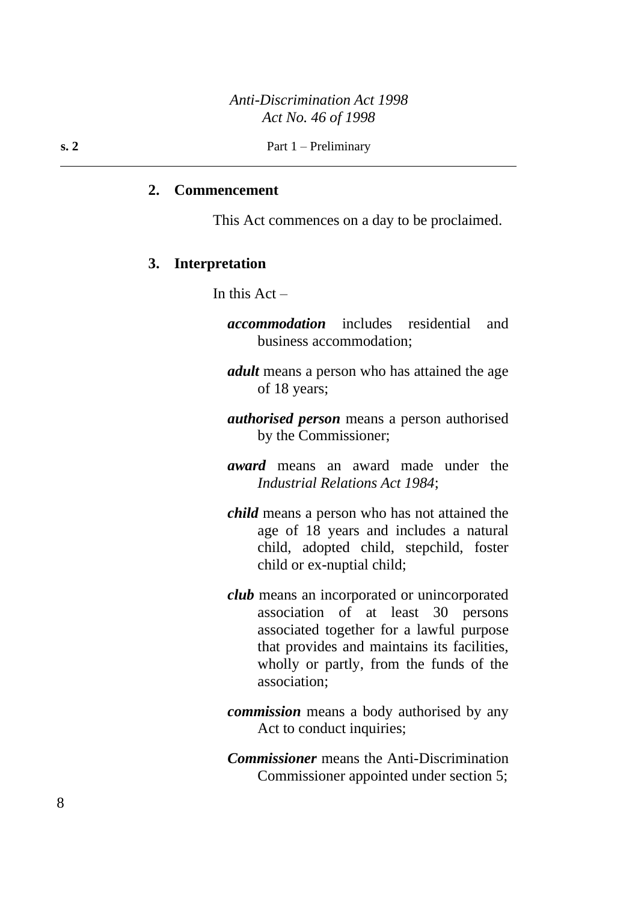**s. 2** Part  $1 -$  Preliminary

#### **2. Commencement**

This Act commences on a day to be proclaimed.

#### **3. Interpretation**

In this  $Act -$ 

- *accommodation* includes residential and business accommodation;
- *adult* means a person who has attained the age of 18 years;
- *authorised person* means a person authorised by the Commissioner;
- *award* means an award made under the *Industrial Relations Act 1984*;
- *child* means a person who has not attained the age of 18 years and includes a natural child, adopted child, stepchild, foster child or ex-nuptial child;
- *club* means an incorporated or unincorporated association of at least 30 persons associated together for a lawful purpose that provides and maintains its facilities, wholly or partly, from the funds of the association;
- *commission* means a body authorised by any Act to conduct inquiries;
- *Commissioner* means the Anti-Discrimination Commissioner appointed under section 5;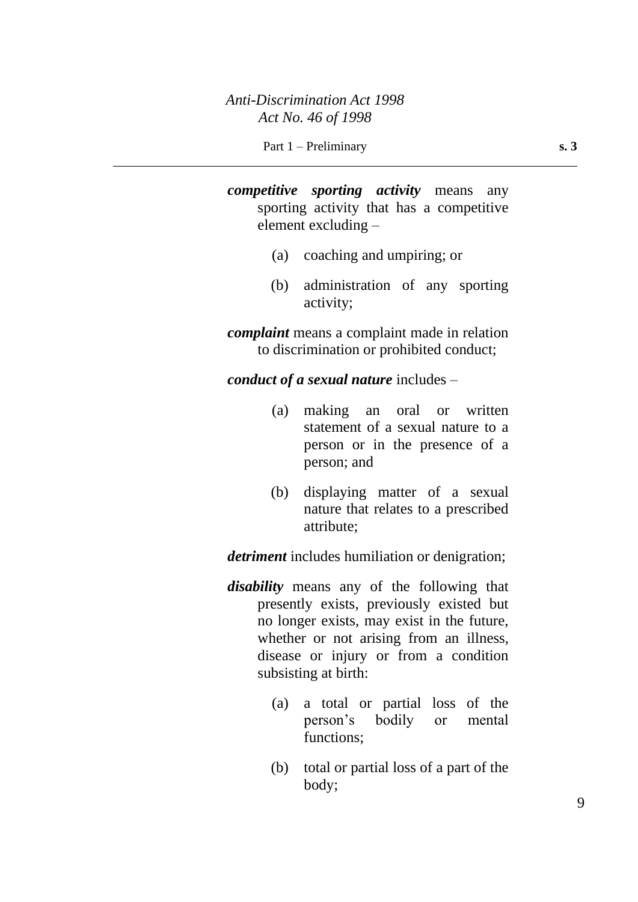*competitive sporting activity* means any sporting activity that has a competitive element excluding –

- (a) coaching and umpiring; or
- (b) administration of any sporting activity;

*complaint* means a complaint made in relation to discrimination or prohibited conduct;

*conduct of a sexual nature* includes –

- (a) making an oral or written statement of a sexual nature to a person or in the presence of a person; and
- (b) displaying matter of a sexual nature that relates to a prescribed attribute;

*detriment* includes humiliation or denigration;

- *disability* means any of the following that presently exists, previously existed but no longer exists, may exist in the future, whether or not arising from an illness, disease or injury or from a condition subsisting at birth:
	- (a) a total or partial loss of the person's bodily or mental functions;
	- (b) total or partial loss of a part of the body;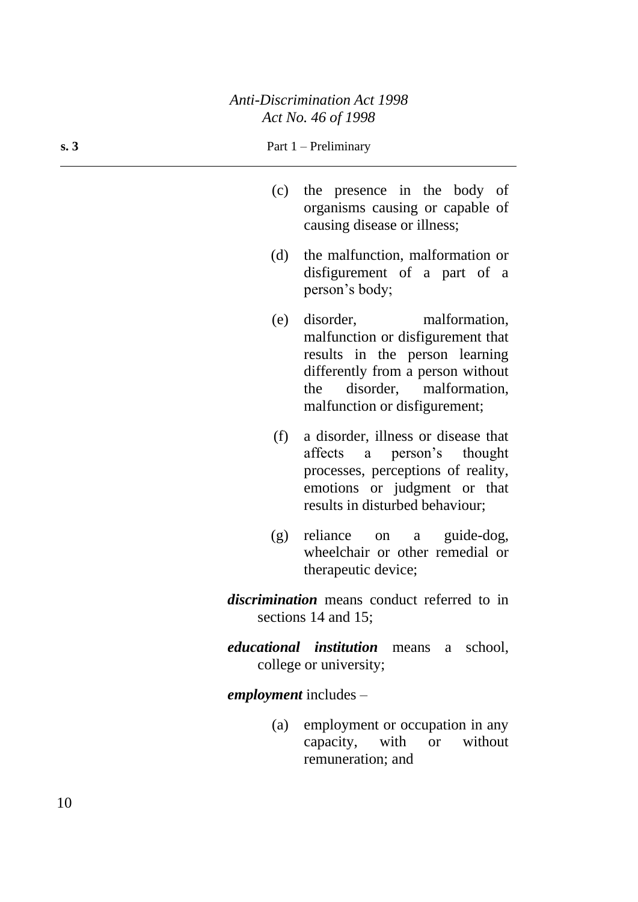#### **s. 3** Part 1 – Preliminary

- (c) the presence in the body of organisms causing or capable of causing disease or illness;
- (d) the malfunction, malformation or disfigurement of a part of a person's body;
- (e) disorder, malformation, malfunction or disfigurement that results in the person learning differently from a person without the disorder, malformation, malfunction or disfigurement;
- (f) a disorder, illness or disease that affects a person's thought processes, perceptions of reality, emotions or judgment or that results in disturbed behaviour;
- (g) reliance on a guide-dog, wheelchair or other remedial or therapeutic device;
- *discrimination* means conduct referred to in sections 14 and 15;
- *educational institution* means a school, college or university;

#### *employment* includes –

(a) employment or occupation in any capacity, with or without remuneration; and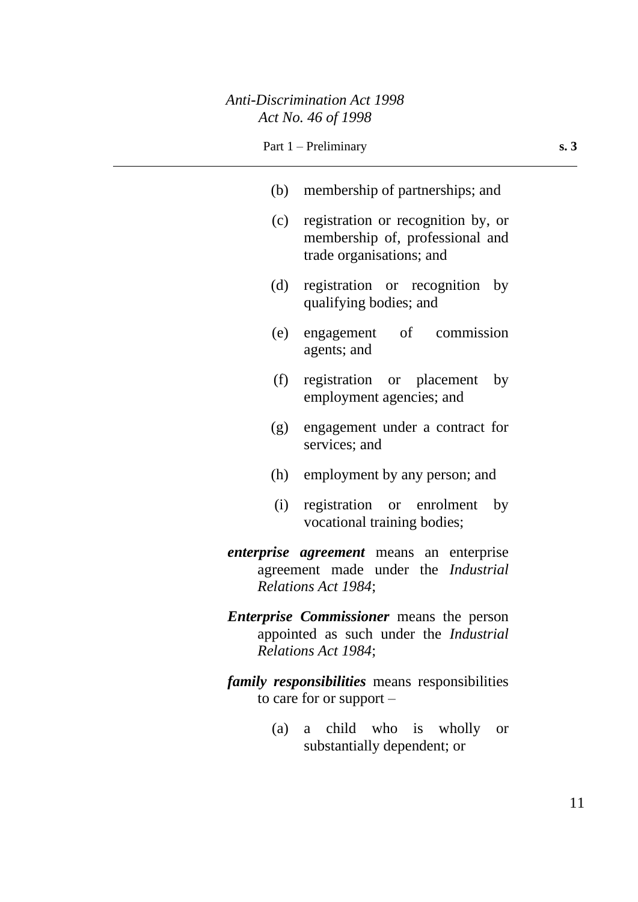| Part $1$ – Preliminary |  |
|------------------------|--|
|------------------------|--|

| (b) membership of partnerships; and                                                                                     |  |  |
|-------------------------------------------------------------------------------------------------------------------------|--|--|
| registration or recognition by, or<br>(c)<br>membership of, professional and<br>trade organisations; and                |  |  |
| (d)<br>registration or recognition by<br>qualifying bodies; and                                                         |  |  |
| engagement of commission<br>(e)<br>agents; and                                                                          |  |  |
| registration or placement<br>(f)<br>by<br>employment agencies; and                                                      |  |  |
| engagement under a contract for<br>(g)<br>services; and                                                                 |  |  |
| (h) employment by any person; and                                                                                       |  |  |
| registration or enrolment<br>(i)<br>by<br>vocational training bodies;                                                   |  |  |
| <i>enterprise agreement</i> means an enterprise<br>agreement made under the <i>Industrial</i><br>Relations Act 1984;    |  |  |
| <b>Enterprise Commissioner</b> means the person<br>appointed as such under the <i>Industrial</i><br>Relations Act 1984; |  |  |
| <i>family responsibilities</i> means responsibilities<br>to care for or support $-$                                     |  |  |
| child<br>who<br>is<br>(a)<br>wholly<br>a<br><b>or</b><br>substantially dependent; or                                    |  |  |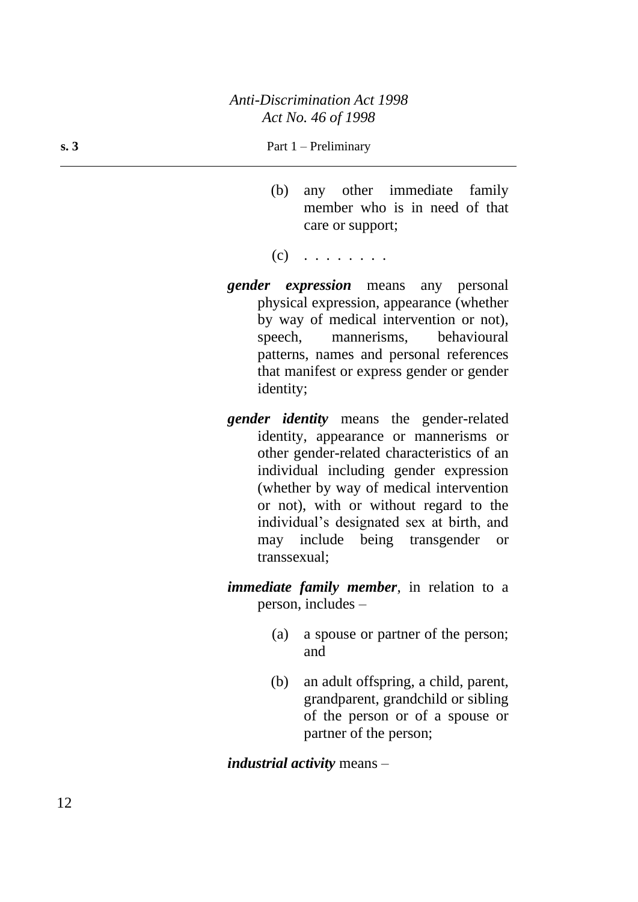#### **s. 3** Part  $1 - \text{Preliminary}$

- (b) any other immediate family member who is in need of that care or support;
- $(c)$  . . . . . . . .
- *gender expression* means any personal physical expression, appearance (whether by way of medical intervention or not), speech, mannerisms, behavioural patterns, names and personal references that manifest or express gender or gender identity;
- *gender identity* means the gender-related identity, appearance or mannerisms or other gender-related characteristics of an individual including gender expression (whether by way of medical intervention or not), with or without regard to the individual's designated sex at birth, and may include being transgender or transsexual;

*immediate family member*, in relation to a person, includes –

- (a) a spouse or partner of the person; and
- (b) an adult offspring, a child, parent, grandparent, grandchild or sibling of the person or of a spouse or partner of the person;

*industrial activity* means –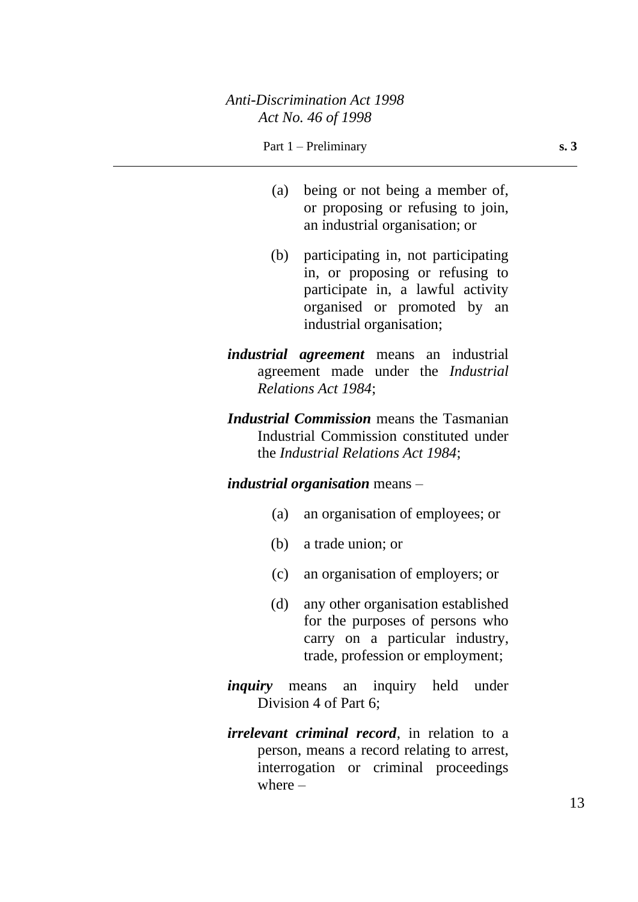- (a) being or not being a member of, or proposing or refusing to join, an industrial organisation; or
- (b) participating in, not participating in, or proposing or refusing to participate in, a lawful activity organised or promoted by an industrial organisation;
- *industrial agreement* means an industrial agreement made under the *Industrial Relations Act 1984*;
- *Industrial Commission* means the Tasmanian Industrial Commission constituted under the *Industrial Relations Act 1984*;

## *industrial organisation* means –

- (a) an organisation of employees; or
- (b) a trade union; or
- (c) an organisation of employers; or
- (d) any other organisation established for the purposes of persons who carry on a particular industry, trade, profession or employment;
- *inquiry* means an inquiry held under Division 4 of Part 6;
- *irrelevant criminal record*, in relation to a person, means a record relating to arrest, interrogation or criminal proceedings where  $-$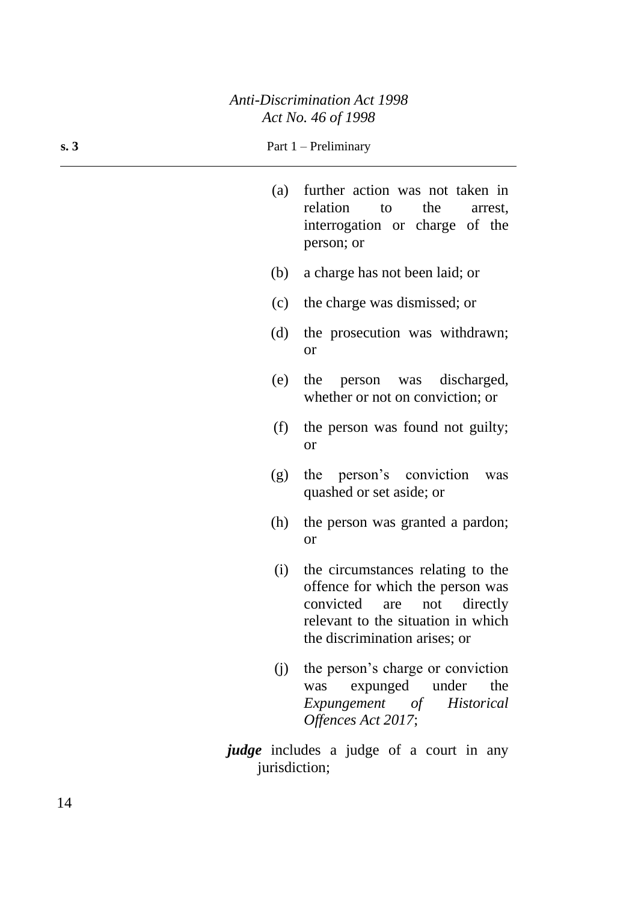| s. 3 |     | Part $1$ – Preliminary                                                                                              |
|------|-----|---------------------------------------------------------------------------------------------------------------------|
|      | (a) | further action was not taken in<br>relation<br>the<br>to<br>arrest,<br>interrogation or charge of the<br>person; or |
|      | (b) | a charge has not been laid; or                                                                                      |
|      | (c) | the charge was dismissed; or                                                                                        |
|      | (d) | the prosecution was withdrawn;<br><b>or</b>                                                                         |
|      | (e) | the person was discharged,<br>whether or not on conviction; or                                                      |
|      | (f) | the person was found not guilty;<br>or                                                                              |
|      | (g) | the person's conviction<br>was<br>quashed or set aside; or                                                          |
|      | (h) | the person was granted a pardon;<br><b>or</b>                                                                       |
|      | (i) | the circumstances relating to the<br>offence for which the person was                                               |

- offence for which the person was convicted are not directly relevant to the situation in which the discrimination arises; or
- (j) the person's charge or conviction was expunged under the *Expungement of Historical Offences Act 2017*;
- *judge* includes a judge of a court in any jurisdiction;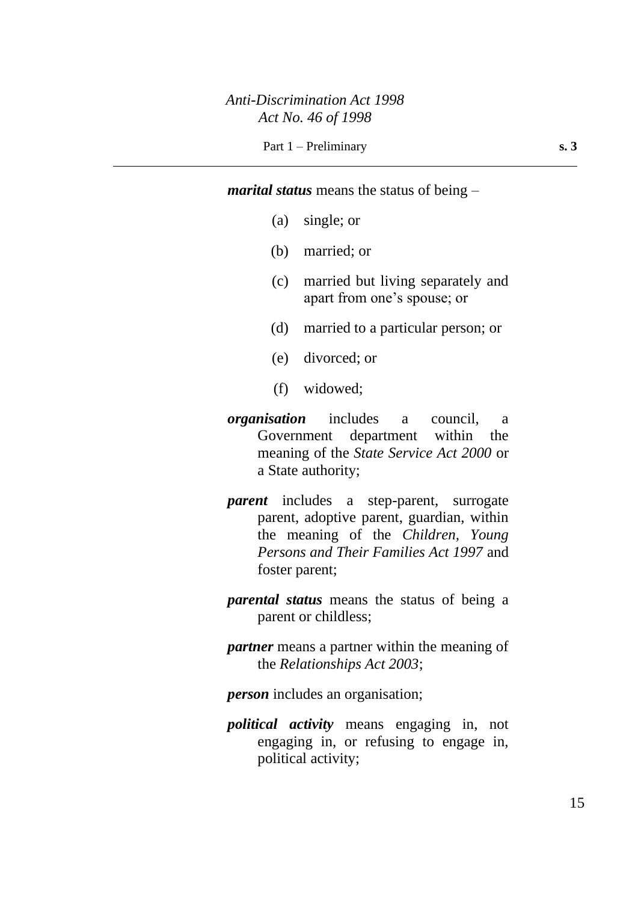*marital status* means the status of being –

- (a) single; or
- (b) married; or
- (c) married but living separately and apart from one's spouse; or
- (d) married to a particular person; or
- (e) divorced; or
- (f) widowed;
- *organisation* includes a council, a Government department within the meaning of the *State Service Act 2000* or a State authority;
- *parent* includes a step-parent, surrogate parent, adoptive parent, guardian, within the meaning of the *Children, Young Persons and Their Families Act 1997* and foster parent;
- *parental status* means the status of being a parent or childless;
- *partner* means a partner within the meaning of the *Relationships Act 2003*;

*person* includes an organisation;

*political activity* means engaging in, not engaging in, or refusing to engage in, political activity;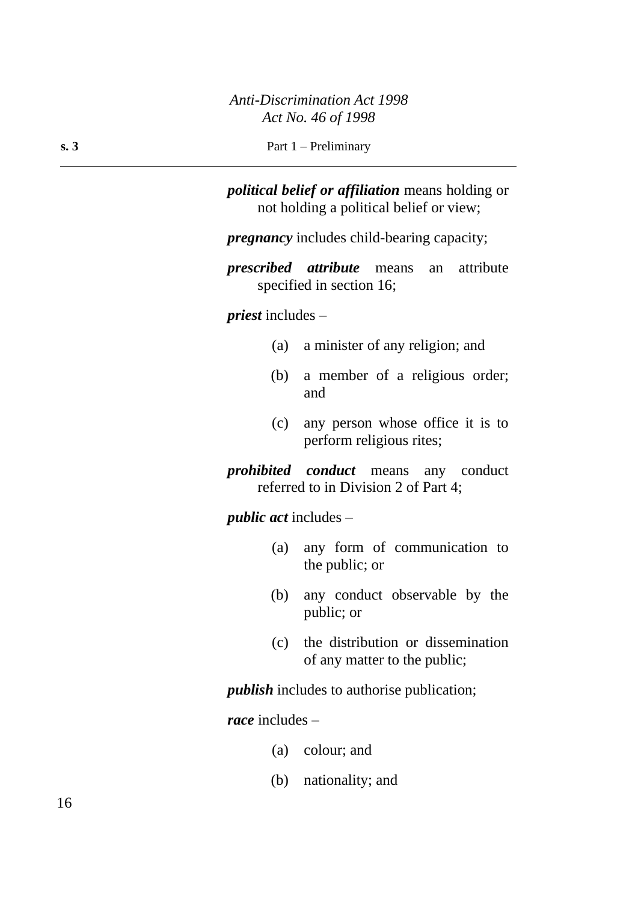*political belief or affiliation* means holding or not holding a political belief or view;

*pregnancy* includes child-bearing capacity;

*prescribed attribute* means an attribute specified in section 16;

*priest* includes –

- (a) a minister of any religion; and
- (b) a member of a religious order; and
- (c) any person whose office it is to perform religious rites;

*prohibited conduct* means any conduct referred to in Division 2 of Part 4;

*public act* includes –

- (a) any form of communication to the public; or
- (b) any conduct observable by the public; or
- (c) the distribution or dissemination of any matter to the public;

*publish* includes to authorise publication;

*race* includes –

- (a) colour; and
- (b) nationality; and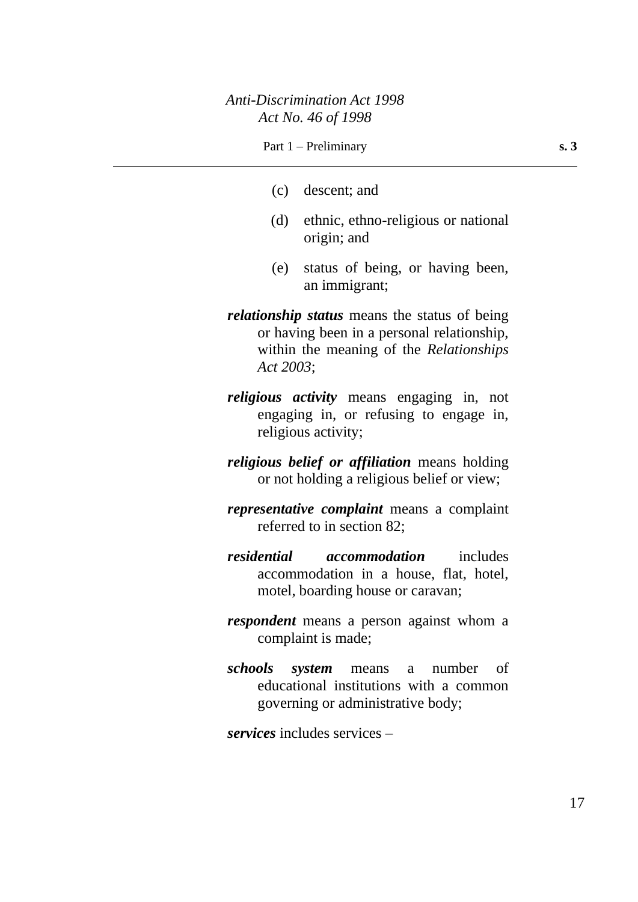#### Part 1 – Preliminary **s. 3**

- (c) descent; and
- (d) ethnic, ethno-religious or national origin; and
- (e) status of being, or having been, an immigrant;
- *relationship status* means the status of being or having been in a personal relationship, within the meaning of the *Relationships Act 2003*;
- *religious activity* means engaging in, not engaging in, or refusing to engage in, religious activity;
- *religious belief or affiliation* means holding or not holding a religious belief or view;
- *representative complaint* means a complaint referred to in section 82;
- *residential accommodation* includes accommodation in a house, flat, hotel, motel, boarding house or caravan;
- *respondent* means a person against whom a complaint is made;
- *schools system* means a number of educational institutions with a common governing or administrative body;

*services* includes services –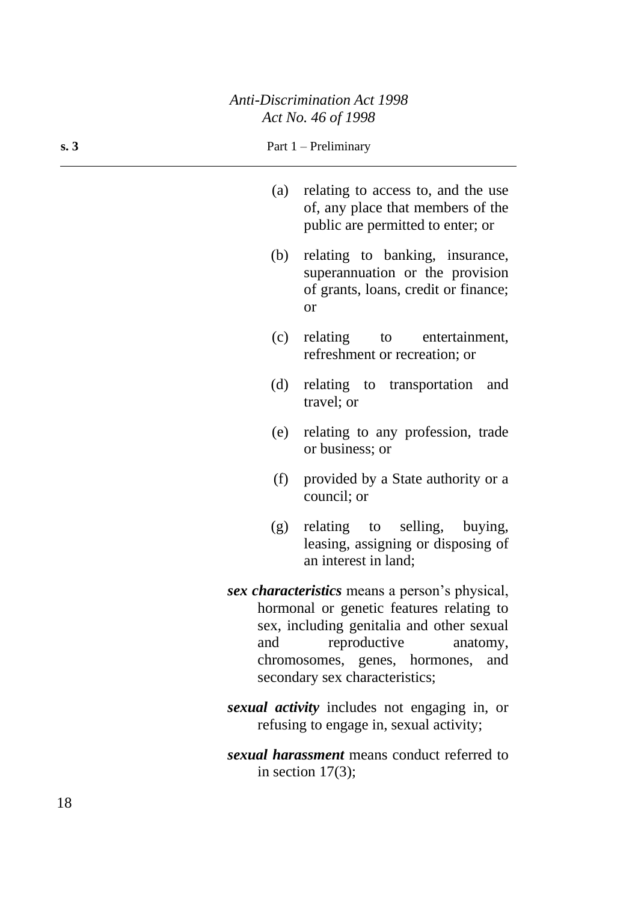| s. 3 |     | Part $1$ – Preliminary                                                                                                                                                                                                                        |
|------|-----|-----------------------------------------------------------------------------------------------------------------------------------------------------------------------------------------------------------------------------------------------|
|      | (a) | relating to access to, and the use<br>of, any place that members of the<br>public are permitted to enter; or                                                                                                                                  |
|      | (b) | relating to banking, insurance,<br>superannuation or the provision<br>of grants, loans, credit or finance;<br><b>or</b>                                                                                                                       |
|      | (c) | relating to entertainment,<br>refreshment or recreation; or                                                                                                                                                                                   |
|      | (d) | relating to transportation<br>and<br>travel; or                                                                                                                                                                                               |
|      | (e) | relating to any profession, trade<br>or business; or                                                                                                                                                                                          |
|      | (f) | provided by a State authority or a<br>council; or                                                                                                                                                                                             |
|      | (g) | relating to selling, buying,<br>leasing, assigning or disposing of<br>an interest in land;                                                                                                                                                    |
|      | and | sex characteristics means a person's physical,<br>hormonal or genetic features relating to<br>sex, including genitalia and other sexual<br>reproductive<br>anatomy,<br>chromosomes, genes, hormones,<br>and<br>secondary sex characteristics; |
|      |     | sexual activity includes not engaging in, or<br>refusing to engage in, sexual activity;                                                                                                                                                       |
|      |     | sexual harassment means conduct referred to<br>in section $17(3)$ ;                                                                                                                                                                           |

÷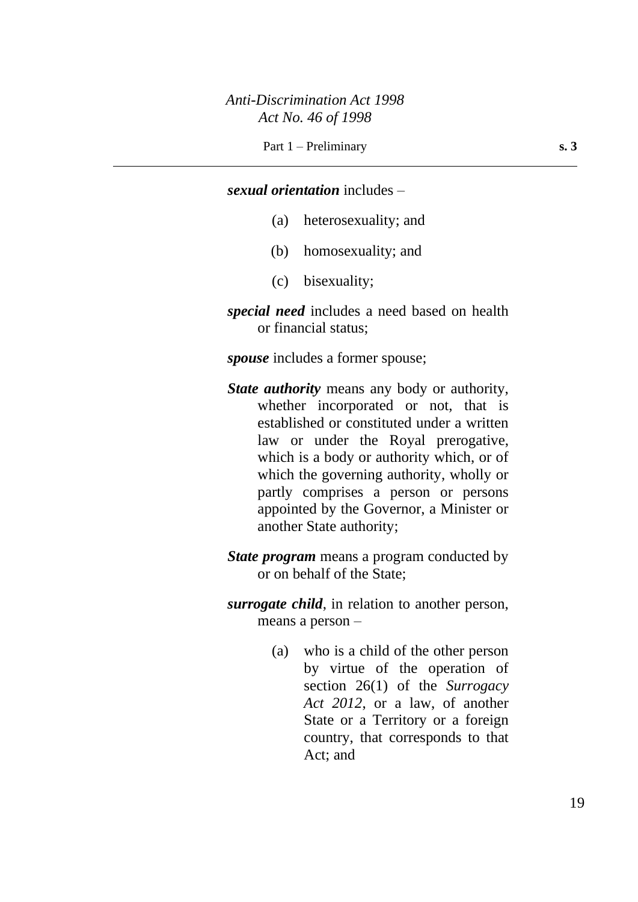#### *sexual orientation* includes –

- (a) heterosexuality; and
- (b) homosexuality; and
- (c) bisexuality;
- *special need* includes a need based on health or financial status;

*spouse* includes a former spouse;

- *State authority* means any body or authority, whether incorporated or not, that is established or constituted under a written law or under the Royal prerogative, which is a body or authority which, or of which the governing authority, wholly or partly comprises a person or persons appointed by the Governor, a Minister or another State authority;
- *State program* means a program conducted by or on behalf of the State;
- *surrogate child*, in relation to another person, means a person –
	- (a) who is a child of the other person by virtue of the operation of section 26(1) of the *Surrogacy Act 2012*, or a law, of another State or a Territory or a foreign country, that corresponds to that Act; and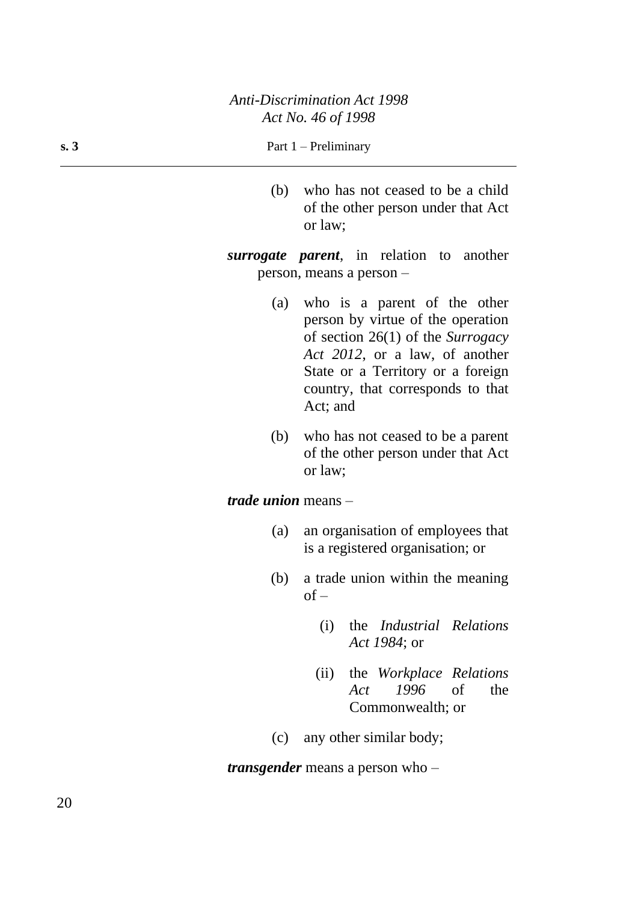#### **s. 3** Part 1 – Preliminary

(b) who has not ceased to be a child of the other person under that Act or law;

*surrogate parent*, in relation to another person, means a person –

- (a) who is a parent of the other person by virtue of the operation of section 26(1) of the *Surrogacy Act 2012*, or a law, of another State or a Territory or a foreign country, that corresponds to that Act; and
- (b) who has not ceased to be a parent of the other person under that Act or law;

### *trade union* means –

- (a) an organisation of employees that is a registered organisation; or
- (b) a trade union within the meaning  $of -$ 
	- (i) the *Industrial Relations Act 1984*; or
	- (ii) the *Workplace Relations Act 1996* of the Commonwealth; or
- (c) any other similar body;

*transgender* means a person who –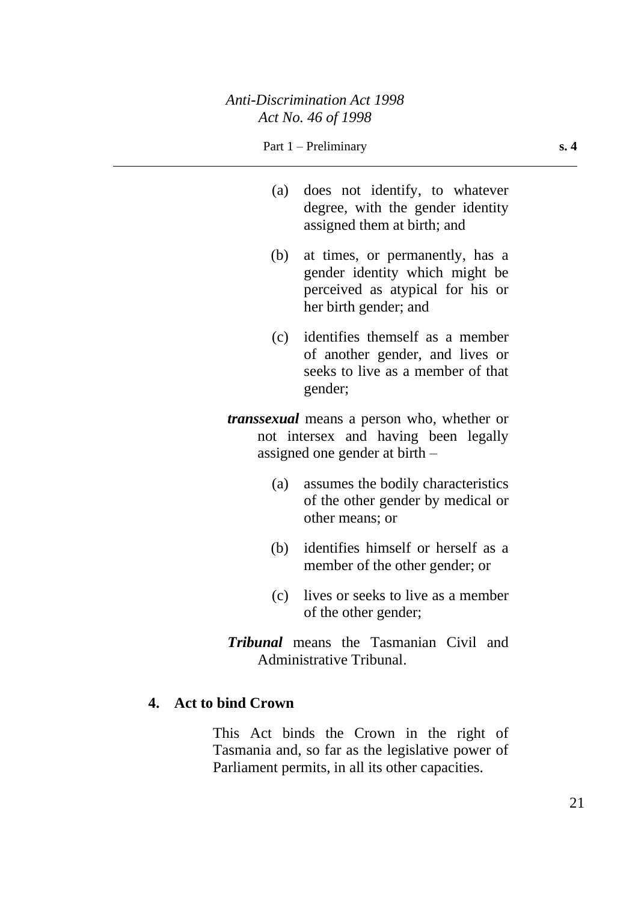- (a) does not identify, to whatever degree, with the gender identity assigned them at birth; and
- (b) at times, or permanently, has a gender identity which might be perceived as atypical for his or her birth gender; and
- (c) identifies themself as a member of another gender, and lives or seeks to live as a member of that gender;
- *transsexual* means a person who, whether or not intersex and having been legally assigned one gender at birth –
	- (a) assumes the bodily characteristics of the other gender by medical or other means; or
	- (b) identifies himself or herself as a member of the other gender; or
	- (c) lives or seeks to live as a member of the other gender;
- *Tribunal* means the Tasmanian Civil and Administrative Tribunal.

## **4. Act to bind Crown**

This Act binds the Crown in the right of Tasmania and, so far as the legislative power of Parliament permits, in all its other capacities.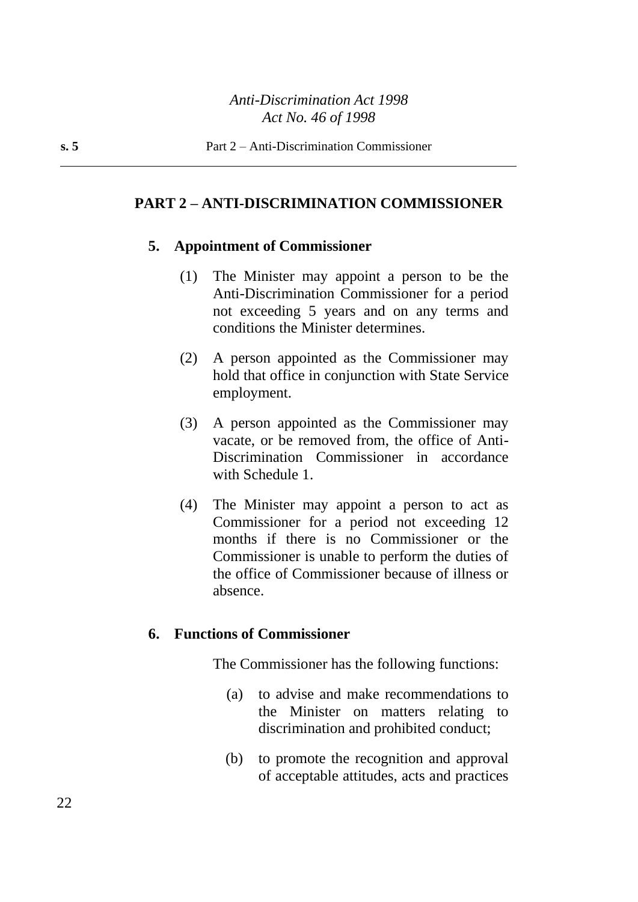### **PART 2 – ANTI-DISCRIMINATION COMMISSIONER**

#### **5. Appointment of Commissioner**

- (1) The Minister may appoint a person to be the Anti-Discrimination Commissioner for a period not exceeding 5 years and on any terms and conditions the Minister determines.
- (2) A person appointed as the Commissioner may hold that office in conjunction with State Service employment.
- (3) A person appointed as the Commissioner may vacate, or be removed from, the office of Anti-Discrimination Commissioner in accordance with Schedule 1.
- (4) The Minister may appoint a person to act as Commissioner for a period not exceeding 12 months if there is no Commissioner or the Commissioner is unable to perform the duties of the office of Commissioner because of illness or absence.

### **6. Functions of Commissioner**

The Commissioner has the following functions:

- (a) to advise and make recommendations to the Minister on matters relating to discrimination and prohibited conduct;
- (b) to promote the recognition and approval of acceptable attitudes, acts and practices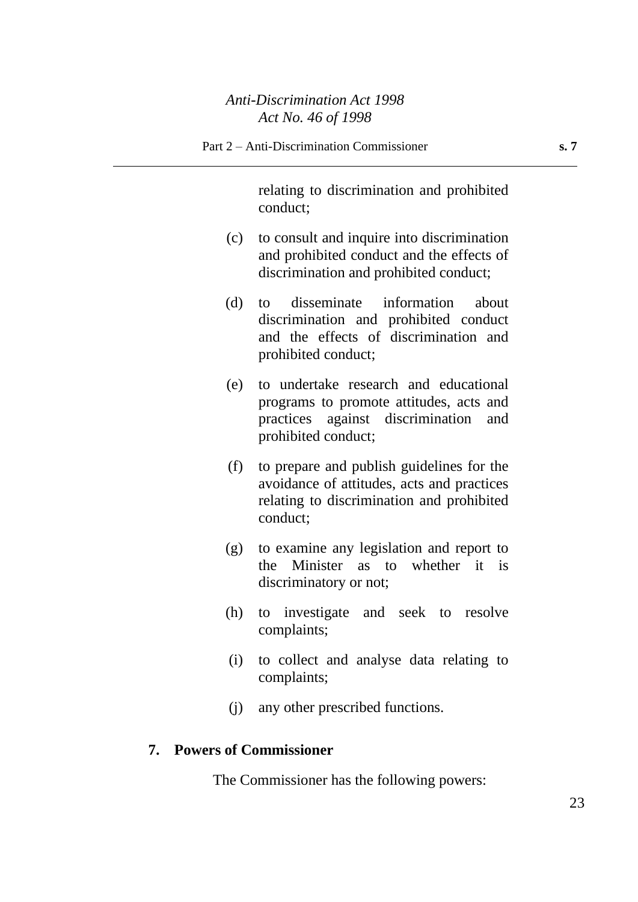relating to discrimination and prohibited conduct;

- (c) to consult and inquire into discrimination and prohibited conduct and the effects of discrimination and prohibited conduct;
- (d) to disseminate information about discrimination and prohibited conduct and the effects of discrimination and prohibited conduct;
- (e) to undertake research and educational programs to promote attitudes, acts and practices against discrimination and prohibited conduct;
- (f) to prepare and publish guidelines for the avoidance of attitudes, acts and practices relating to discrimination and prohibited conduct;
- (g) to examine any legislation and report to the Minister as to whether it is discriminatory or not;
- (h) to investigate and seek to resolve complaints;
- (i) to collect and analyse data relating to complaints;
- (j) any other prescribed functions.

## **7. Powers of Commissioner**

The Commissioner has the following powers: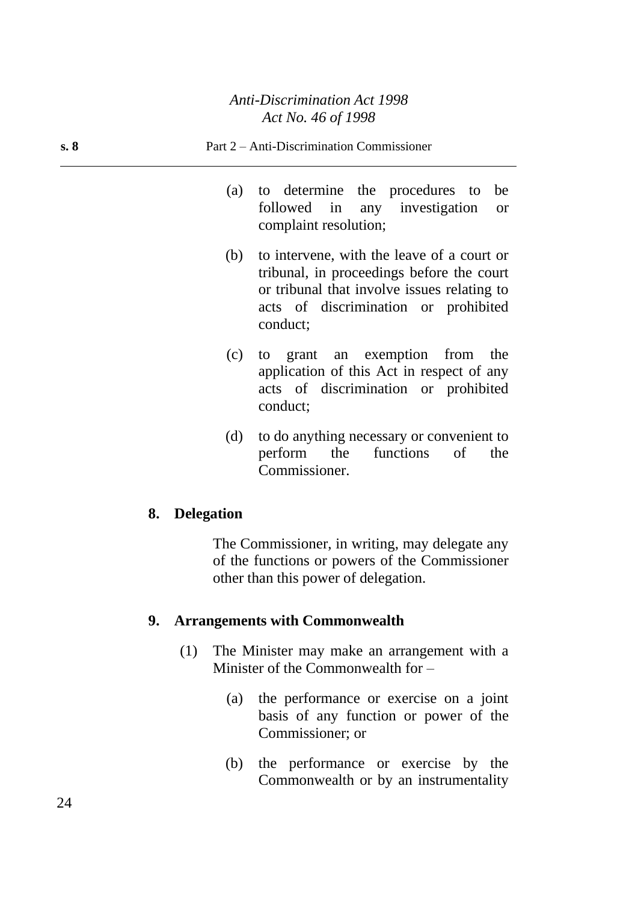| s. 8 |     | Part 2 – Anti-Discrimination Commissioner                                                                                                                                                  |
|------|-----|--------------------------------------------------------------------------------------------------------------------------------------------------------------------------------------------|
|      |     | (a) to determine the procedures to be<br>followed in any investigation or<br>complaint resolution;                                                                                         |
|      | (b) | to intervene, with the leave of a court or<br>tribunal, in proceedings before the court<br>or tribunal that involve issues relating to<br>acts of discrimination or prohibited<br>conduct; |
|      |     | (c) to grant an exemption from the<br>application of this Act in respect of any<br>acts of discrimination or prohibited<br>conduct;                                                        |

(d) to do anything necessary or convenient to perform the functions of the Commissioner.

## **8. Delegation**

The Commissioner, in writing, may delegate any of the functions or powers of the Commissioner other than this power of delegation.

## **9. Arrangements with Commonwealth**

- (1) The Minister may make an arrangement with a Minister of the Commonwealth for –
	- (a) the performance or exercise on a joint basis of any function or power of the Commissioner; or
	- (b) the performance or exercise by the Commonwealth or by an instrumentality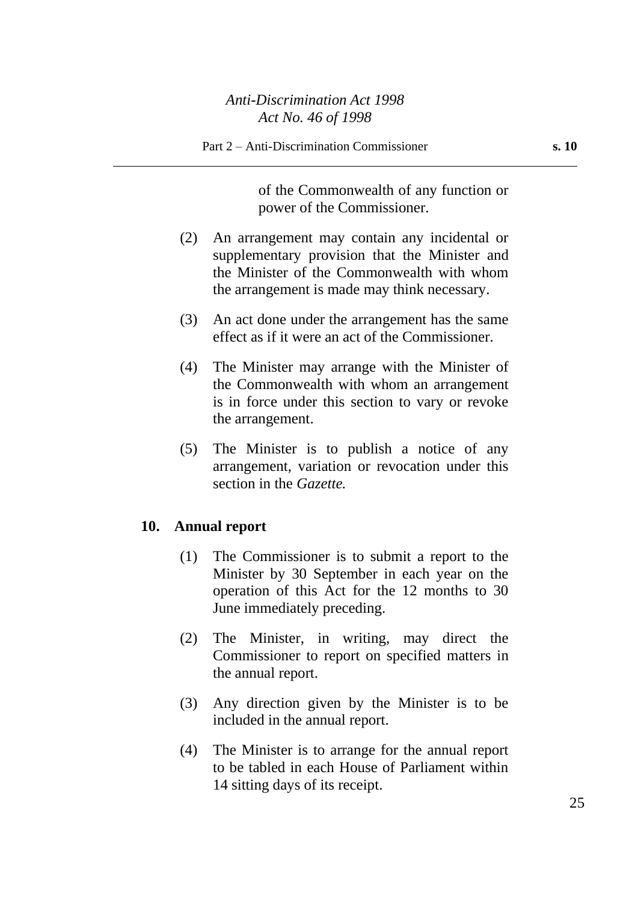of the Commonwealth of any function or power of the Commissioner.

- (2) An arrangement may contain any incidental or supplementary provision that the Minister and the Minister of the Commonwealth with whom the arrangement is made may think necessary.
- (3) An act done under the arrangement has the same effect as if it were an act of the Commissioner.
- (4) The Minister may arrange with the Minister of the Commonwealth with whom an arrangement is in force under this section to vary or revoke the arrangement.
- (5) The Minister is to publish a notice of any arrangement, variation or revocation under this section in the *Gazette.*

#### **10. Annual report**

- (1) The Commissioner is to submit a report to the Minister by 30 September in each year on the operation of this Act for the 12 months to 30 June immediately preceding.
- (2) The Minister, in writing, may direct the Commissioner to report on specified matters in the annual report.
- (3) Any direction given by the Minister is to be included in the annual report.
- (4) The Minister is to arrange for the annual report to be tabled in each House of Parliament within 14 sitting days of its receipt.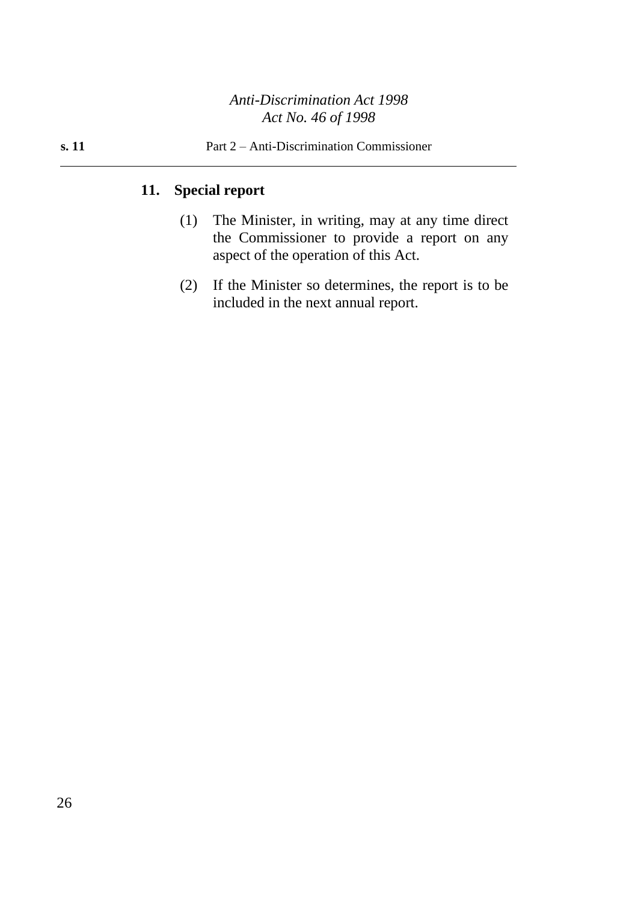# **11. Special report**

- (1) The Minister, in writing, may at any time direct the Commissioner to provide a report on any aspect of the operation of this Act.
- (2) If the Minister so determines, the report is to be included in the next annual report.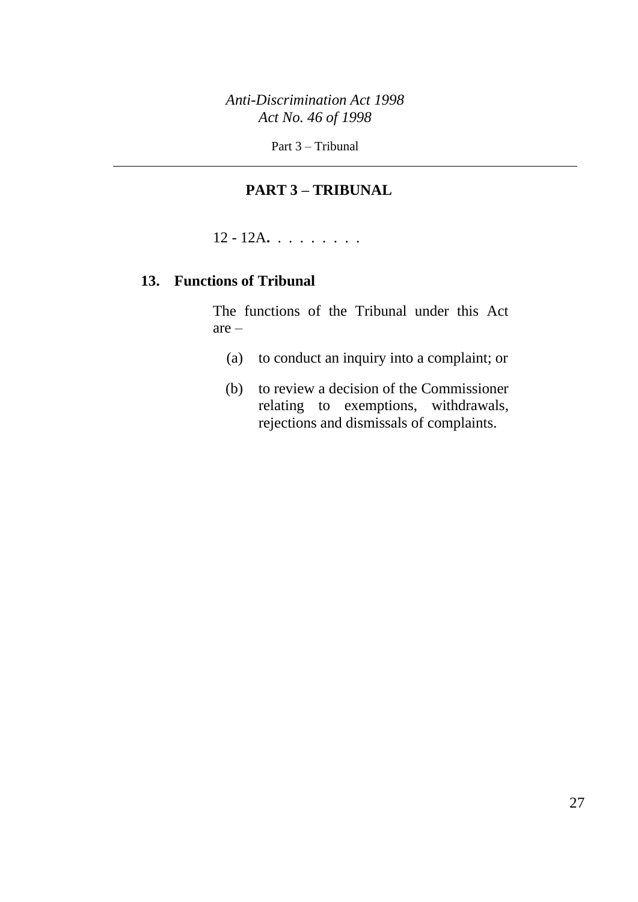Part 3 – Tribunal

# **PART 3 – TRIBUNAL**

12 - 12A**.** . . . . . . . .

# **13. Functions of Tribunal**

The functions of the Tribunal under this Act are –

- (a) to conduct an inquiry into a complaint; or
- (b) to review a decision of the Commissioner relating to exemptions, withdrawals, rejections and dismissals of complaints.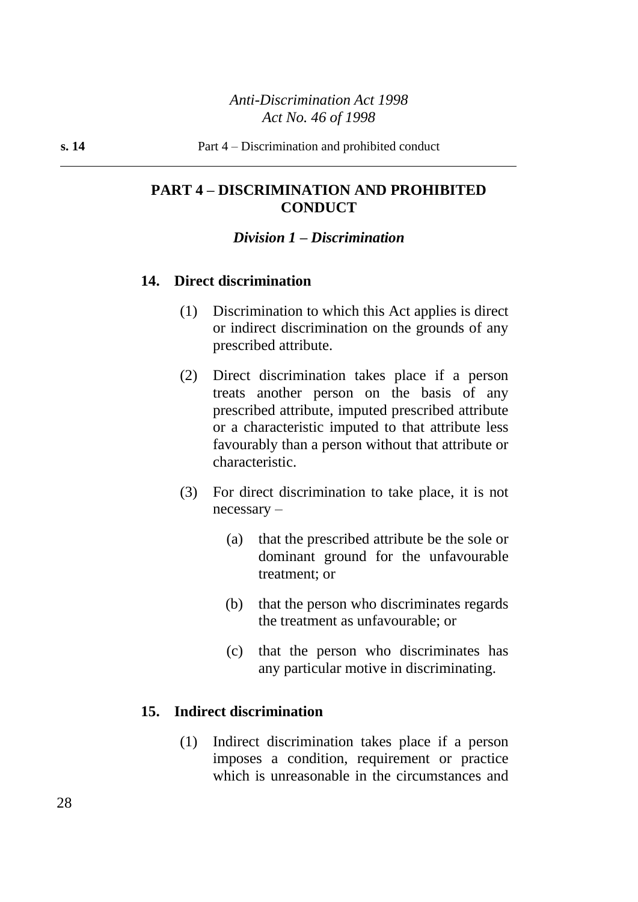## **PART 4 – DISCRIMINATION AND PROHIBITED CONDUCT**

#### *Division 1 – Discrimination*

## **14. Direct discrimination**

- (1) Discrimination to which this Act applies is direct or indirect discrimination on the grounds of any prescribed attribute.
- (2) Direct discrimination takes place if a person treats another person on the basis of any prescribed attribute, imputed prescribed attribute or a characteristic imputed to that attribute less favourably than a person without that attribute or characteristic.
- (3) For direct discrimination to take place, it is not necessary –
	- (a) that the prescribed attribute be the sole or dominant ground for the unfavourable treatment; or
	- (b) that the person who discriminates regards the treatment as unfavourable; or
	- (c) that the person who discriminates has any particular motive in discriminating.

## **15. Indirect discrimination**

(1) Indirect discrimination takes place if a person imposes a condition, requirement or practice which is unreasonable in the circumstances and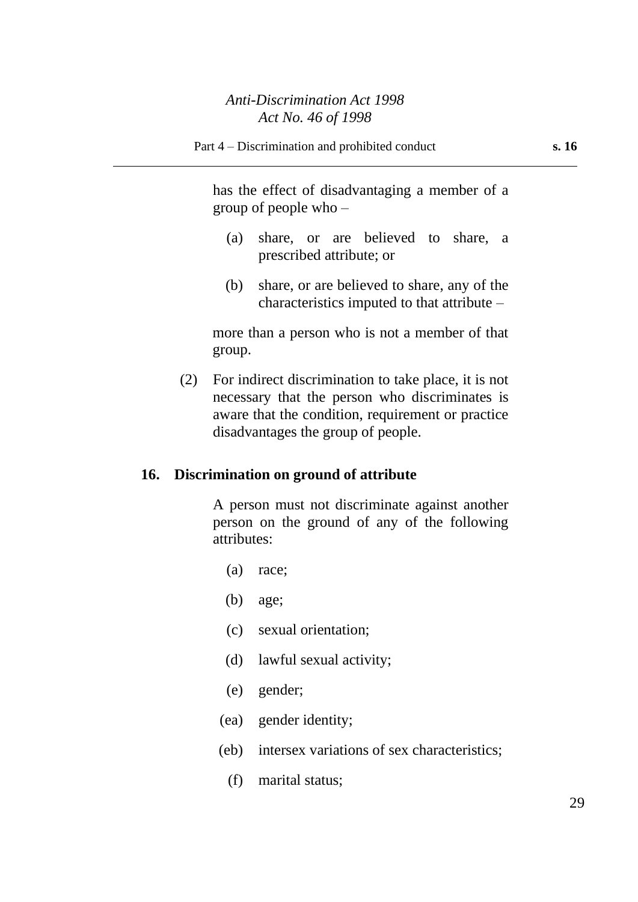has the effect of disadvantaging a member of a group of people who –

- (a) share, or are believed to share, a prescribed attribute; or
- (b) share, or are believed to share, any of the characteristics imputed to that attribute –

more than a person who is not a member of that group.

(2) For indirect discrimination to take place, it is not necessary that the person who discriminates is aware that the condition, requirement or practice disadvantages the group of people.

#### **16. Discrimination on ground of attribute**

A person must not discriminate against another person on the ground of any of the following attributes:

- (a) race;
- (b) age;
- (c) sexual orientation;
- (d) lawful sexual activity;
- (e) gender;
- (ea) gender identity;
- (eb) intersex variations of sex characteristics;
	- (f) marital status;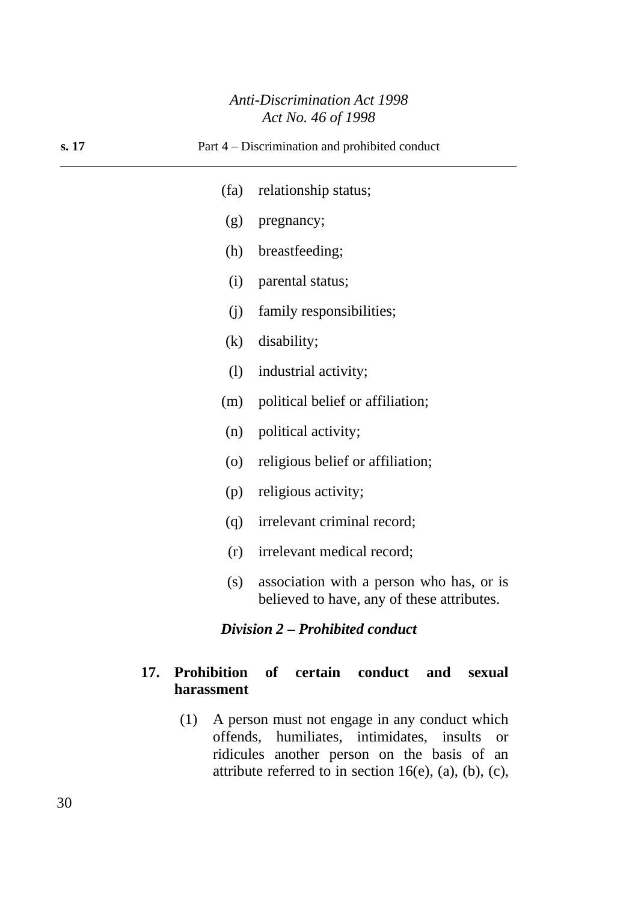| s. 17                           |                    | Part 4 – Discrimination and prohibited conduct                                         |  |
|---------------------------------|--------------------|----------------------------------------------------------------------------------------|--|
|                                 | (fa)               | relationship status;                                                                   |  |
|                                 | (g)                | pregnancy;                                                                             |  |
|                                 | (h)                | breastfeeding;                                                                         |  |
|                                 | (i)                | parental status;                                                                       |  |
|                                 | (i)                | family responsibilities;                                                               |  |
|                                 | (k)                | disability;                                                                            |  |
|                                 | (1)                | industrial activity;                                                                   |  |
|                                 | (m)                | political belief or affiliation;                                                       |  |
|                                 | (n)                | political activity;                                                                    |  |
|                                 | $\left( 0 \right)$ | religious belief or affiliation;                                                       |  |
|                                 | (p)                | religious activity;                                                                    |  |
|                                 | (q)                | irrelevant criminal record;                                                            |  |
|                                 | (r)                | irrelevant medical record;                                                             |  |
|                                 | (s)                | association with a person who has, or is<br>believed to have, any of these attributes. |  |
| Division 2 – Prohibited conduct |                    |                                                                                        |  |

## **17. Prohibition of certain conduct and sexual harassment**

(1) A person must not engage in any conduct which offends, humiliates, intimidates, insults or ridicules another person on the basis of an attribute referred to in section 16(e), (a), (b), (c),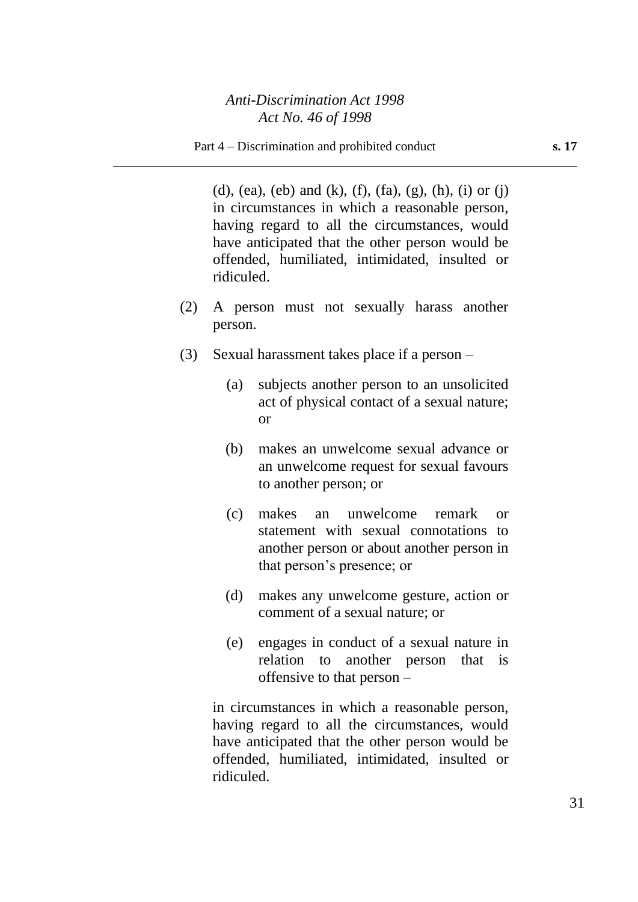(d), (ea), (eb) and (k), (f), (fa), (g), (h), (i) or (j) in circumstances in which a reasonable person, having regard to all the circumstances, would have anticipated that the other person would be offended, humiliated, intimidated, insulted or ridiculed.

- (2) A person must not sexually harass another person.
- (3) Sexual harassment takes place if a person
	- (a) subjects another person to an unsolicited act of physical contact of a sexual nature; or
	- (b) makes an unwelcome sexual advance or an unwelcome request for sexual favours to another person; or
	- (c) makes an unwelcome remark or statement with sexual connotations to another person or about another person in that person's presence; or
	- (d) makes any unwelcome gesture, action or comment of a sexual nature; or
	- (e) engages in conduct of a sexual nature in relation to another person that is offensive to that person –

in circumstances in which a reasonable person, having regard to all the circumstances, would have anticipated that the other person would be offended, humiliated, intimidated, insulted or ridiculed.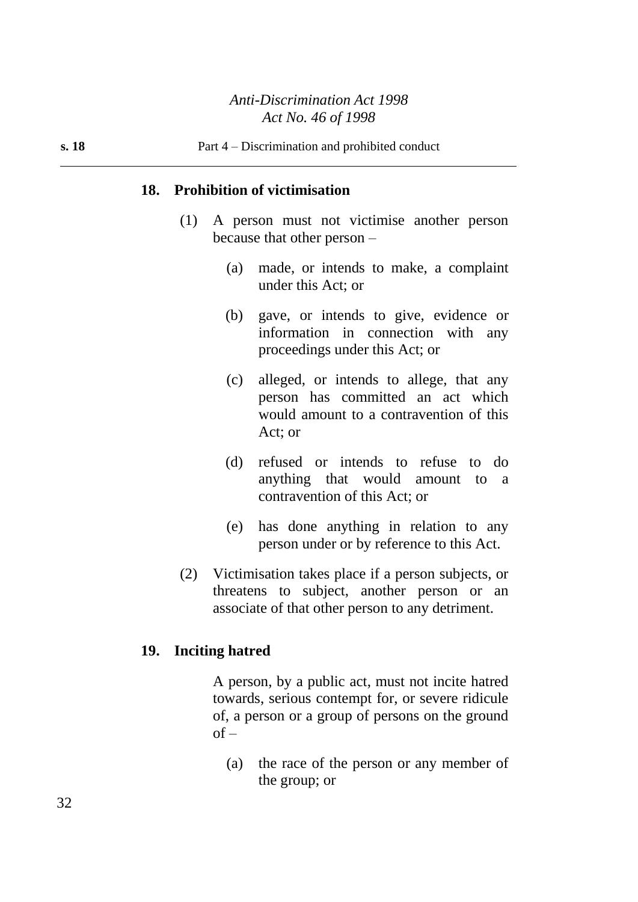#### **18. Prohibition of victimisation**

- (1) A person must not victimise another person because that other person –
	- (a) made, or intends to make, a complaint under this Act; or
	- (b) gave, or intends to give, evidence or information in connection with any proceedings under this Act; or
	- (c) alleged, or intends to allege, that any person has committed an act which would amount to a contravention of this Act; or
	- (d) refused or intends to refuse to do anything that would amount to a contravention of this Act; or
	- (e) has done anything in relation to any person under or by reference to this Act.
- (2) Victimisation takes place if a person subjects, or threatens to subject, another person or an associate of that other person to any detriment.

#### **19. Inciting hatred**

A person, by a public act, must not incite hatred towards, serious contempt for, or severe ridicule of, a person or a group of persons on the ground  $of -$ 

(a) the race of the person or any member of the group; or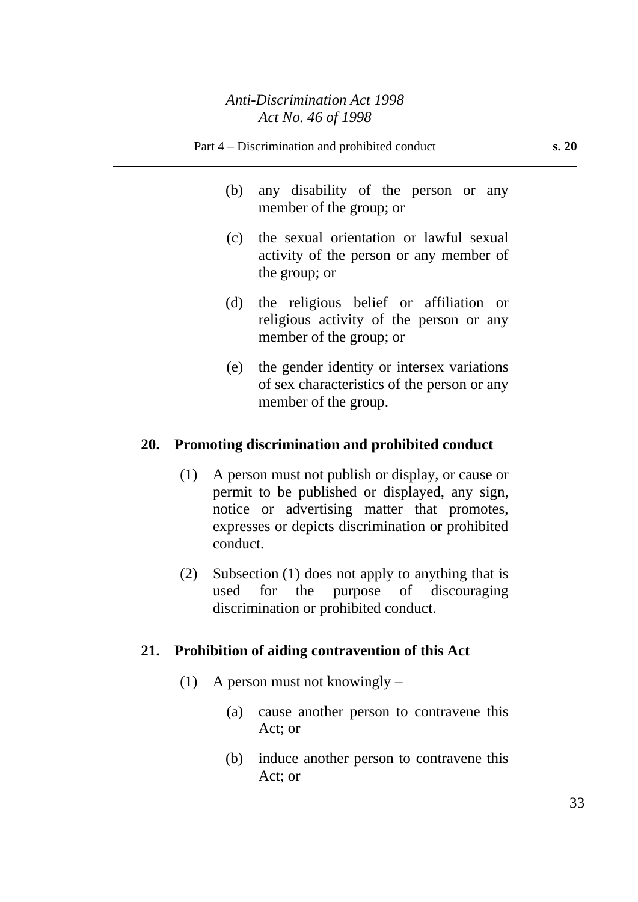- (b) any disability of the person or any member of the group; or
- (c) the sexual orientation or lawful sexual activity of the person or any member of the group; or
- (d) the religious belief or affiliation or religious activity of the person or any member of the group; or
- (e) the gender identity or intersex variations of sex characteristics of the person or any member of the group.

### **20. Promoting discrimination and prohibited conduct**

- (1) A person must not publish or display, or cause or permit to be published or displayed, any sign, notice or advertising matter that promotes, expresses or depicts discrimination or prohibited conduct.
- (2) Subsection (1) does not apply to anything that is used for the purpose of discouraging discrimination or prohibited conduct.

#### **21. Prohibition of aiding contravention of this Act**

- (1) A person must not knowingly
	- (a) cause another person to contravene this Act; or
	- (b) induce another person to contravene this Act; or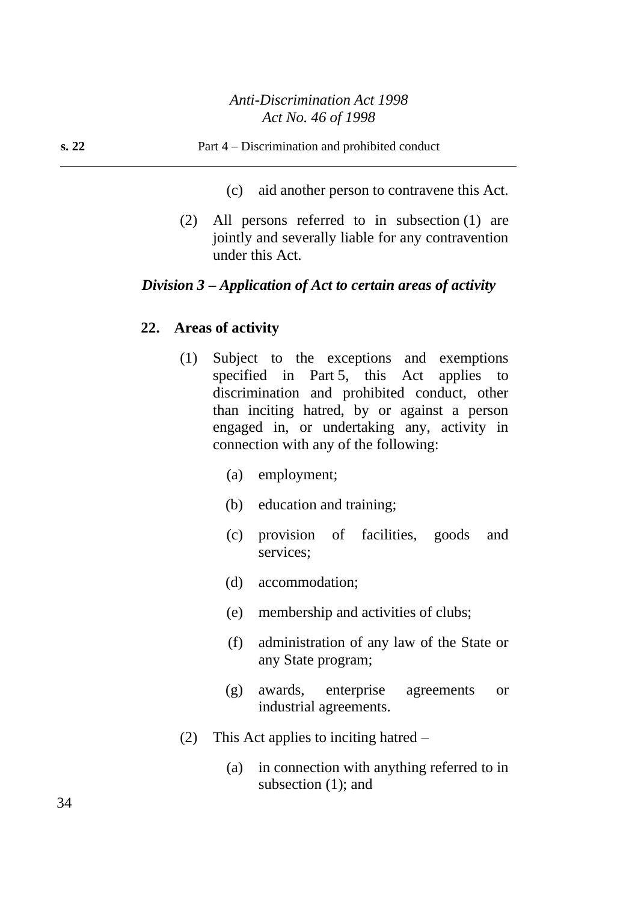- (c) aid another person to contravene this Act.
- (2) All persons referred to in subsection (1) are jointly and severally liable for any contravention under this Act.

## *Division 3 – Application of Act to certain areas of activity*

## **22. Areas of activity**

- (1) Subject to the exceptions and exemptions specified in Part 5, this Act applies to discrimination and prohibited conduct, other than inciting hatred, by or against a person engaged in, or undertaking any, activity in connection with any of the following:
	- (a) employment;
	- (b) education and training;
	- (c) provision of facilities, goods and services;
	- (d) accommodation;
	- (e) membership and activities of clubs;
	- (f) administration of any law of the State or any State program;
	- (g) awards, enterprise agreements or industrial agreements.
- (2) This Act applies to inciting hatred
	- (a) in connection with anything referred to in subsection (1); and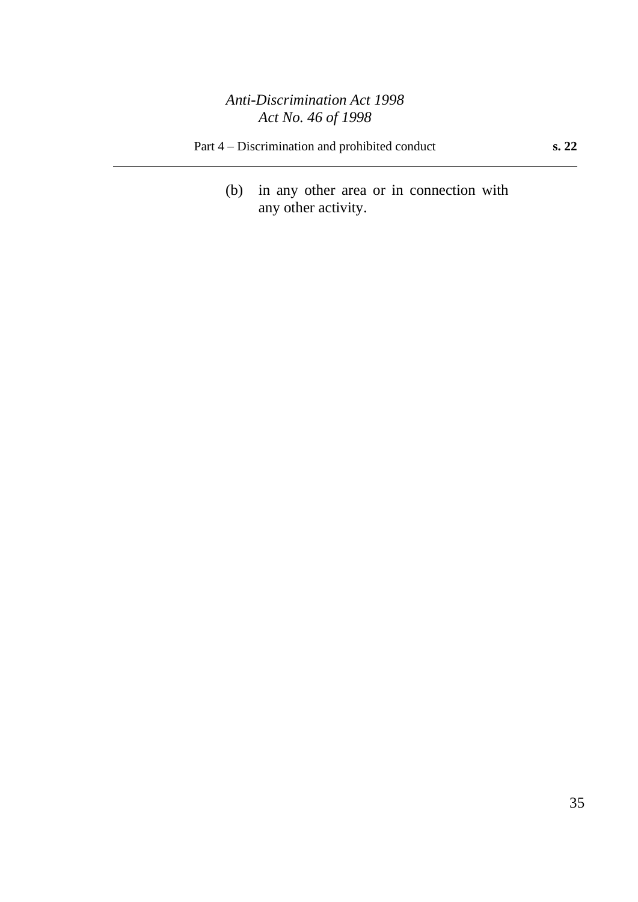Part 4 – Discrimination and prohibited conduct **s. 22**

(b) in any other area or in connection with any other activity.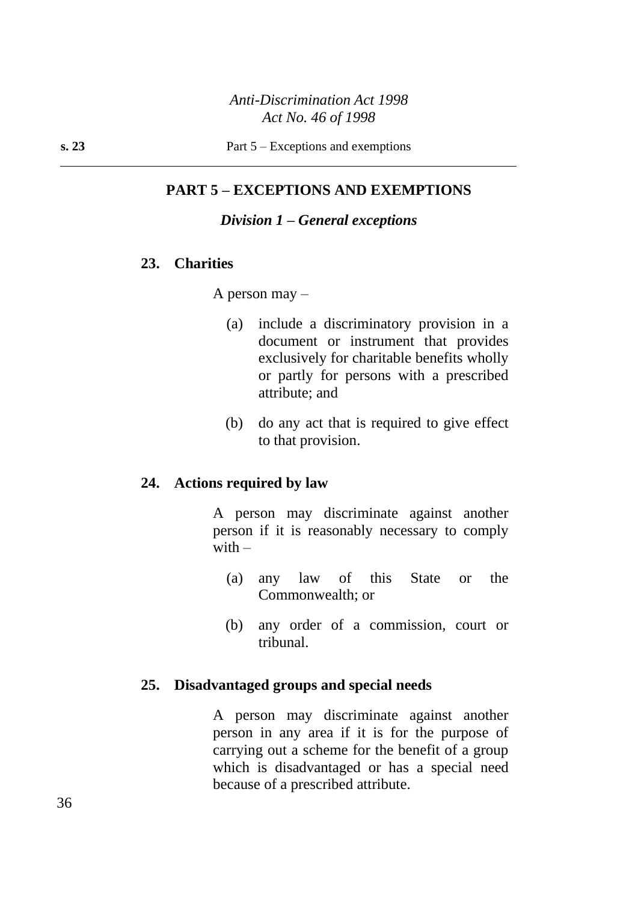## **PART 5 – EXCEPTIONS AND EXEMPTIONS**

## *Division 1 – General exceptions*

#### **23. Charities**

A person may –

- (a) include a discriminatory provision in a document or instrument that provides exclusively for charitable benefits wholly or partly for persons with a prescribed attribute; and
- (b) do any act that is required to give effect to that provision.

#### **24. Actions required by law**

A person may discriminate against another person if it is reasonably necessary to comply with  $-$ 

- (a) any law of this State or the Commonwealth; or
- (b) any order of a commission, court or tribunal.

#### **25. Disadvantaged groups and special needs**

A person may discriminate against another person in any area if it is for the purpose of carrying out a scheme for the benefit of a group which is disadvantaged or has a special need because of a prescribed attribute.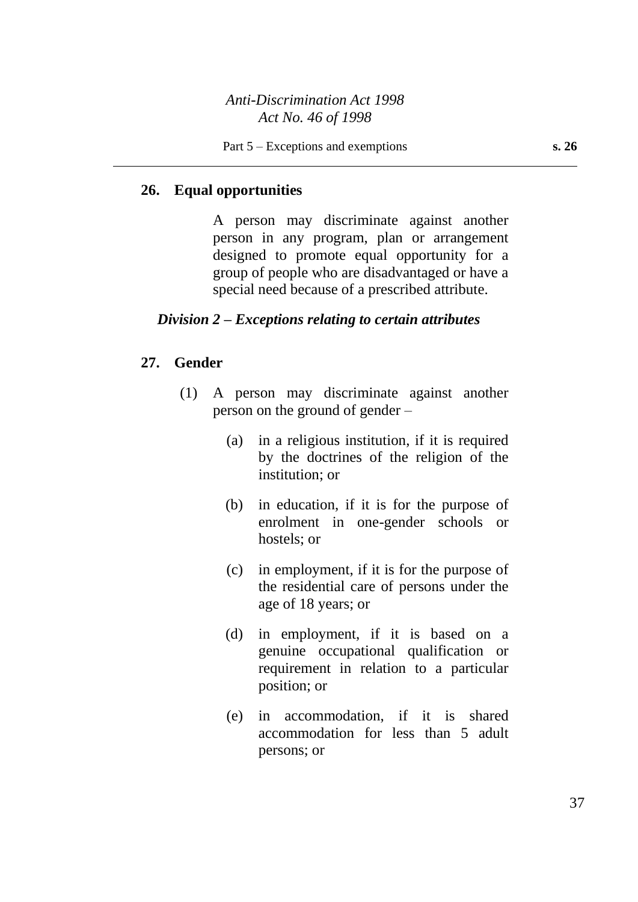# **26. Equal opportunities**

A person may discriminate against another person in any program, plan or arrangement designed to promote equal opportunity for a group of people who are disadvantaged or have a special need because of a prescribed attribute.

# *Division 2 – Exceptions relating to certain attributes*

# **27. Gender**

- (1) A person may discriminate against another person on the ground of gender –
	- (a) in a religious institution, if it is required by the doctrines of the religion of the institution; or
	- (b) in education, if it is for the purpose of enrolment in one-gender schools or hostels; or
	- (c) in employment, if it is for the purpose of the residential care of persons under the age of 18 years; or
	- (d) in employment, if it is based on a genuine occupational qualification or requirement in relation to a particular position; or
	- (e) in accommodation, if it is shared accommodation for less than 5 adult persons; or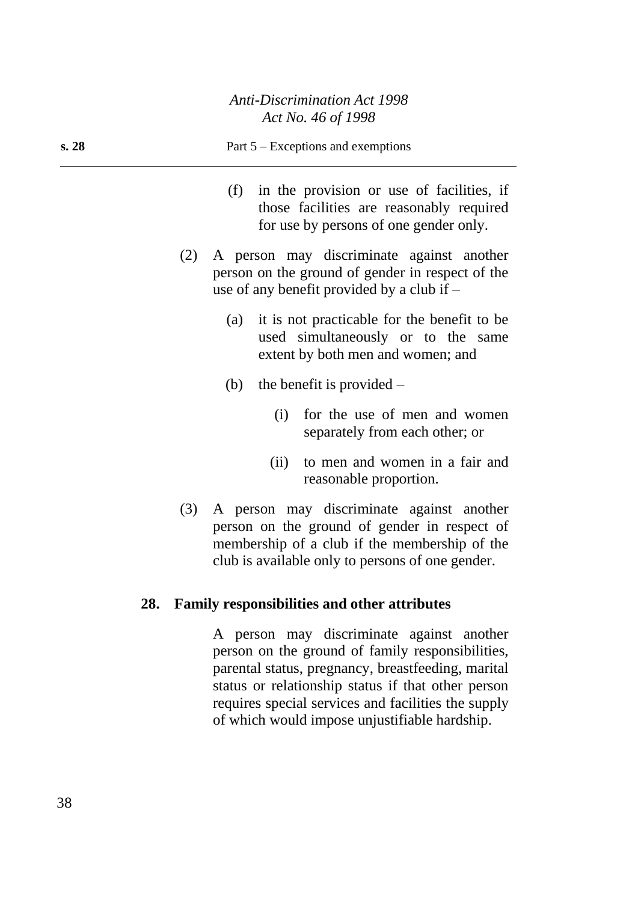|       | 1101110.70011770                                                                                                                                                                                      |
|-------|-------------------------------------------------------------------------------------------------------------------------------------------------------------------------------------------------------|
| s. 28 | Part $5 -$ Exceptions and exemptions                                                                                                                                                                  |
|       | (f)<br>in the provision or use of facilities, if<br>those facilities are reasonably required<br>for use by persons of one gender only.                                                                |
|       | A person may discriminate against another<br>(2)<br>person on the ground of gender in respect of the<br>use of any benefit provided by a club if $-$                                                  |
|       | it is not practicable for the benefit to be<br>(a)<br>used simultaneously or to the same<br>extent by both men and women; and                                                                         |
|       | the benefit is provided $-$<br>(b)                                                                                                                                                                    |
|       | for the use of men and women<br>(i)<br>separately from each other; or                                                                                                                                 |
|       | to men and women in a fair and<br>(ii)<br>reasonable proportion.                                                                                                                                      |
|       | A person may discriminate against another<br>(3)<br>person on the ground of gender in respect of<br>membership of a club if the membership of the<br>club is available only to persons of one gender. |
|       | $E_{2}2L_{n}$                                                                                                                                                                                         |

# **28. Family responsibilities and other attributes**

A person may discriminate against another person on the ground of family responsibilities, parental status, pregnancy, breastfeeding, marital status or relationship status if that other person requires special services and facilities the supply of which would impose unjustifiable hardship.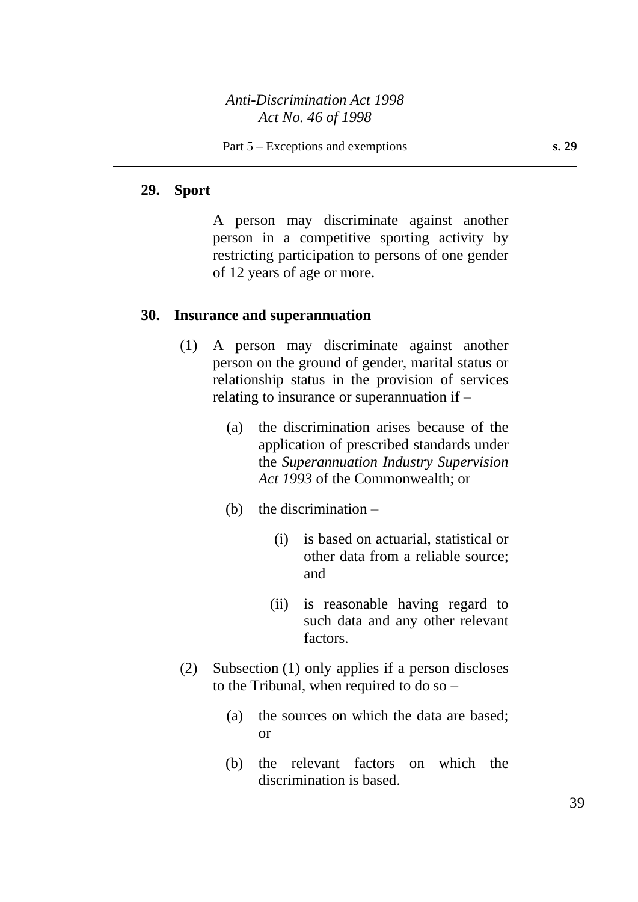#### **29. Sport**

A person may discriminate against another person in a competitive sporting activity by restricting participation to persons of one gender of 12 years of age or more.

#### **30. Insurance and superannuation**

- (1) A person may discriminate against another person on the ground of gender, marital status or relationship status in the provision of services relating to insurance or superannuation if –
	- (a) the discrimination arises because of the application of prescribed standards under the *Superannuation Industry Supervision Act 1993* of the Commonwealth; or
	- (b) the discrimination  $-$ 
		- (i) is based on actuarial, statistical or other data from a reliable source; and
		- (ii) is reasonable having regard to such data and any other relevant factors.
- (2) Subsection (1) only applies if a person discloses to the Tribunal, when required to do so –
	- (a) the sources on which the data are based; or
	- (b) the relevant factors on which the discrimination is based.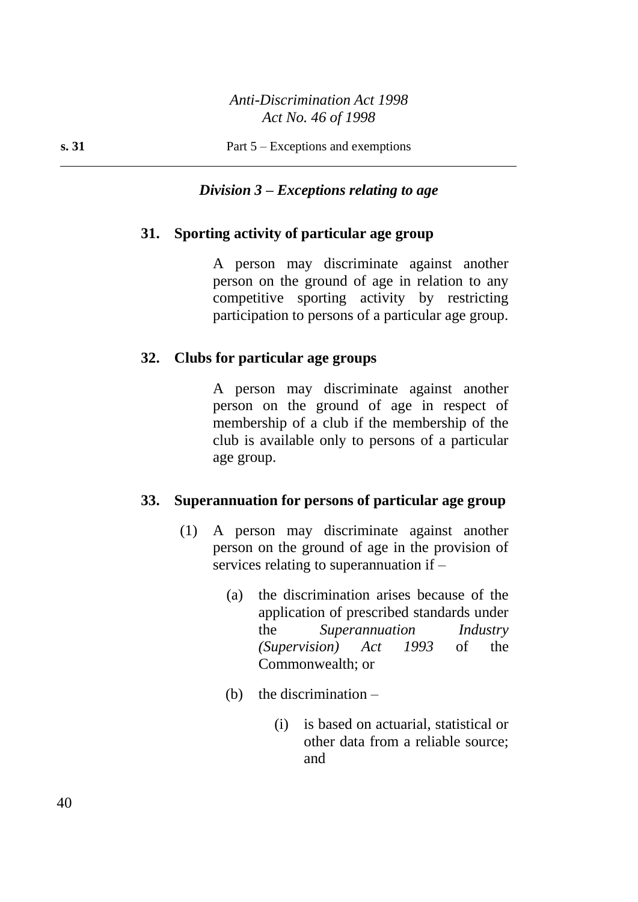# *Division 3 – Exceptions relating to age*

#### **31. Sporting activity of particular age group**

A person may discriminate against another person on the ground of age in relation to any competitive sporting activity by restricting participation to persons of a particular age group.

#### **32. Clubs for particular age groups**

A person may discriminate against another person on the ground of age in respect of membership of a club if the membership of the club is available only to persons of a particular age group.

#### **33. Superannuation for persons of particular age group**

- (1) A person may discriminate against another person on the ground of age in the provision of services relating to superannuation if –
	- (a) the discrimination arises because of the application of prescribed standards under the *Superannuation Industry (Supervision) Act 1993* of the Commonwealth; or
	- (b) the discrimination
		- (i) is based on actuarial, statistical or other data from a reliable source; and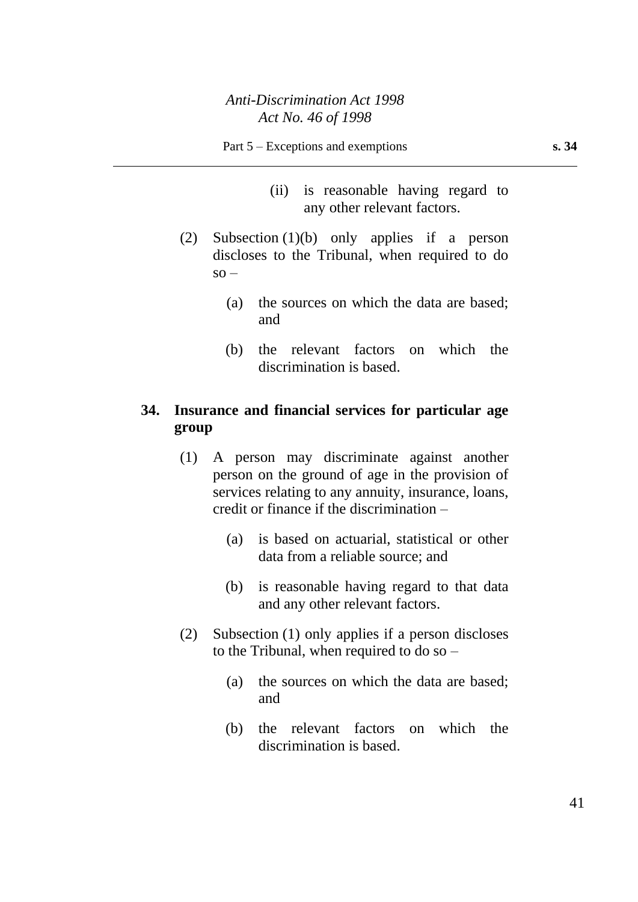- (ii) is reasonable having regard to any other relevant factors.
- (2) Subsection (1)(b) only applies if a person discloses to the Tribunal, when required to do  $\text{so} -$ 
	- (a) the sources on which the data are based; and
	- (b) the relevant factors on which the discrimination is based.

# **34. Insurance and financial services for particular age group**

- (1) A person may discriminate against another person on the ground of age in the provision of services relating to any annuity, insurance, loans, credit or finance if the discrimination –
	- (a) is based on actuarial, statistical or other data from a reliable source; and
	- (b) is reasonable having regard to that data and any other relevant factors.
- (2) Subsection (1) only applies if a person discloses to the Tribunal, when required to do so –
	- (a) the sources on which the data are based; and
	- (b) the relevant factors on which the discrimination is based.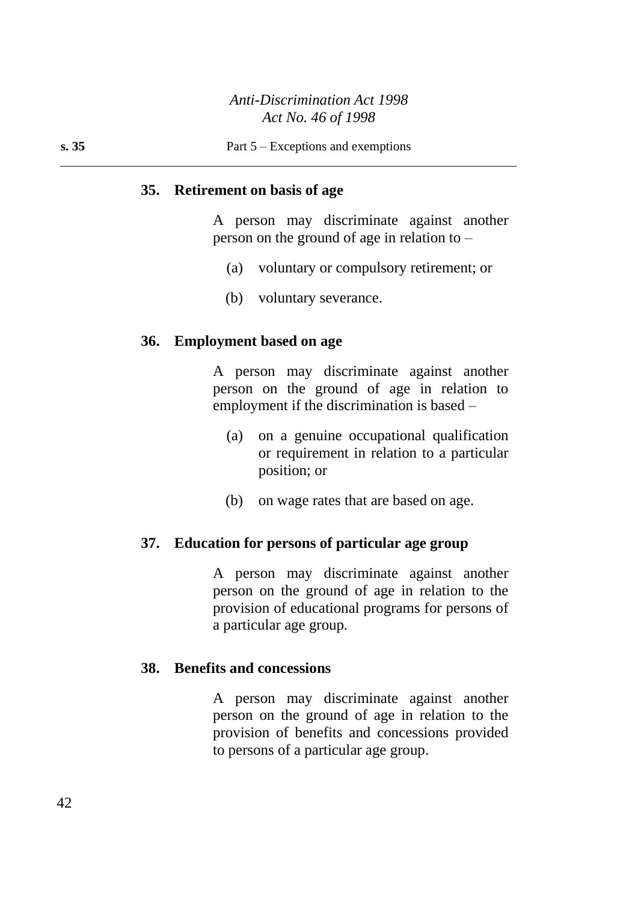#### **35. Retirement on basis of age**

A person may discriminate against another person on the ground of age in relation to –

- (a) voluntary or compulsory retirement; or
- (b) voluntary severance.

#### **36. Employment based on age**

A person may discriminate against another person on the ground of age in relation to employment if the discrimination is based –

- (a) on a genuine occupational qualification or requirement in relation to a particular position; or
- (b) on wage rates that are based on age.

#### **37. Education for persons of particular age group**

A person may discriminate against another person on the ground of age in relation to the provision of educational programs for persons of a particular age group.

#### **38. Benefits and concessions**

A person may discriminate against another person on the ground of age in relation to the provision of benefits and concessions provided to persons of a particular age group.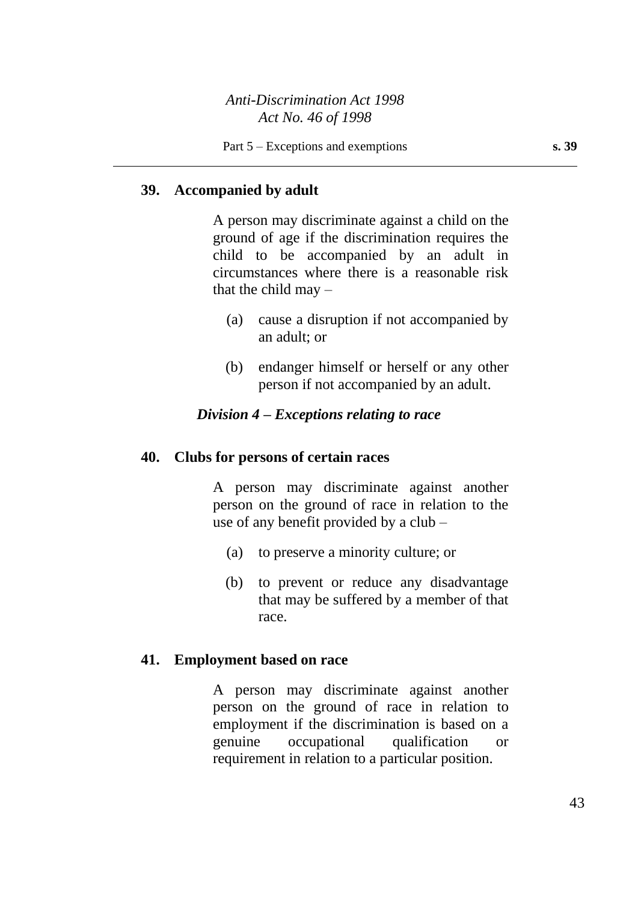# **39. Accompanied by adult**

A person may discriminate against a child on the ground of age if the discrimination requires the child to be accompanied by an adult in circumstances where there is a reasonable risk that the child may  $-$ 

- (a) cause a disruption if not accompanied by an adult; or
- (b) endanger himself or herself or any other person if not accompanied by an adult.

## *Division 4 – Exceptions relating to race*

#### **40. Clubs for persons of certain races**

A person may discriminate against another person on the ground of race in relation to the use of any benefit provided by a club –

- (a) to preserve a minority culture; or
- (b) to prevent or reduce any disadvantage that may be suffered by a member of that race.

#### **41. Employment based on race**

A person may discriminate against another person on the ground of race in relation to employment if the discrimination is based on a genuine occupational qualification or requirement in relation to a particular position.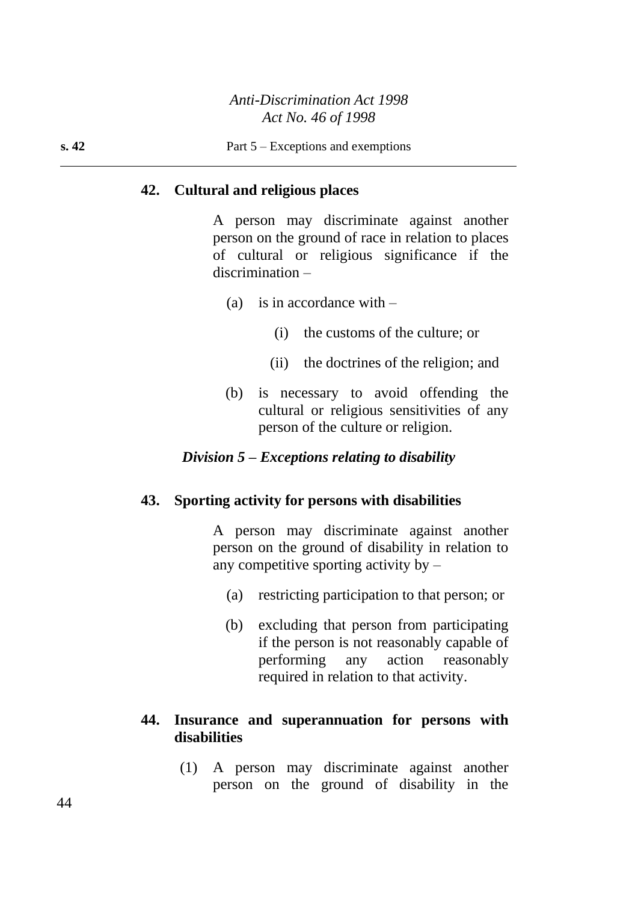# **42. Cultural and religious places**

A person may discriminate against another person on the ground of race in relation to places of cultural or religious significance if the discrimination –

- (a) is in accordance with  $-$ 
	- (i) the customs of the culture; or
	- (ii) the doctrines of the religion; and
- (b) is necessary to avoid offending the cultural or religious sensitivities of any person of the culture or religion.

### *Division 5 – Exceptions relating to disability*

#### **43. Sporting activity for persons with disabilities**

A person may discriminate against another person on the ground of disability in relation to any competitive sporting activity by –

- (a) restricting participation to that person; or
- (b) excluding that person from participating if the person is not reasonably capable of performing any action reasonably required in relation to that activity.

# **44. Insurance and superannuation for persons with disabilities**

(1) A person may discriminate against another person on the ground of disability in the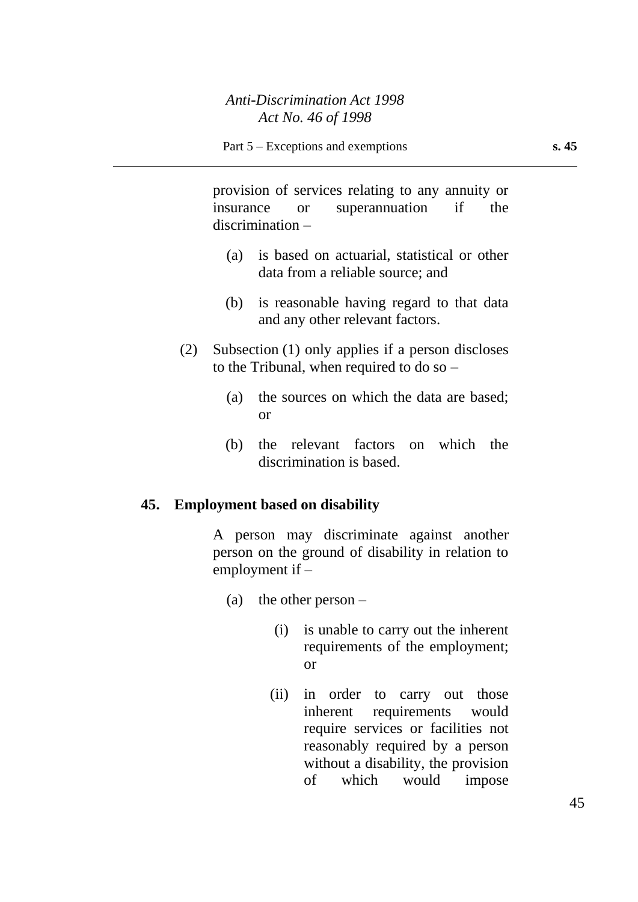provision of services relating to any annuity or insurance or superannuation if the discrimination –

- (a) is based on actuarial, statistical or other data from a reliable source; and
- (b) is reasonable having regard to that data and any other relevant factors.
- (2) Subsection (1) only applies if a person discloses to the Tribunal, when required to do so –
	- (a) the sources on which the data are based; or
	- (b) the relevant factors on which the discrimination is based.

# **45. Employment based on disability**

A person may discriminate against another person on the ground of disability in relation to employment if –

- (a) the other person  $-$ 
	- (i) is unable to carry out the inherent requirements of the employment; or
	- (ii) in order to carry out those inherent requirements would require services or facilities not reasonably required by a person without a disability, the provision of which would impose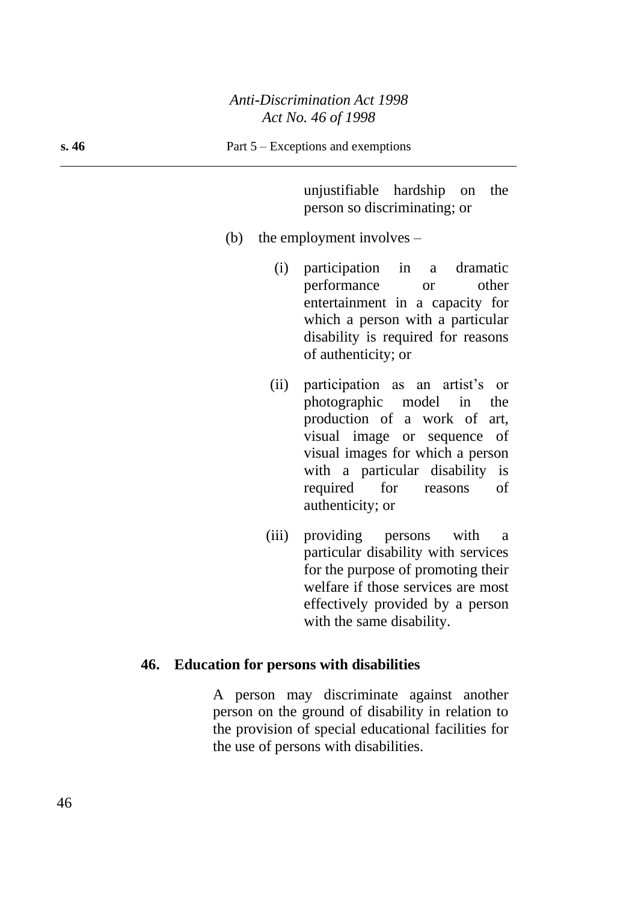unjustifiable hardship on the person so discriminating; or

- (b) the employment involves
	- (i) participation in a dramatic performance or other entertainment in a capacity for which a person with a particular disability is required for reasons of authenticity; or
	- (ii) participation as an artist's or photographic model in the production of a work of art, visual image or sequence of visual images for which a person with a particular disability is required for reasons of authenticity; or
	- (iii) providing persons with a particular disability with services for the purpose of promoting their welfare if those services are most effectively provided by a person with the same disability.

#### **46. Education for persons with disabilities**

A person may discriminate against another person on the ground of disability in relation to the provision of special educational facilities for the use of persons with disabilities.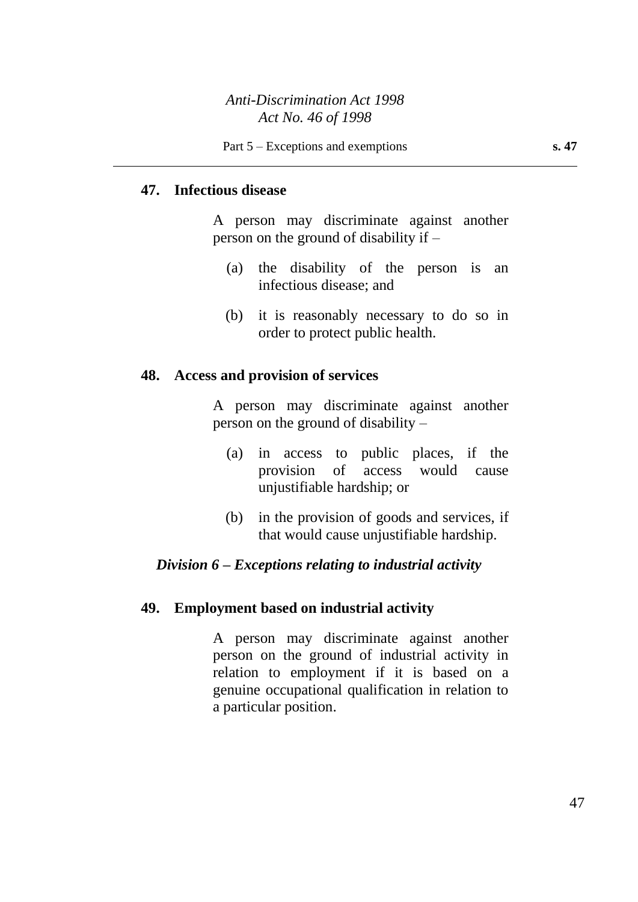# **47. Infectious disease**

A person may discriminate against another person on the ground of disability if –

- (a) the disability of the person is an infectious disease; and
- (b) it is reasonably necessary to do so in order to protect public health.

#### **48. Access and provision of services**

A person may discriminate against another person on the ground of disability –

- (a) in access to public places, if the provision of access would cause unjustifiable hardship; or
- (b) in the provision of goods and services, if that would cause unjustifiable hardship.

#### *Division 6 – Exceptions relating to industrial activity*

### **49. Employment based on industrial activity**

A person may discriminate against another person on the ground of industrial activity in relation to employment if it is based on a genuine occupational qualification in relation to a particular position.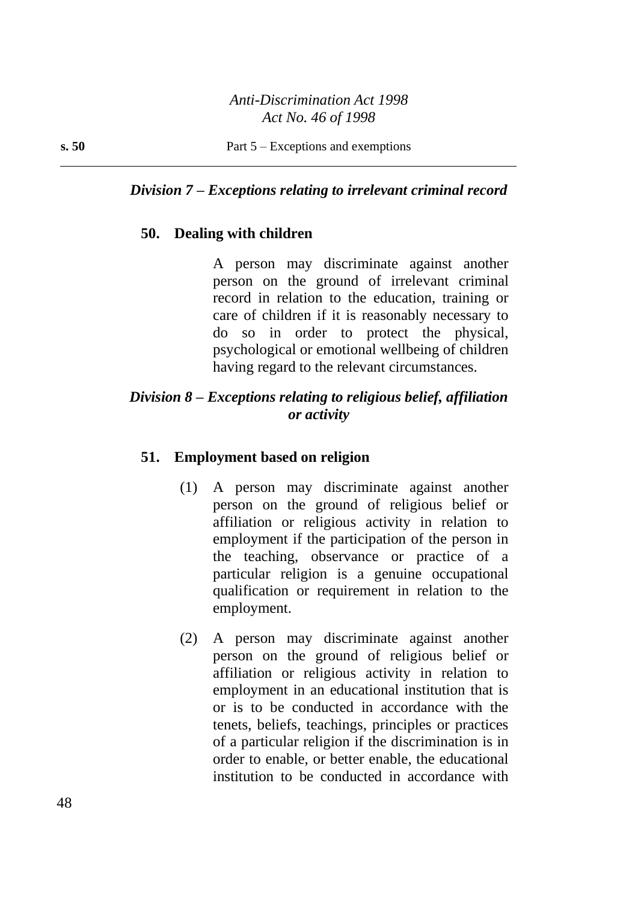## *Division 7 – Exceptions relating to irrelevant criminal record*

#### **50. Dealing with children**

A person may discriminate against another person on the ground of irrelevant criminal record in relation to the education, training or care of children if it is reasonably necessary to do so in order to protect the physical, psychological or emotional wellbeing of children having regard to the relevant circumstances.

# *Division 8 – Exceptions relating to religious belief, affiliation or activity*

#### **51. Employment based on religion**

- (1) A person may discriminate against another person on the ground of religious belief or affiliation or religious activity in relation to employment if the participation of the person in the teaching, observance or practice of a particular religion is a genuine occupational qualification or requirement in relation to the employment.
- (2) A person may discriminate against another person on the ground of religious belief or affiliation or religious activity in relation to employment in an educational institution that is or is to be conducted in accordance with the tenets, beliefs, teachings, principles or practices of a particular religion if the discrimination is in order to enable, or better enable, the educational institution to be conducted in accordance with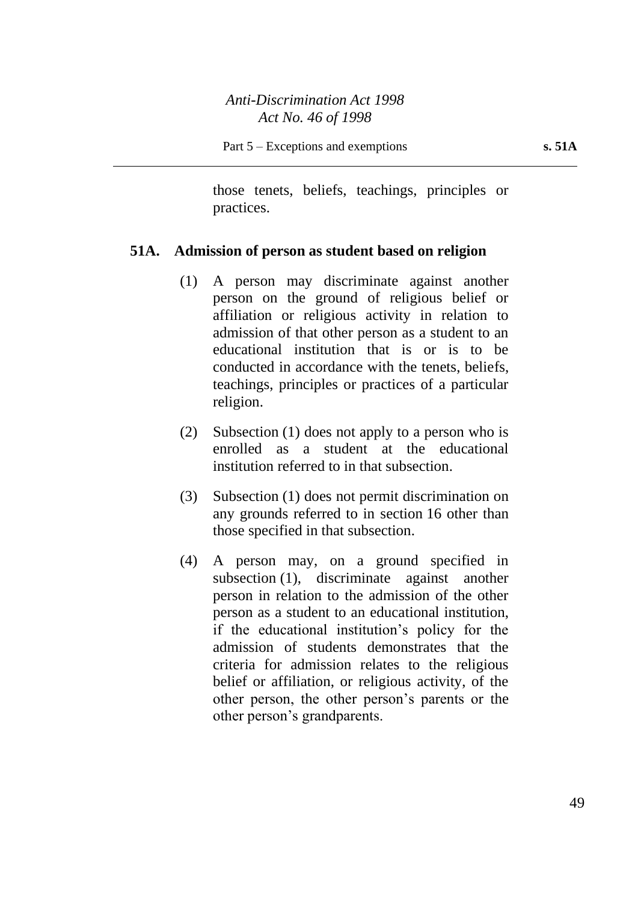those tenets, beliefs, teachings, principles or practices.

# **51A. Admission of person as student based on religion**

- (1) A person may discriminate against another person on the ground of religious belief or affiliation or religious activity in relation to admission of that other person as a student to an educational institution that is or is to be conducted in accordance with the tenets, beliefs, teachings, principles or practices of a particular religion.
- (2) Subsection (1) does not apply to a person who is enrolled as a student at the educational institution referred to in that subsection.
- (3) Subsection (1) does not permit discrimination on any grounds referred to in section 16 other than those specified in that subsection.
- (4) A person may, on a ground specified in subsection (1), discriminate against another person in relation to the admission of the other person as a student to an educational institution, if the educational institution's policy for the admission of students demonstrates that the criteria for admission relates to the religious belief or affiliation, or religious activity, of the other person, the other person's parents or the other person's grandparents.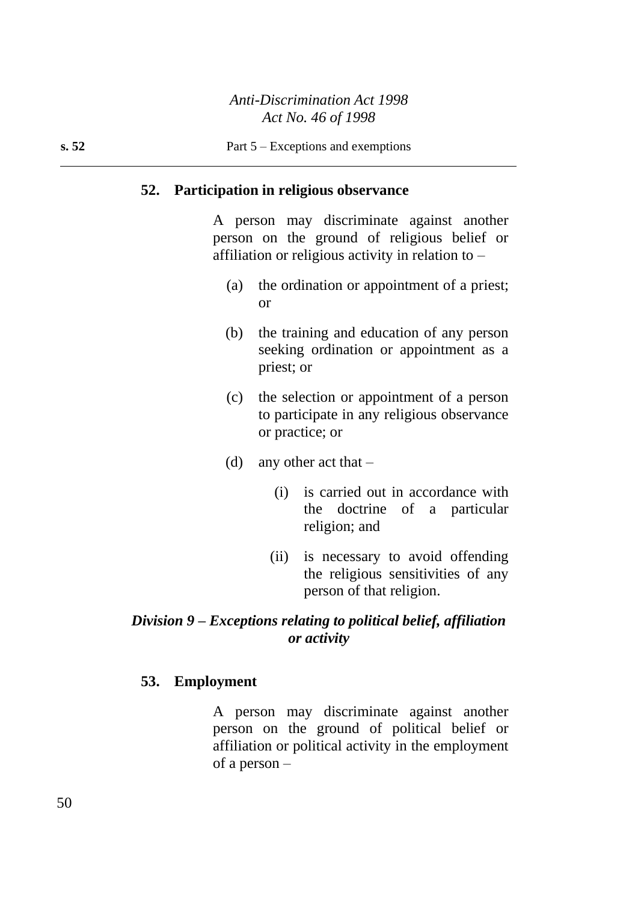#### **52. Participation in religious observance**

A person may discriminate against another person on the ground of religious belief or affiliation or religious activity in relation to –

- (a) the ordination or appointment of a priest; or
- (b) the training and education of any person seeking ordination or appointment as a priest; or
- (c) the selection or appointment of a person to participate in any religious observance or practice; or
- (d) any other act that  $-$ 
	- (i) is carried out in accordance with the doctrine of a particular religion; and
	- (ii) is necessary to avoid offending the religious sensitivities of any person of that religion.

# *Division 9 – Exceptions relating to political belief, affiliation or activity*

#### **53. Employment**

A person may discriminate against another person on the ground of political belief or affiliation or political activity in the employment of a person –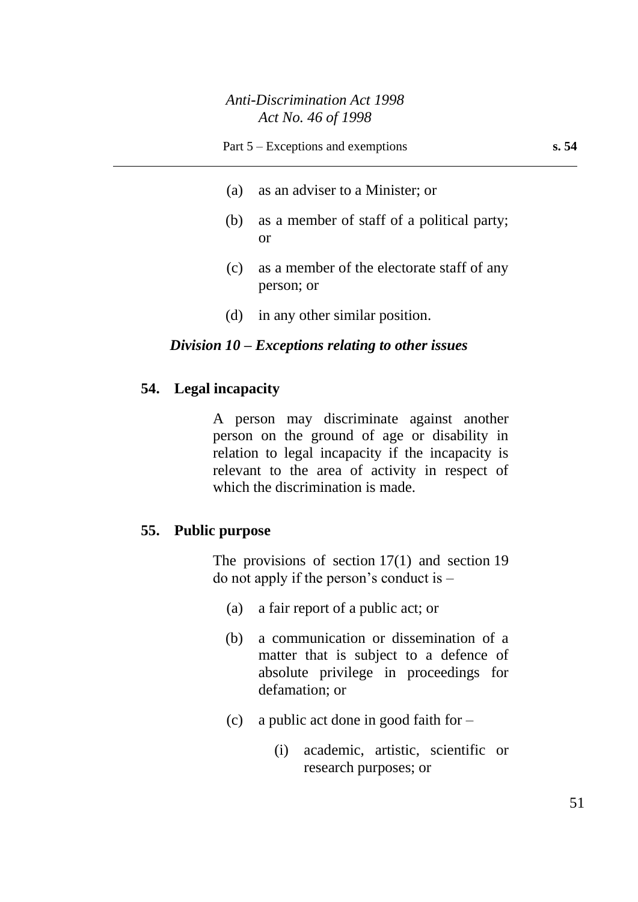- (a) as an adviser to a Minister; or
- (b) as a member of staff of a political party; or
- (c) as a member of the electorate staff of any person; or
- (d) in any other similar position.

#### *Division 10 – Exceptions relating to other issues*

### **54. Legal incapacity**

A person may discriminate against another person on the ground of age or disability in relation to legal incapacity if the incapacity is relevant to the area of activity in respect of which the discrimination is made.

#### **55. Public purpose**

The provisions of section 17(1) and section 19 do not apply if the person's conduct is –

- (a) a fair report of a public act; or
- (b) a communication or dissemination of a matter that is subject to a defence of absolute privilege in proceedings for defamation; or
- (c) a public act done in good faith for  $-$ 
	- (i) academic, artistic, scientific or research purposes; or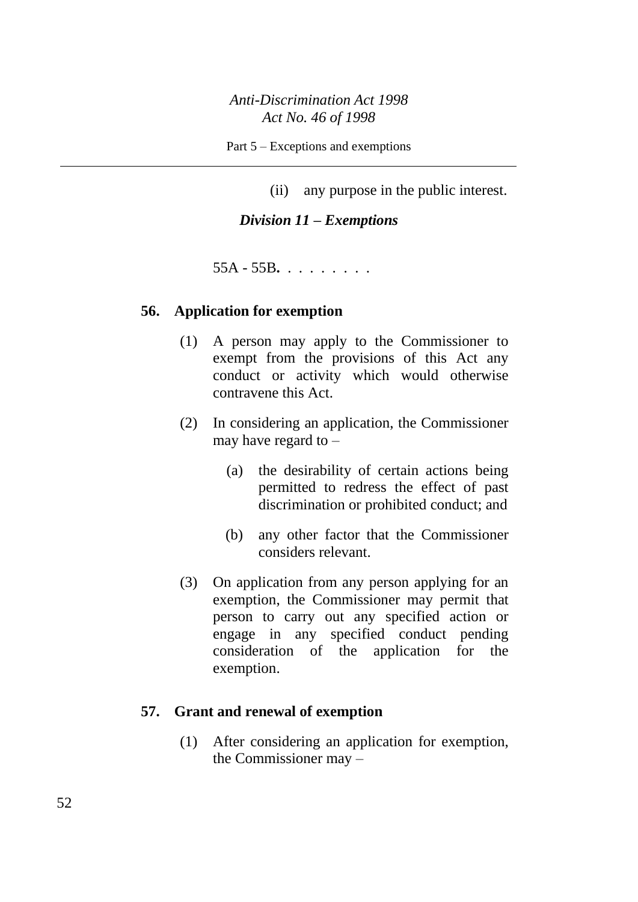Part 5 – Exceptions and exemptions

(ii) any purpose in the public interest.

### *Division 11 – Exemptions*

55A - 55B**.** . . . . . . . .

#### **56. Application for exemption**

- (1) A person may apply to the Commissioner to exempt from the provisions of this Act any conduct or activity which would otherwise contravene this Act.
- (2) In considering an application, the Commissioner may have regard to –
	- (a) the desirability of certain actions being permitted to redress the effect of past discrimination or prohibited conduct; and
	- (b) any other factor that the Commissioner considers relevant.
- (3) On application from any person applying for an exemption, the Commissioner may permit that person to carry out any specified action or engage in any specified conduct pending consideration of the application for the exemption.

# **57. Grant and renewal of exemption**

(1) After considering an application for exemption, the Commissioner may –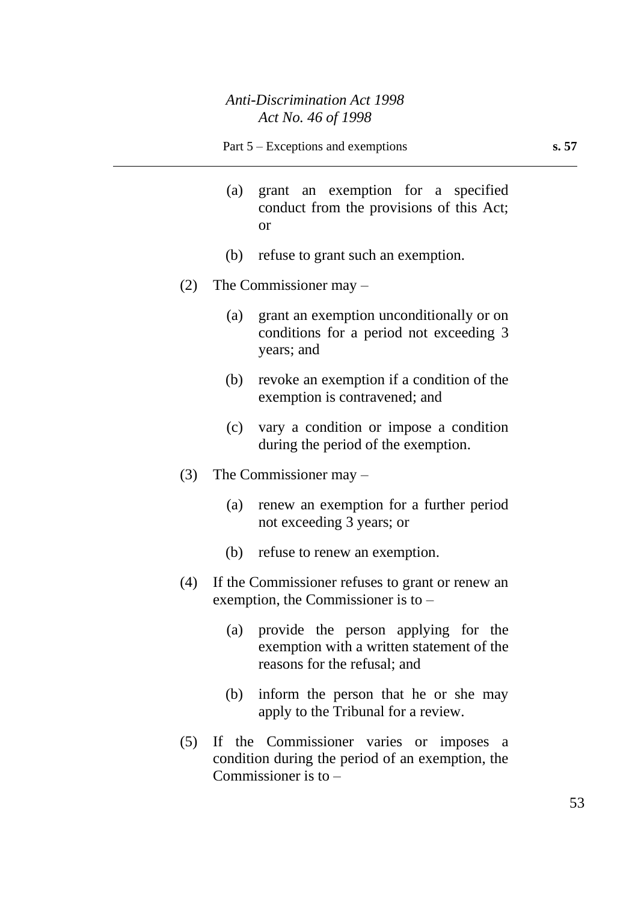- (a) grant an exemption for a specified conduct from the provisions of this Act; or
- (b) refuse to grant such an exemption.
- (2) The Commissioner may
	- (a) grant an exemption unconditionally or on conditions for a period not exceeding 3 years; and
	- (b) revoke an exemption if a condition of the exemption is contravened; and
	- (c) vary a condition or impose a condition during the period of the exemption.
- (3) The Commissioner may
	- (a) renew an exemption for a further period not exceeding 3 years; or
	- (b) refuse to renew an exemption.
- (4) If the Commissioner refuses to grant or renew an exemption, the Commissioner is to –
	- (a) provide the person applying for the exemption with a written statement of the reasons for the refusal; and
	- (b) inform the person that he or she may apply to the Tribunal for a review.
- (5) If the Commissioner varies or imposes a condition during the period of an exemption, the Commissioner is to –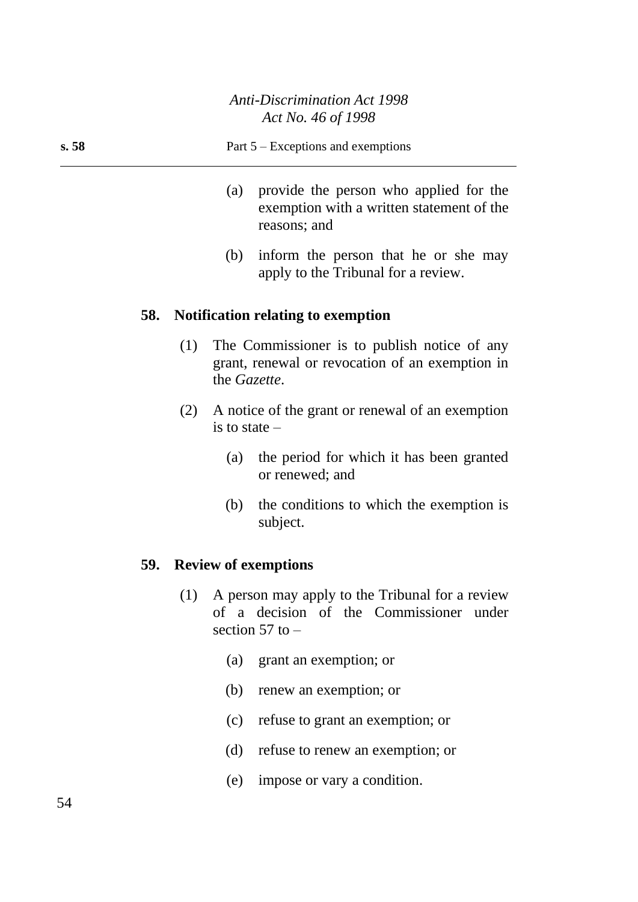#### **s. 58** Part 5 – Exceptions and exemptions

- (a) provide the person who applied for the exemption with a written statement of the reasons; and
- (b) inform the person that he or she may apply to the Tribunal for a review.

#### **58. Notification relating to exemption**

- (1) The Commissioner is to publish notice of any grant, renewal or revocation of an exemption in the *Gazette*.
- (2) A notice of the grant or renewal of an exemption is to state –
	- (a) the period for which it has been granted or renewed; and
	- (b) the conditions to which the exemption is subject.

#### **59. Review of exemptions**

- (1) A person may apply to the Tribunal for a review of a decision of the Commissioner under section  $57$  to  $-$ 
	- (a) grant an exemption; or
	- (b) renew an exemption; or
	- (c) refuse to grant an exemption; or
	- (d) refuse to renew an exemption; or
	- (e) impose or vary a condition.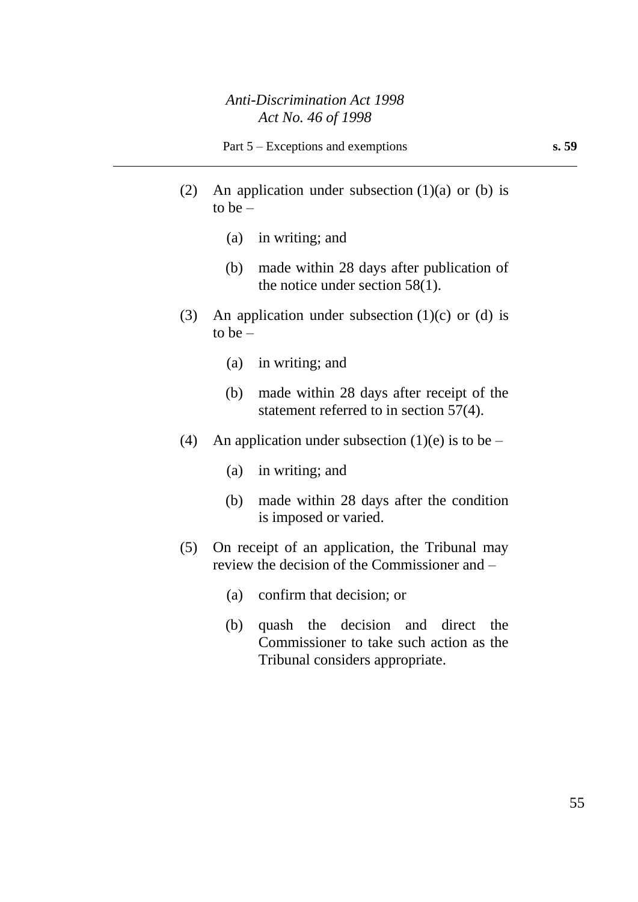- (2) An application under subsection  $(1)(a)$  or  $(b)$  is to be  $-$ 
	- (a) in writing; and
	- (b) made within 28 days after publication of the notice under section 58(1).
- (3) An application under subsection  $(1)(c)$  or  $(d)$  is to be  $-$ 
	- (a) in writing; and
	- (b) made within 28 days after receipt of the statement referred to in section 57(4).
- (4) An application under subsection (1)(e) is to be
	- (a) in writing; and
	- (b) made within 28 days after the condition is imposed or varied.
- (5) On receipt of an application, the Tribunal may review the decision of the Commissioner and –
	- (a) confirm that decision; or
	- (b) quash the decision and direct the Commissioner to take such action as the Tribunal considers appropriate.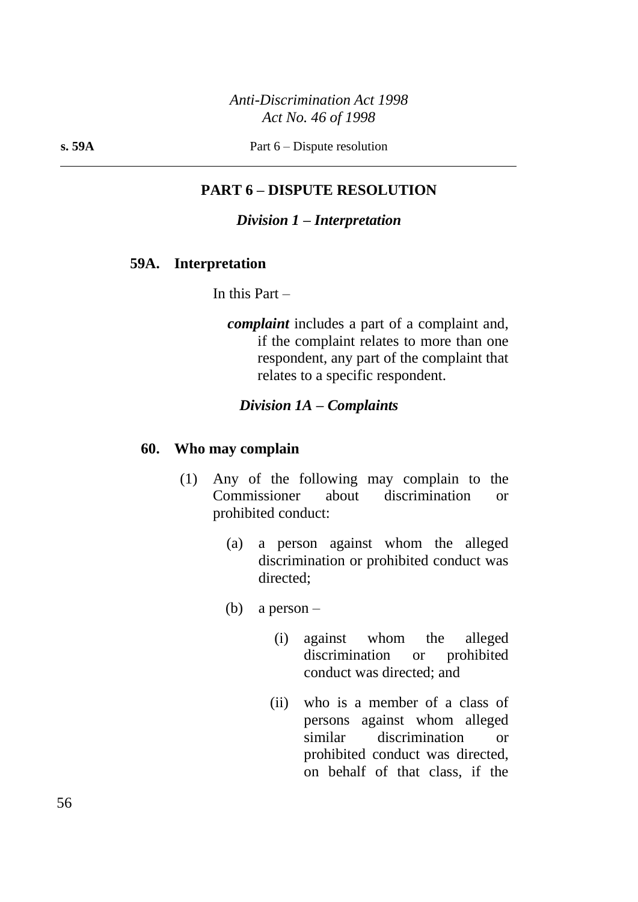**s. 59A** Part 6 – Dispute resolution

# **PART 6 – DISPUTE RESOLUTION**

#### *Division 1 – Interpretation*

#### **59A. Interpretation**

In this Part –

*complaint* includes a part of a complaint and, if the complaint relates to more than one respondent, any part of the complaint that relates to a specific respondent.

#### *Division 1A – Complaints*

#### **60. Who may complain**

- (1) Any of the following may complain to the Commissioner about discrimination or prohibited conduct:
	- (a) a person against whom the alleged discrimination or prohibited conduct was directed;
	- (b) a person
		- (i) against whom the alleged discrimination or prohibited conduct was directed; and
		- (ii) who is a member of a class of persons against whom alleged similar discrimination or prohibited conduct was directed, on behalf of that class, if the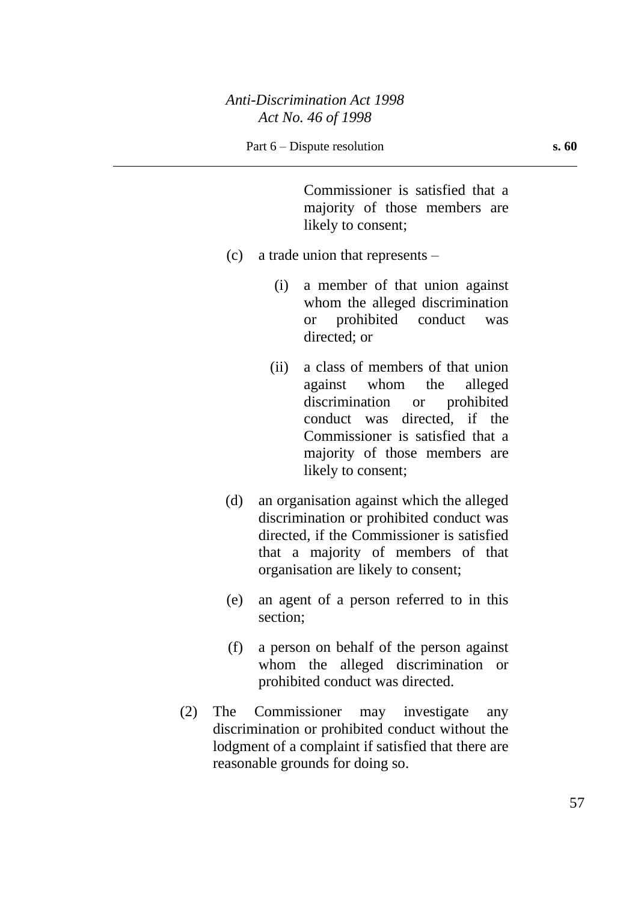Commissioner is satisfied that a majority of those members are likely to consent;

- (c) a trade union that represents
	- (i) a member of that union against whom the alleged discrimination or prohibited conduct was directed; or
	- (ii) a class of members of that union against whom the alleged discrimination or prohibited conduct was directed, if the Commissioner is satisfied that a majority of those members are likely to consent;
- (d) an organisation against which the alleged discrimination or prohibited conduct was directed, if the Commissioner is satisfied that a majority of members of that organisation are likely to consent;
- (e) an agent of a person referred to in this section;
- (f) a person on behalf of the person against whom the alleged discrimination or prohibited conduct was directed.
- (2) The Commissioner may investigate any discrimination or prohibited conduct without the lodgment of a complaint if satisfied that there are reasonable grounds for doing so.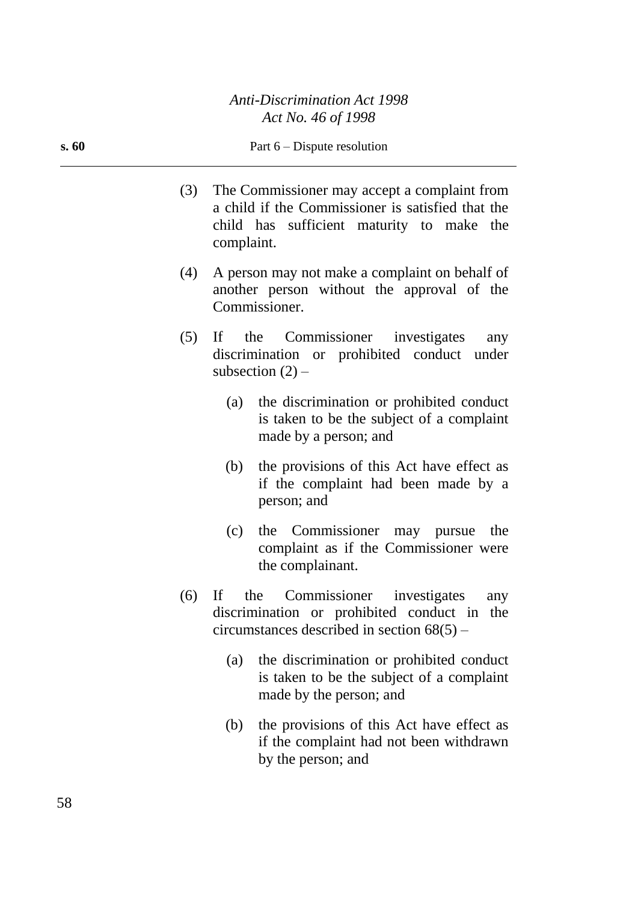#### **s. 60** Part 6 – Dispute resolution

- (3) The Commissioner may accept a complaint from a child if the Commissioner is satisfied that the child has sufficient maturity to make the complaint.
- (4) A person may not make a complaint on behalf of another person without the approval of the Commissioner.
- (5) If the Commissioner investigates any discrimination or prohibited conduct under subsection  $(2)$  –
	- (a) the discrimination or prohibited conduct is taken to be the subject of a complaint made by a person; and
	- (b) the provisions of this Act have effect as if the complaint had been made by a person; and
	- (c) the Commissioner may pursue the complaint as if the Commissioner were the complainant.
- (6) If the Commissioner investigates any discrimination or prohibited conduct in the circumstances described in section 68(5) –
	- (a) the discrimination or prohibited conduct is taken to be the subject of a complaint made by the person; and
	- (b) the provisions of this Act have effect as if the complaint had not been withdrawn by the person; and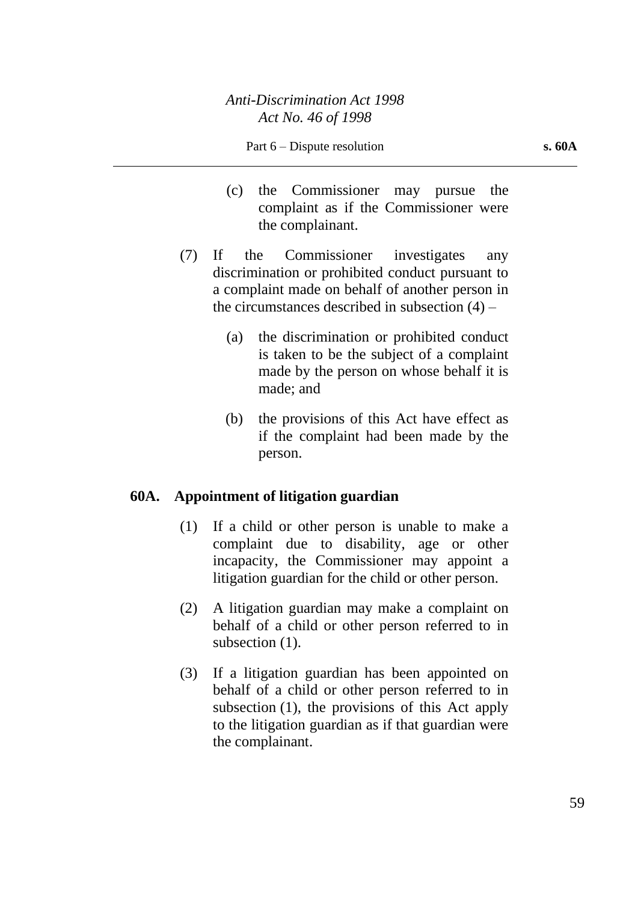- (c) the Commissioner may pursue the complaint as if the Commissioner were the complainant.
- (7) If the Commissioner investigates any discrimination or prohibited conduct pursuant to a complaint made on behalf of another person in the circumstances described in subsection (4) –
	- (a) the discrimination or prohibited conduct is taken to be the subject of a complaint made by the person on whose behalf it is made; and
	- (b) the provisions of this Act have effect as if the complaint had been made by the person.

# **60A. Appointment of litigation guardian**

- (1) If a child or other person is unable to make a complaint due to disability, age or other incapacity, the Commissioner may appoint a litigation guardian for the child or other person.
- (2) A litigation guardian may make a complaint on behalf of a child or other person referred to in subsection  $(1)$ .
- (3) If a litigation guardian has been appointed on behalf of a child or other person referred to in subsection (1), the provisions of this Act apply to the litigation guardian as if that guardian were the complainant.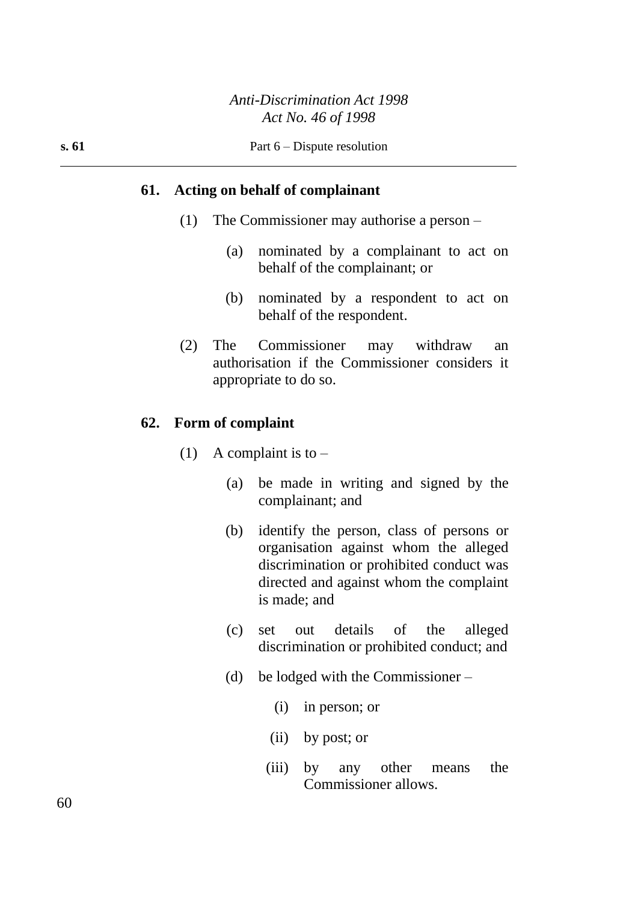#### **61. Acting on behalf of complainant**

- (1) The Commissioner may authorise a person
	- (a) nominated by a complainant to act on behalf of the complainant; or
	- (b) nominated by a respondent to act on behalf of the respondent.
- (2) The Commissioner may withdraw an authorisation if the Commissioner considers it appropriate to do so.

#### **62. Form of complaint**

- (1) A complaint is to  $-$ 
	- (a) be made in writing and signed by the complainant; and
	- (b) identify the person, class of persons or organisation against whom the alleged discrimination or prohibited conduct was directed and against whom the complaint is made; and
	- (c) set out details of the alleged discrimination or prohibited conduct; and
	- (d) be lodged with the Commissioner
		- (i) in person; or
		- (ii) by post; or
		- (iii) by any other means the Commissioner allows.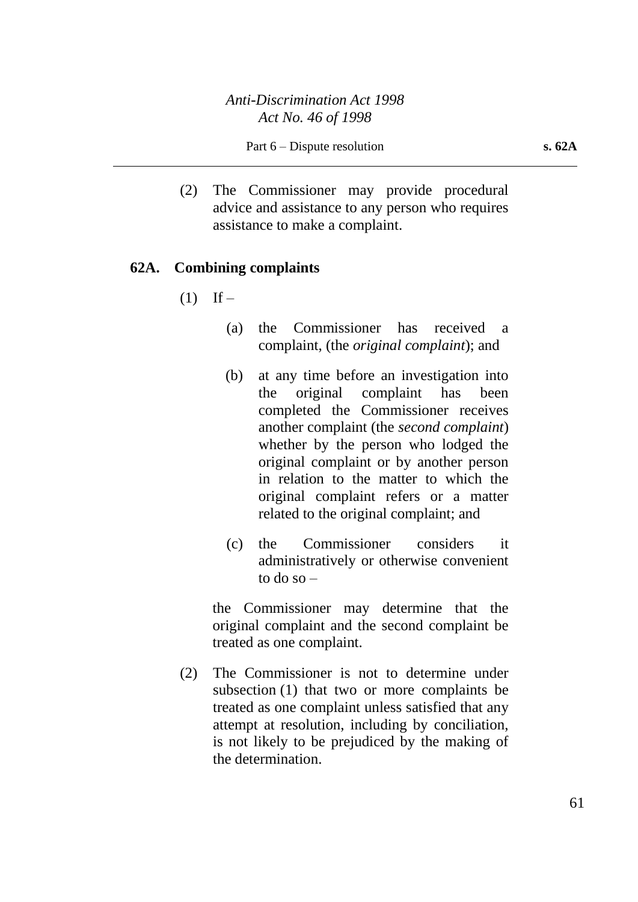(2) The Commissioner may provide procedural advice and assistance to any person who requires assistance to make a complaint.

# **62A. Combining complaints**

- $(1)$  If
	- (a) the Commissioner has received a complaint, (the *original complaint*); and
	- (b) at any time before an investigation into the original complaint has been completed the Commissioner receives another complaint (the *second complaint*) whether by the person who lodged the original complaint or by another person in relation to the matter to which the original complaint refers or a matter related to the original complaint; and
	- (c) the Commissioner considers it administratively or otherwise convenient to do so –

the Commissioner may determine that the original complaint and the second complaint be treated as one complaint.

(2) The Commissioner is not to determine under subsection (1) that two or more complaints be treated as one complaint unless satisfied that any attempt at resolution, including by conciliation, is not likely to be prejudiced by the making of the determination.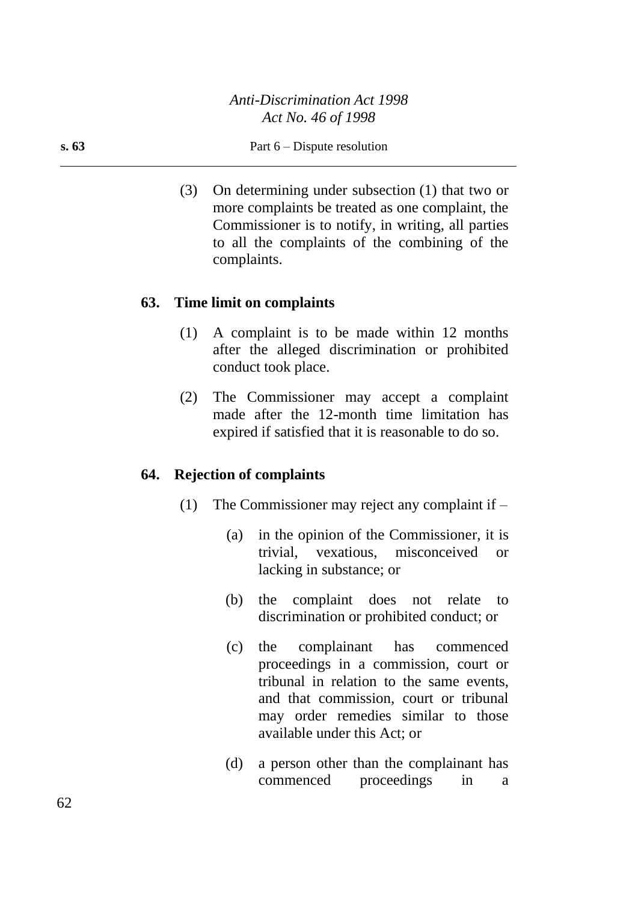#### **s. 63** Part 6 – Dispute resolution

(3) On determining under subsection (1) that two or more complaints be treated as one complaint, the Commissioner is to notify, in writing, all parties to all the complaints of the combining of the complaints.

## **63. Time limit on complaints**

- (1) A complaint is to be made within 12 months after the alleged discrimination or prohibited conduct took place.
- (2) The Commissioner may accept a complaint made after the 12-month time limitation has expired if satisfied that it is reasonable to do so.

#### **64. Rejection of complaints**

- (1) The Commissioner may reject any complaint if
	- (a) in the opinion of the Commissioner, it is trivial, vexatious, misconceived or lacking in substance; or
	- (b) the complaint does not relate to discrimination or prohibited conduct; or
	- (c) the complainant has commenced proceedings in a commission, court or tribunal in relation to the same events, and that commission, court or tribunal may order remedies similar to those available under this Act; or
	- (d) a person other than the complainant has commenced proceedings in a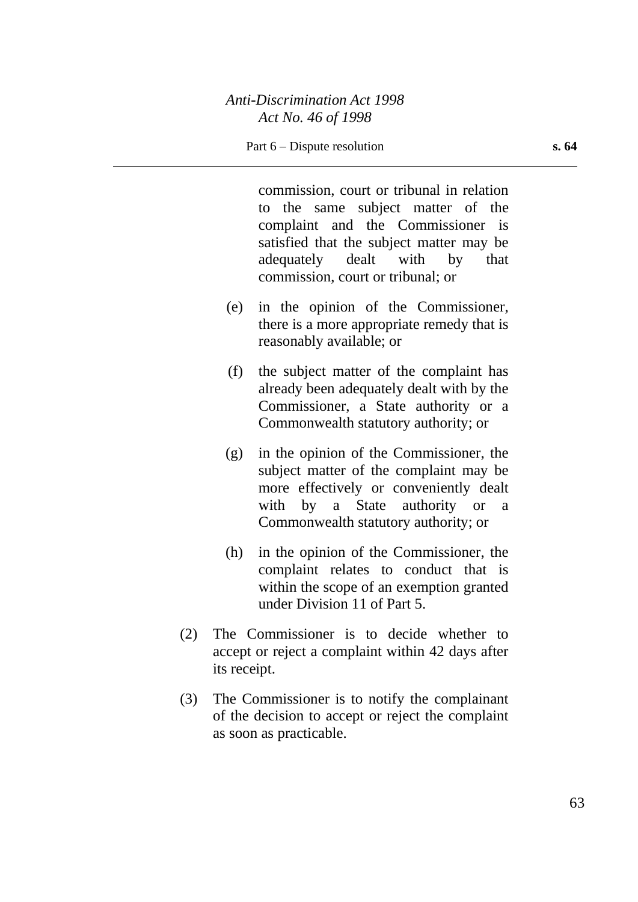commission, court or tribunal in relation to the same subject matter of the complaint and the Commissioner is satisfied that the subject matter may be adequately dealt with by that commission, court or tribunal; or

- (e) in the opinion of the Commissioner, there is a more appropriate remedy that is reasonably available; or
- (f) the subject matter of the complaint has already been adequately dealt with by the Commissioner, a State authority or a Commonwealth statutory authority; or
- (g) in the opinion of the Commissioner, the subject matter of the complaint may be more effectively or conveniently dealt with by a State authority or a Commonwealth statutory authority; or
- (h) in the opinion of the Commissioner, the complaint relates to conduct that is within the scope of an exemption granted under Division 11 of Part 5.
- (2) The Commissioner is to decide whether to accept or reject a complaint within 42 days after its receipt.
- (3) The Commissioner is to notify the complainant of the decision to accept or reject the complaint as soon as practicable.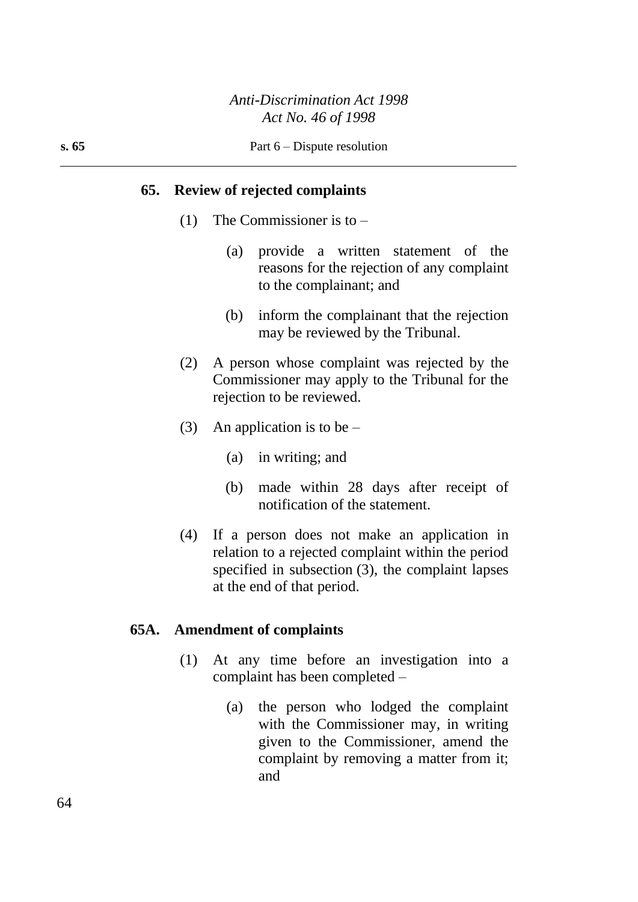#### **65. Review of rejected complaints**

- (1) The Commissioner is to
	- (a) provide a written statement of the reasons for the rejection of any complaint to the complainant; and
	- (b) inform the complainant that the rejection may be reviewed by the Tribunal.
- (2) A person whose complaint was rejected by the Commissioner may apply to the Tribunal for the rejection to be reviewed.
- (3) An application is to be  $-$ 
	- (a) in writing; and
	- (b) made within 28 days after receipt of notification of the statement.
- (4) If a person does not make an application in relation to a rejected complaint within the period specified in subsection (3), the complaint lapses at the end of that period.

# **65A. Amendment of complaints**

- (1) At any time before an investigation into a complaint has been completed –
	- (a) the person who lodged the complaint with the Commissioner may, in writing given to the Commissioner, amend the complaint by removing a matter from it; and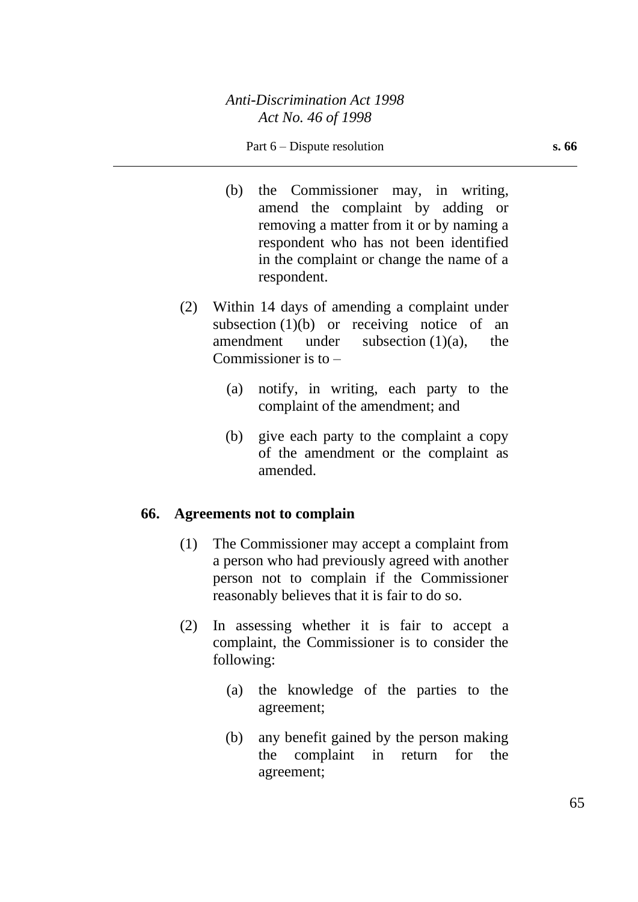- (b) the Commissioner may, in writing, amend the complaint by adding or removing a matter from it or by naming a respondent who has not been identified in the complaint or change the name of a respondent.
- (2) Within 14 days of amending a complaint under subsection  $(1)(b)$  or receiving notice of an amendment under subsection (1)(a), the Commissioner is to –
	- (a) notify, in writing, each party to the complaint of the amendment; and
	- (b) give each party to the complaint a copy of the amendment or the complaint as amended.

# **66. Agreements not to complain**

- (1) The Commissioner may accept a complaint from a person who had previously agreed with another person not to complain if the Commissioner reasonably believes that it is fair to do so.
- (2) In assessing whether it is fair to accept a complaint, the Commissioner is to consider the following:
	- (a) the knowledge of the parties to the agreement;
	- (b) any benefit gained by the person making the complaint in return for the agreement;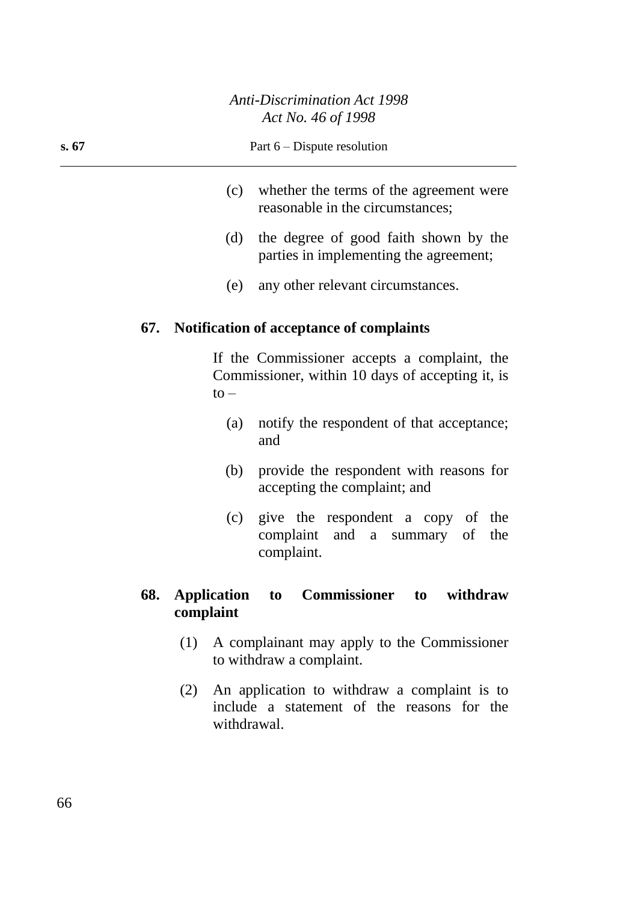#### **s. 67** Part 6 – Dispute resolution

- (c) whether the terms of the agreement were reasonable in the circumstances;
- (d) the degree of good faith shown by the parties in implementing the agreement;
- (e) any other relevant circumstances.

## **67. Notification of acceptance of complaints**

If the Commissioner accepts a complaint, the Commissioner, within 10 days of accepting it, is  $to -$ 

- (a) notify the respondent of that acceptance; and
- (b) provide the respondent with reasons for accepting the complaint; and
- (c) give the respondent a copy of the complaint and a summary of the complaint.

# **68. Application to Commissioner to withdraw complaint**

- (1) A complainant may apply to the Commissioner to withdraw a complaint.
- (2) An application to withdraw a complaint is to include a statement of the reasons for the withdrawal.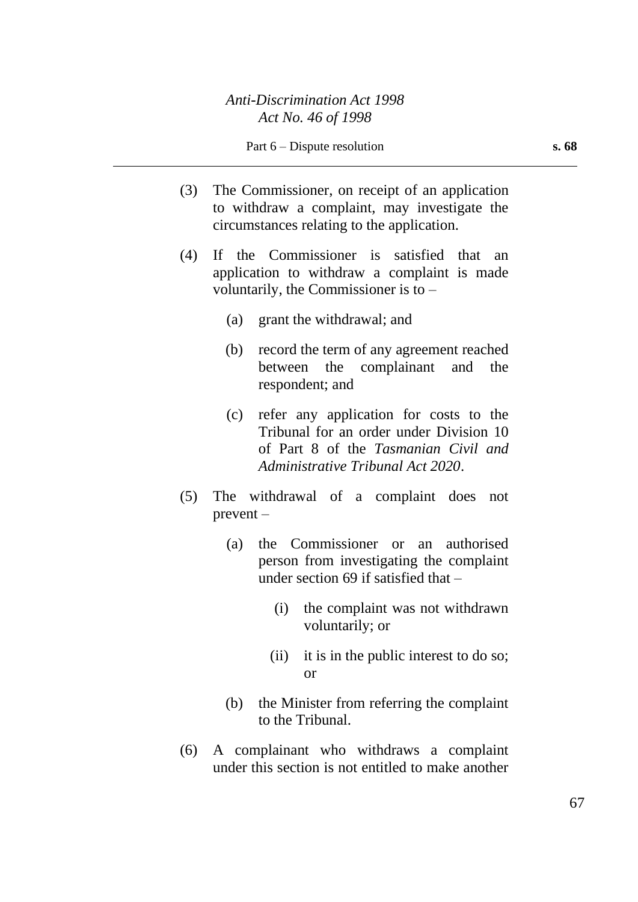- (3) The Commissioner, on receipt of an application to withdraw a complaint, may investigate the circumstances relating to the application.
- (4) If the Commissioner is satisfied that an application to withdraw a complaint is made voluntarily, the Commissioner is to –
	- (a) grant the withdrawal; and
	- (b) record the term of any agreement reached between the complainant and the respondent; and
	- (c) refer any application for costs to the Tribunal for an order under Division 10 of Part 8 of the *Tasmanian Civil and Administrative Tribunal Act 2020*.
- (5) The withdrawal of a complaint does not prevent –
	- (a) the Commissioner or an authorised person from investigating the complaint under section 69 if satisfied that –
		- (i) the complaint was not withdrawn voluntarily; or
		- (ii) it is in the public interest to do so; or
	- (b) the Minister from referring the complaint to the Tribunal.
- (6) A complainant who withdraws a complaint under this section is not entitled to make another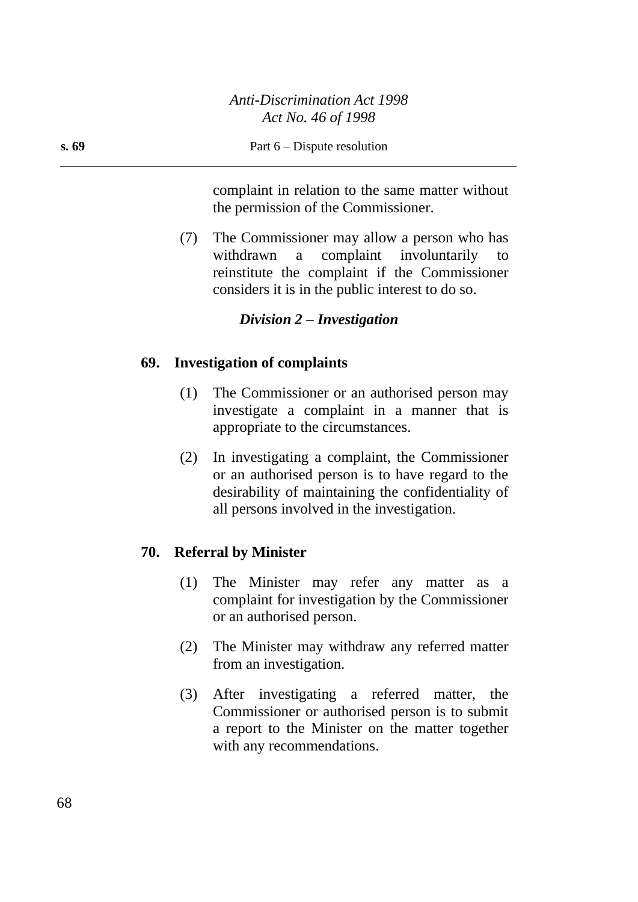complaint in relation to the same matter without the permission of the Commissioner.

(7) The Commissioner may allow a person who has withdrawn a complaint involuntarily reinstitute the complaint if the Commissioner considers it is in the public interest to do so.

# *Division 2 – Investigation*

#### **69. Investigation of complaints**

- (1) The Commissioner or an authorised person may investigate a complaint in a manner that is appropriate to the circumstances.
- (2) In investigating a complaint, the Commissioner or an authorised person is to have regard to the desirability of maintaining the confidentiality of all persons involved in the investigation.

#### **70. Referral by Minister**

- (1) The Minister may refer any matter as a complaint for investigation by the Commissioner or an authorised person.
- (2) The Minister may withdraw any referred matter from an investigation.
- (3) After investigating a referred matter, the Commissioner or authorised person is to submit a report to the Minister on the matter together with any recommendations.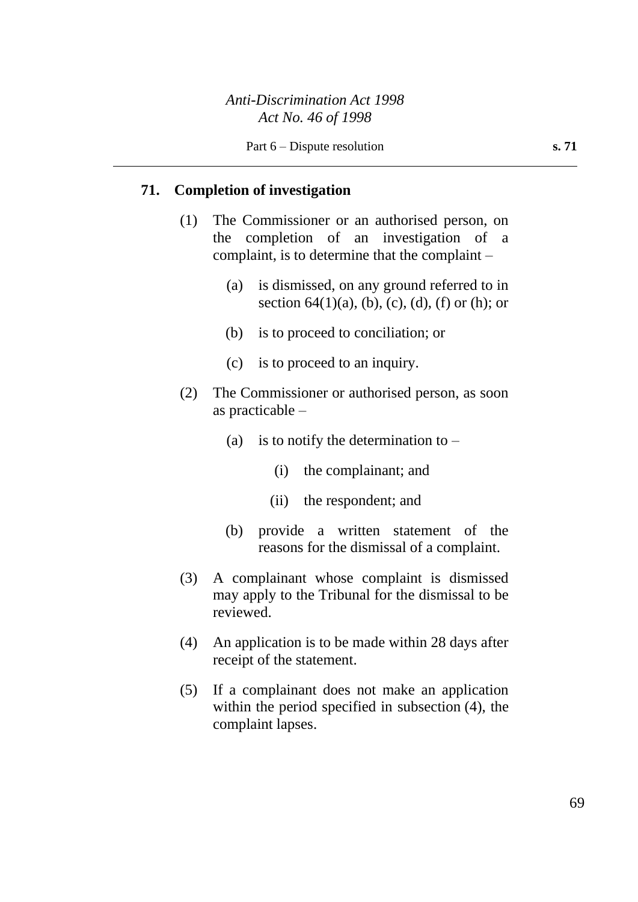# **71. Completion of investigation**

- (1) The Commissioner or an authorised person, on the completion of an investigation of a complaint, is to determine that the complaint –
	- (a) is dismissed, on any ground referred to in section  $64(1)(a)$ , (b), (c), (d), (f) or (h); or
	- (b) is to proceed to conciliation; or
	- (c) is to proceed to an inquiry.
- (2) The Commissioner or authorised person, as soon as practicable –
	- (a) is to notify the determination to  $-$ 
		- (i) the complainant; and
		- (ii) the respondent; and
	- (b) provide a written statement of the reasons for the dismissal of a complaint.
- (3) A complainant whose complaint is dismissed may apply to the Tribunal for the dismissal to be reviewed.
- (4) An application is to be made within 28 days after receipt of the statement.
- (5) If a complainant does not make an application within the period specified in subsection (4), the complaint lapses.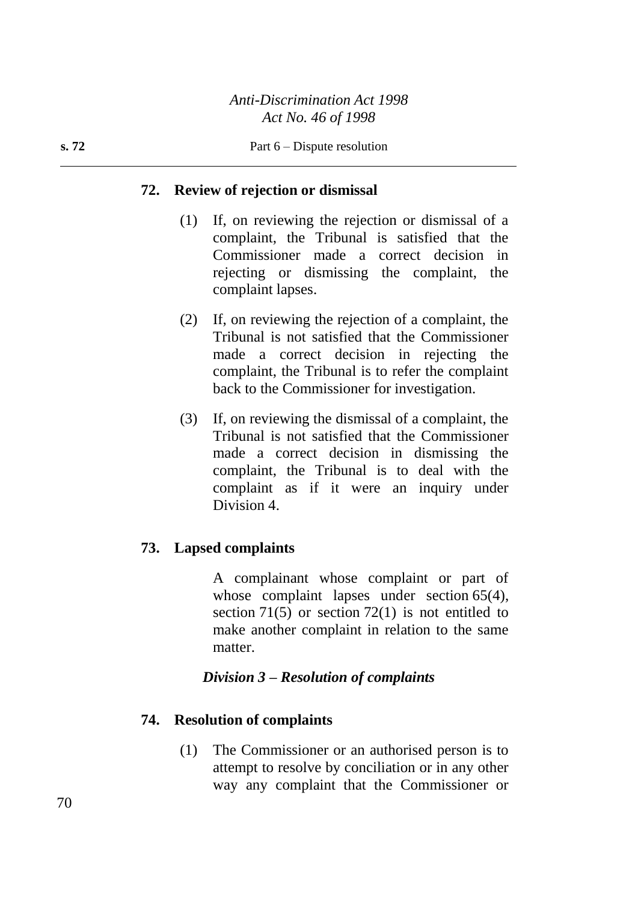# **72. Review of rejection or dismissal**

- (1) If, on reviewing the rejection or dismissal of a complaint, the Tribunal is satisfied that the Commissioner made a correct decision in rejecting or dismissing the complaint, the complaint lapses.
- (2) If, on reviewing the rejection of a complaint, the Tribunal is not satisfied that the Commissioner made a correct decision in rejecting the complaint, the Tribunal is to refer the complaint back to the Commissioner for investigation.
- (3) If, on reviewing the dismissal of a complaint, the Tribunal is not satisfied that the Commissioner made a correct decision in dismissing the complaint, the Tribunal is to deal with the complaint as if it were an inquiry under Division 4.

# **73. Lapsed complaints**

A complainant whose complaint or part of whose complaint lapses under section 65(4), section 71(5) or section 72(1) is not entitled to make another complaint in relation to the same matter.

# *Division 3 – Resolution of complaints*

# **74. Resolution of complaints**

(1) The Commissioner or an authorised person is to attempt to resolve by conciliation or in any other way any complaint that the Commissioner or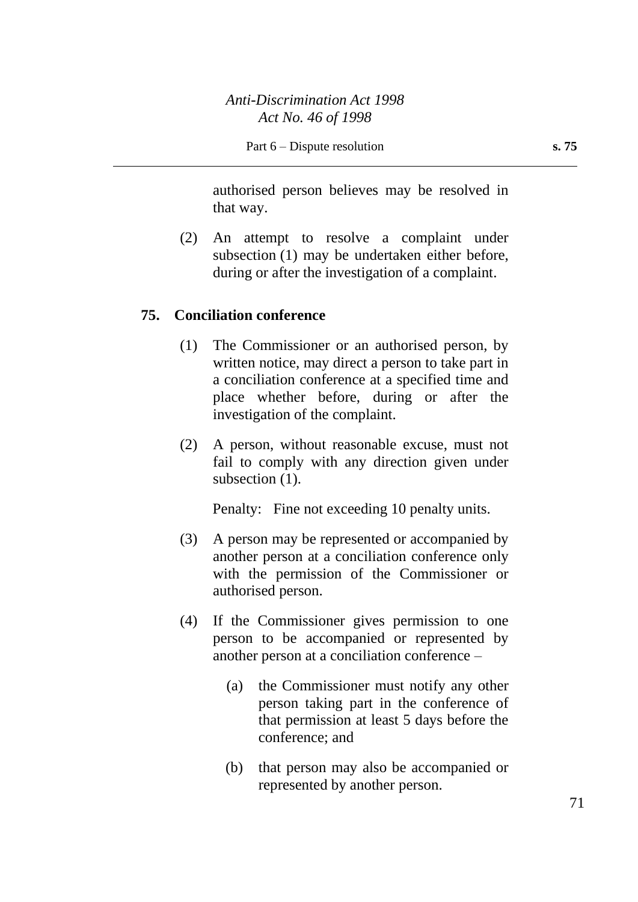authorised person believes may be resolved in that way.

(2) An attempt to resolve a complaint under subsection (1) may be undertaken either before, during or after the investigation of a complaint.

#### **75. Conciliation conference**

- (1) The Commissioner or an authorised person, by written notice, may direct a person to take part in a conciliation conference at a specified time and place whether before, during or after the investigation of the complaint.
- (2) A person, without reasonable excuse, must not fail to comply with any direction given under subsection  $(1)$ .

Penalty: Fine not exceeding 10 penalty units.

- (3) A person may be represented or accompanied by another person at a conciliation conference only with the permission of the Commissioner or authorised person.
- (4) If the Commissioner gives permission to one person to be accompanied or represented by another person at a conciliation conference –
	- (a) the Commissioner must notify any other person taking part in the conference of that permission at least 5 days before the conference; and
	- (b) that person may also be accompanied or represented by another person.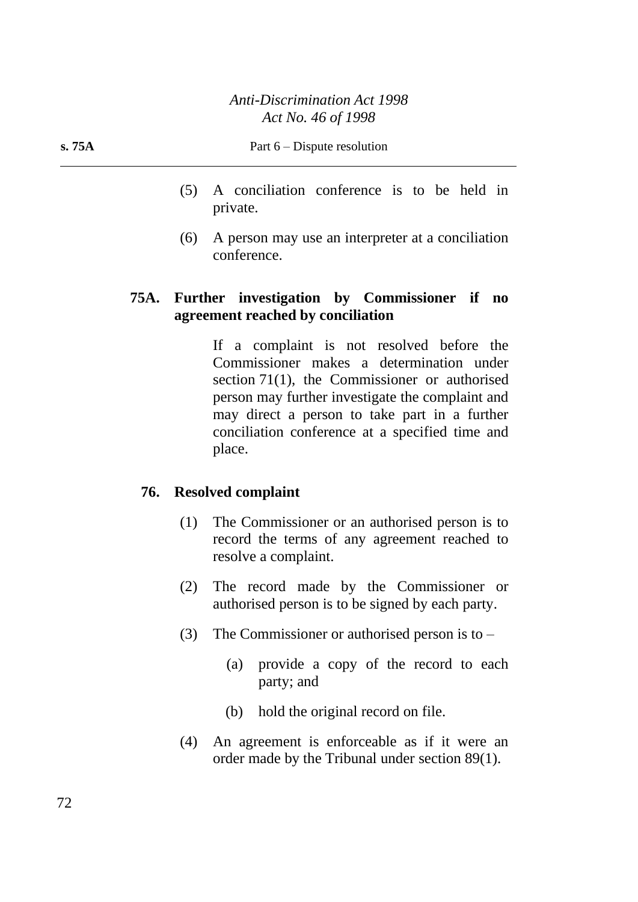- (5) A conciliation conference is to be held in private.
- (6) A person may use an interpreter at a conciliation conference.

# **75A. Further investigation by Commissioner if no agreement reached by conciliation**

If a complaint is not resolved before the Commissioner makes a determination under section 71(1), the Commissioner or authorised person may further investigate the complaint and may direct a person to take part in a further conciliation conference at a specified time and place.

# **76. Resolved complaint**

- (1) The Commissioner or an authorised person is to record the terms of any agreement reached to resolve a complaint.
- (2) The record made by the Commissioner or authorised person is to be signed by each party.
- (3) The Commissioner or authorised person is to  $-$ 
	- (a) provide a copy of the record to each party; and
	- (b) hold the original record on file.
- (4) An agreement is enforceable as if it were an order made by the Tribunal under section 89(1).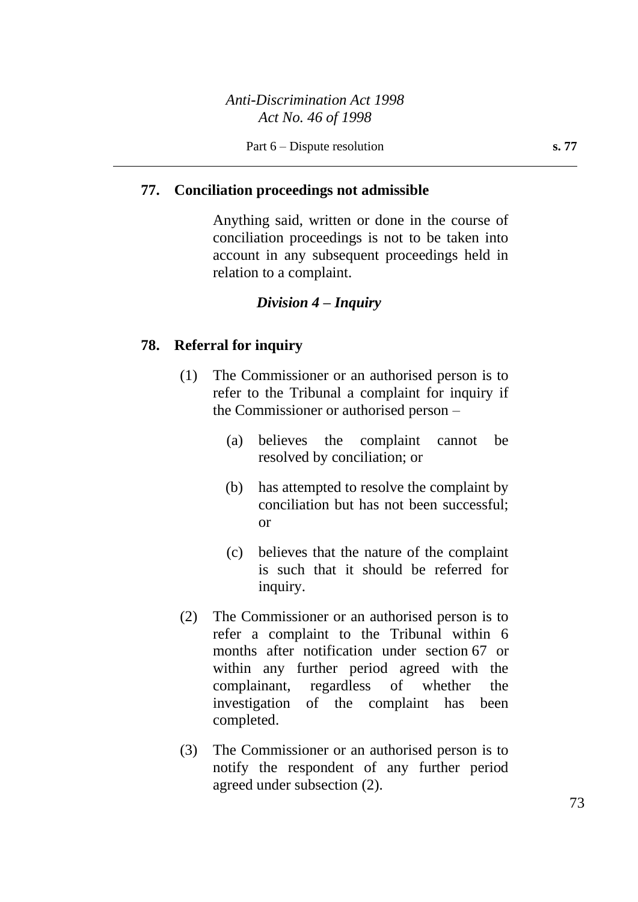## **77. Conciliation proceedings not admissible**

Anything said, written or done in the course of conciliation proceedings is not to be taken into account in any subsequent proceedings held in relation to a complaint.

### *Division 4 – Inquiry*

### **78. Referral for inquiry**

- (1) The Commissioner or an authorised person is to refer to the Tribunal a complaint for inquiry if the Commissioner or authorised person –
	- (a) believes the complaint cannot be resolved by conciliation; or
	- (b) has attempted to resolve the complaint by conciliation but has not been successful; or
	- (c) believes that the nature of the complaint is such that it should be referred for inquiry.
- (2) The Commissioner or an authorised person is to refer a complaint to the Tribunal within 6 months after notification under section 67 or within any further period agreed with the complainant, regardless of whether the investigation of the complaint has been completed.
- (3) The Commissioner or an authorised person is to notify the respondent of any further period agreed under subsection (2).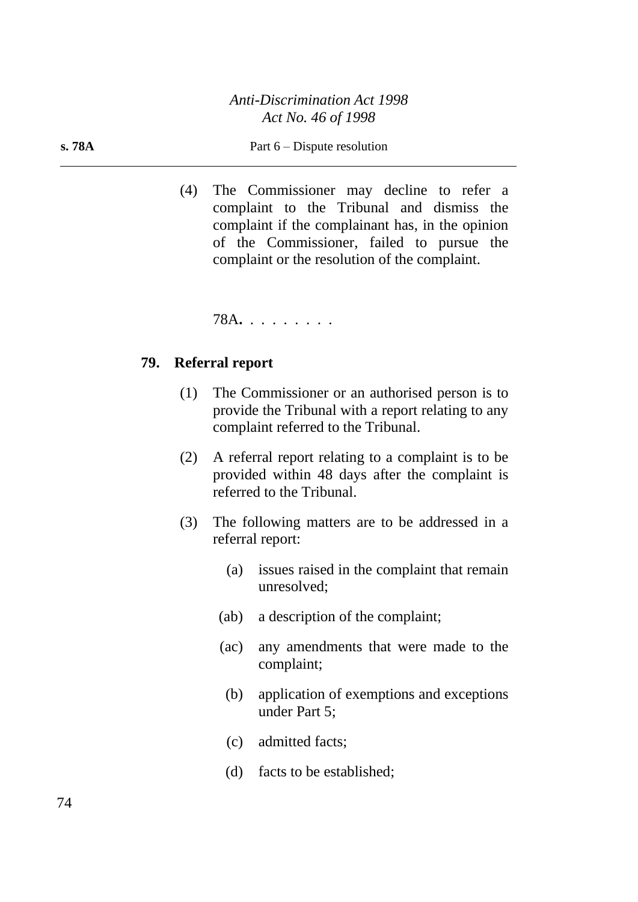#### **s. 78A** Part 6 – Dispute resolution

(4) The Commissioner may decline to refer a complaint to the Tribunal and dismiss the complaint if the complainant has, in the opinion of the Commissioner, failed to pursue the complaint or the resolution of the complaint.

78A**.** . . . . . . . .

### **79. Referral report**

- (1) The Commissioner or an authorised person is to provide the Tribunal with a report relating to any complaint referred to the Tribunal.
- (2) A referral report relating to a complaint is to be provided within 48 days after the complaint is referred to the Tribunal.
- (3) The following matters are to be addressed in a referral report:
	- (a) issues raised in the complaint that remain unresolved;
	- (ab) a description of the complaint;
	- (ac) any amendments that were made to the complaint;
		- (b) application of exemptions and exceptions under Part 5;
		- (c) admitted facts;
		- (d) facts to be established;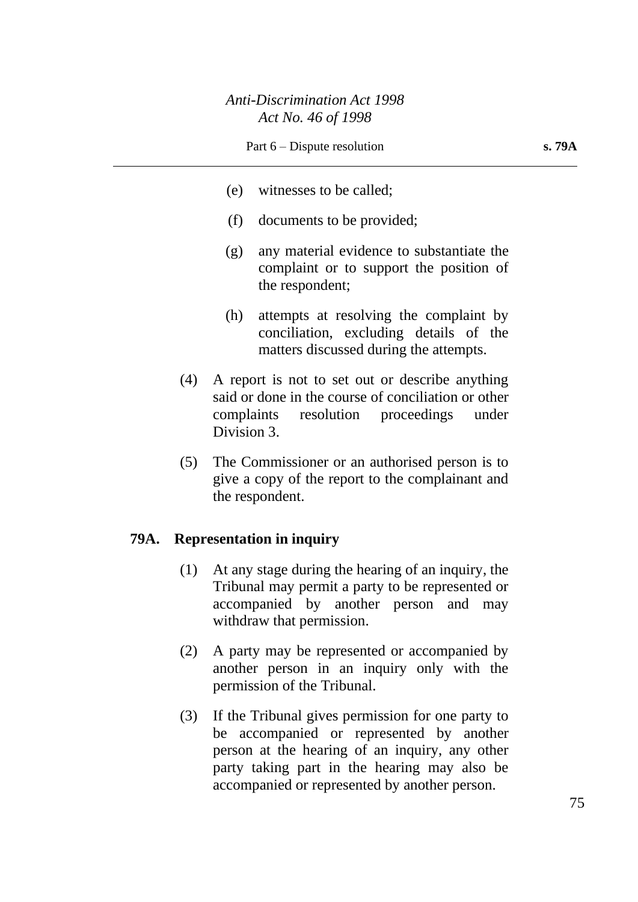- (e) witnesses to be called;
- (f) documents to be provided;
- (g) any material evidence to substantiate the complaint or to support the position of the respondent;
- (h) attempts at resolving the complaint by conciliation, excluding details of the matters discussed during the attempts.
- (4) A report is not to set out or describe anything said or done in the course of conciliation or other complaints resolution proceedings under Division 3.
- (5) The Commissioner or an authorised person is to give a copy of the report to the complainant and the respondent.

## **79A. Representation in inquiry**

- (1) At any stage during the hearing of an inquiry, the Tribunal may permit a party to be represented or accompanied by another person and may withdraw that permission.
- (2) A party may be represented or accompanied by another person in an inquiry only with the permission of the Tribunal.
- (3) If the Tribunal gives permission for one party to be accompanied or represented by another person at the hearing of an inquiry, any other party taking part in the hearing may also be accompanied or represented by another person.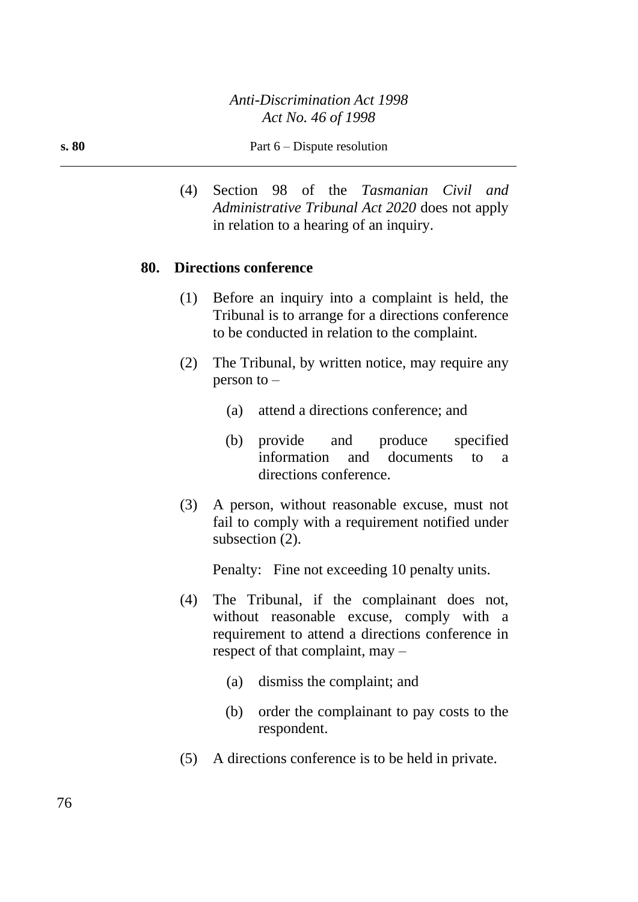(4) Section 98 of the *Tasmanian Civil and Administrative Tribunal Act 2020* does not apply in relation to a hearing of an inquiry.

### **80. Directions conference**

- (1) Before an inquiry into a complaint is held, the Tribunal is to arrange for a directions conference to be conducted in relation to the complaint.
- (2) The Tribunal, by written notice, may require any person to –
	- (a) attend a directions conference; and
	- (b) provide and produce specified information and documents to a directions conference.
- (3) A person, without reasonable excuse, must not fail to comply with a requirement notified under subsection (2).

Penalty: Fine not exceeding 10 penalty units.

- (4) The Tribunal, if the complainant does not, without reasonable excuse, comply with a requirement to attend a directions conference in respect of that complaint, may –
	- (a) dismiss the complaint; and
	- (b) order the complainant to pay costs to the respondent.
- (5) A directions conference is to be held in private.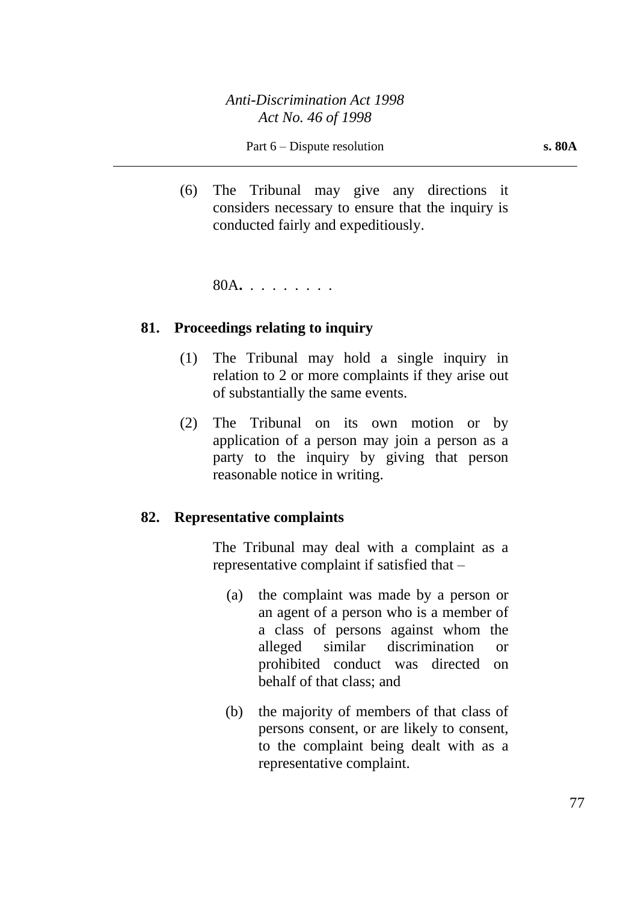(6) The Tribunal may give any directions it considers necessary to ensure that the inquiry is conducted fairly and expeditiously.

80A**.** . . . . . . . .

### **81. Proceedings relating to inquiry**

- (1) The Tribunal may hold a single inquiry in relation to 2 or more complaints if they arise out of substantially the same events.
- (2) The Tribunal on its own motion or by application of a person may join a person as a party to the inquiry by giving that person reasonable notice in writing.

#### **82. Representative complaints**

The Tribunal may deal with a complaint as a representative complaint if satisfied that –

- (a) the complaint was made by a person or an agent of a person who is a member of a class of persons against whom the alleged similar discrimination or prohibited conduct was directed on behalf of that class; and
- (b) the majority of members of that class of persons consent, or are likely to consent, to the complaint being dealt with as a representative complaint.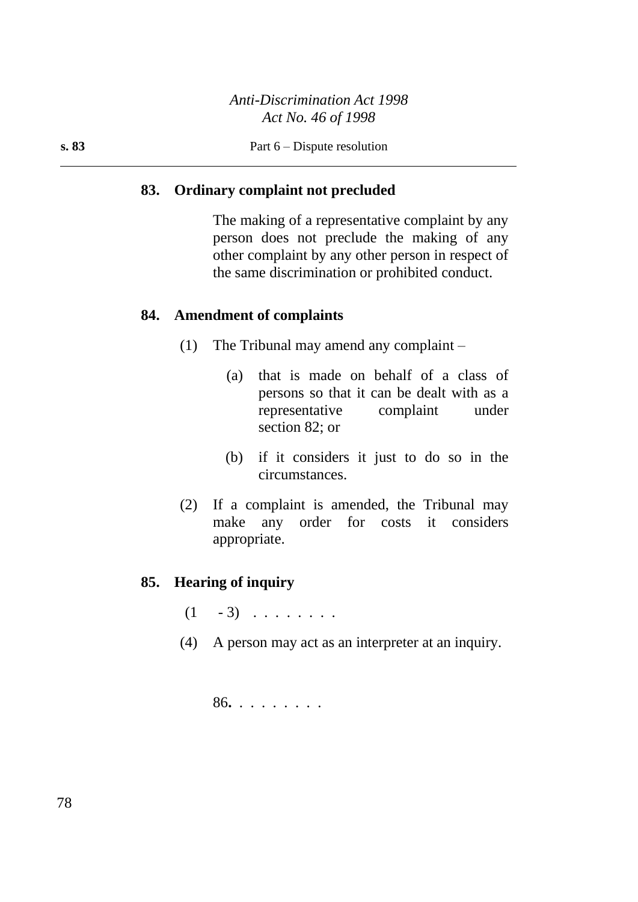## **83. Ordinary complaint not precluded**

The making of a representative complaint by any person does not preclude the making of any other complaint by any other person in respect of the same discrimination or prohibited conduct.

### **84. Amendment of complaints**

- (1) The Tribunal may amend any complaint
	- (a) that is made on behalf of a class of persons so that it can be dealt with as a representative complaint under section 82; or
	- (b) if it considers it just to do so in the circumstances.
- (2) If a complaint is amended, the Tribunal may make any order for costs it considers appropriate.

## **85. Hearing of inquiry**

- $(1 3)$  . . . . . . .
- (4) A person may act as an interpreter at an inquiry.

86**.** . . . . . . . .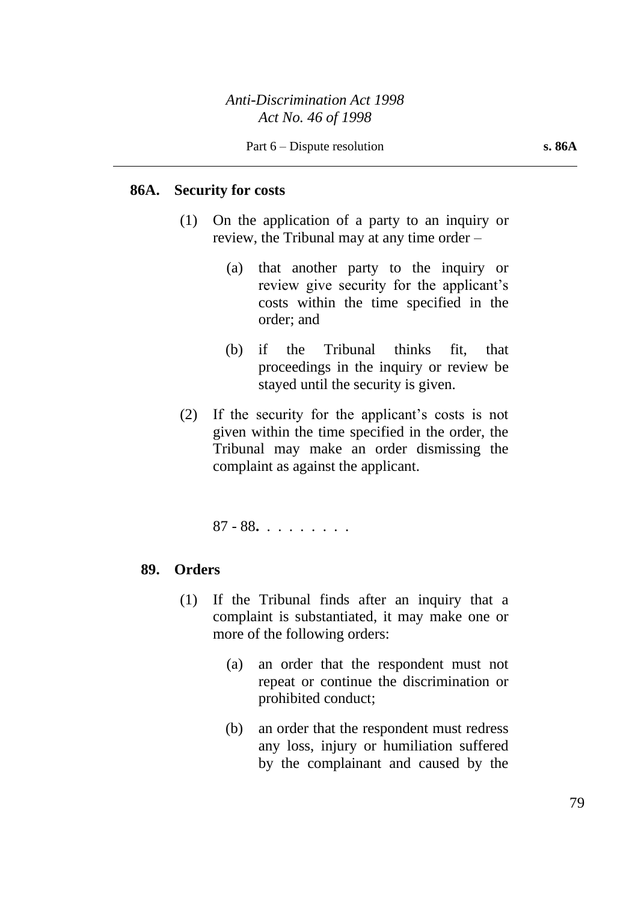### **86A. Security for costs**

- (1) On the application of a party to an inquiry or review, the Tribunal may at any time order –
	- (a) that another party to the inquiry or review give security for the applicant's costs within the time specified in the order; and
	- (b) if the Tribunal thinks fit, that proceedings in the inquiry or review be stayed until the security is given.
- (2) If the security for the applicant's costs is not given within the time specified in the order, the Tribunal may make an order dismissing the complaint as against the applicant.

87 - 88**.** . . . . . . . .

## **89. Orders**

- (1) If the Tribunal finds after an inquiry that a complaint is substantiated, it may make one or more of the following orders:
	- (a) an order that the respondent must not repeat or continue the discrimination or prohibited conduct;
	- (b) an order that the respondent must redress any loss, injury or humiliation suffered by the complainant and caused by the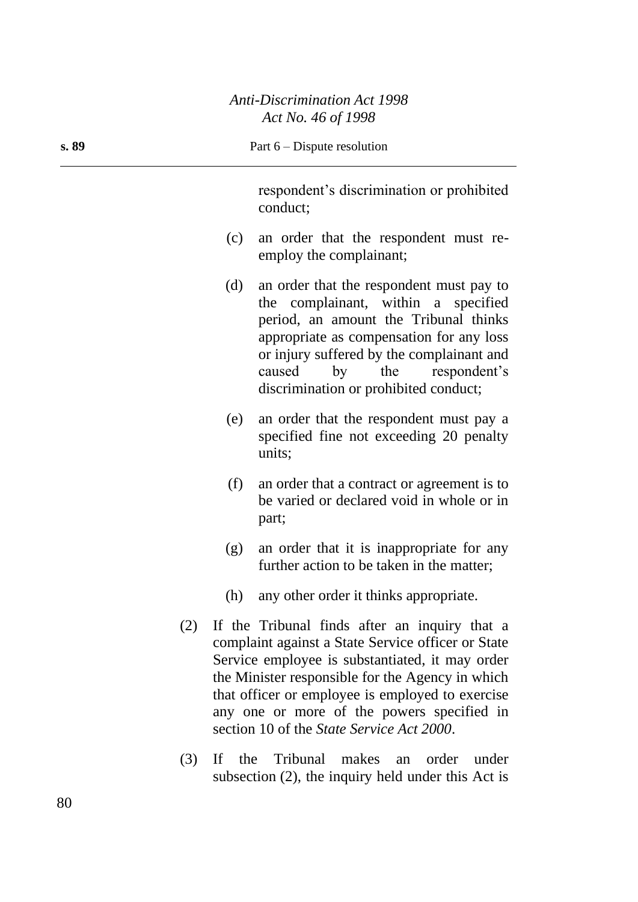| s. 89 |     | Part 6 – Dispute resolution                                                                                                                                                                                                                                                                                                                               |
|-------|-----|-----------------------------------------------------------------------------------------------------------------------------------------------------------------------------------------------------------------------------------------------------------------------------------------------------------------------------------------------------------|
|       |     | respondent's discrimination or prohibited<br>conduct;                                                                                                                                                                                                                                                                                                     |
|       | (c) | an order that the respondent must re-<br>employ the complainant;                                                                                                                                                                                                                                                                                          |
|       | (d) | an order that the respondent must pay to<br>the complainant, within a specified<br>period, an amount the Tribunal thinks<br>appropriate as compensation for any loss<br>or injury suffered by the complainant and<br>respondent's<br>caused<br>the<br>by<br>discrimination or prohibited conduct;                                                         |
|       | (e) | an order that the respondent must pay a<br>specified fine not exceeding 20 penalty<br>units;                                                                                                                                                                                                                                                              |
|       | (f) | an order that a contract or agreement is to<br>be varied or declared void in whole or in<br>part;                                                                                                                                                                                                                                                         |
|       | (g) | an order that it is inappropriate for any<br>further action to be taken in the matter;                                                                                                                                                                                                                                                                    |
|       | (h) | any other order it thinks appropriate.                                                                                                                                                                                                                                                                                                                    |
| (2)   |     | If the Tribunal finds after an inquiry that a<br>complaint against a State Service officer or State<br>Service employee is substantiated, it may order<br>the Minister responsible for the Agency in which<br>that officer or employee is employed to exercise<br>any one or more of the powers specified in<br>section 10 of the State Service Act 2000. |
| (3)   |     | If the Tribunal makes an<br>order<br>under<br>subsection $(2)$ , the inquiry held under this Act is                                                                                                                                                                                                                                                       |

 $\overline{a}$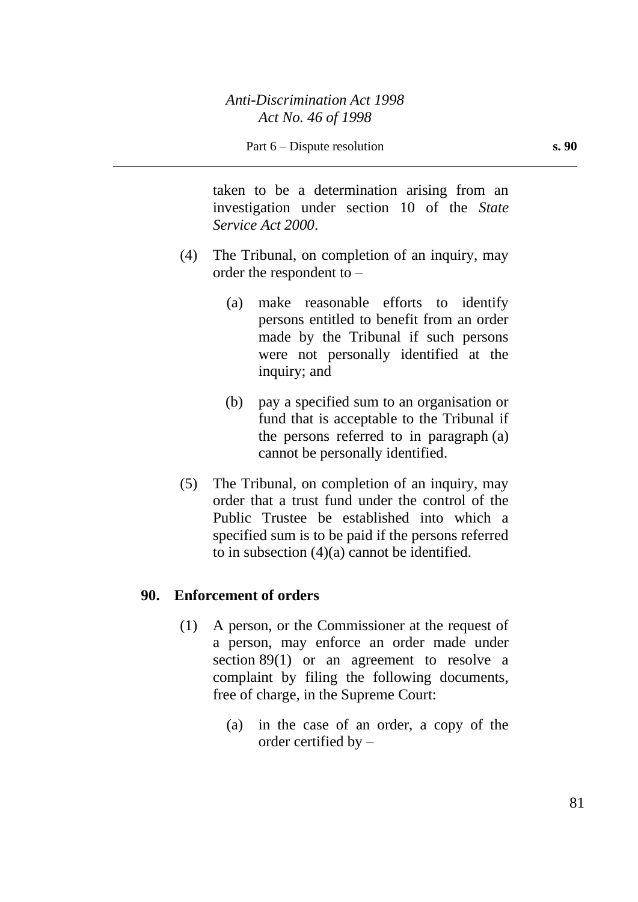taken to be a determination arising from an investigation under section 10 of the *State Service Act 2000*.

- (4) The Tribunal, on completion of an inquiry, may order the respondent to –
	- (a) make reasonable efforts to identify persons entitled to benefit from an order made by the Tribunal if such persons were not personally identified at the inquiry; and
	- (b) pay a specified sum to an organisation or fund that is acceptable to the Tribunal if the persons referred to in paragraph (a) cannot be personally identified.
- (5) The Tribunal, on completion of an inquiry, may order that a trust fund under the control of the Public Trustee be established into which a specified sum is to be paid if the persons referred to in subsection (4)(a) cannot be identified.

### **90. Enforcement of orders**

- (1) A person, or the Commissioner at the request of a person, may enforce an order made under section 89(1) or an agreement to resolve a complaint by filing the following documents, free of charge, in the Supreme Court:
	- (a) in the case of an order, a copy of the order certified by –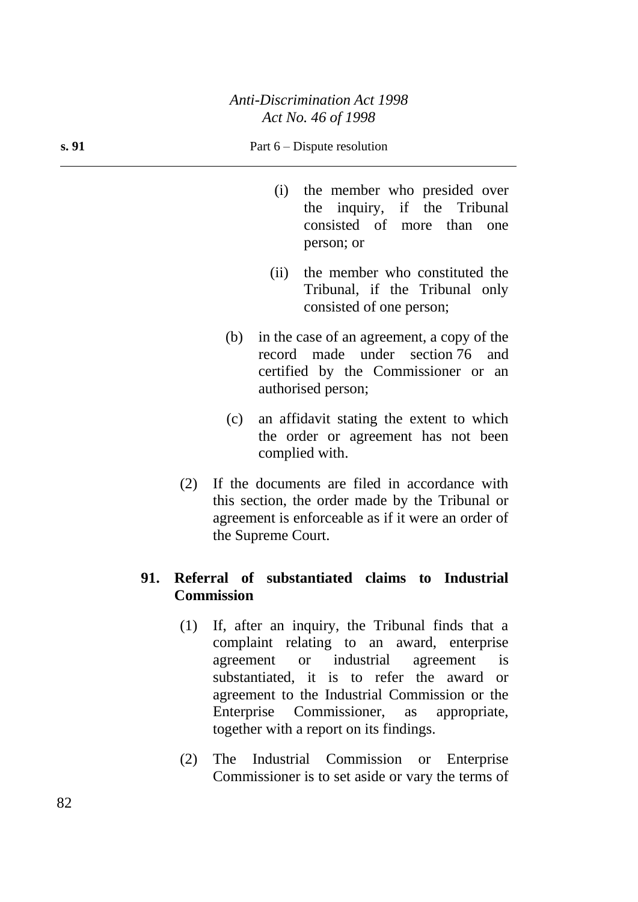#### **s. 91** Part 6 – Dispute resolution

- (i) the member who presided over the inquiry, if the Tribunal consisted of more than one person; or
- (ii) the member who constituted the Tribunal, if the Tribunal only consisted of one person;
- (b) in the case of an agreement, a copy of the record made under section 76 and certified by the Commissioner or an authorised person;
- (c) an affidavit stating the extent to which the order or agreement has not been complied with.
- (2) If the documents are filed in accordance with this section, the order made by the Tribunal or agreement is enforceable as if it were an order of the Supreme Court.

## **91. Referral of substantiated claims to Industrial Commission**

- (1) If, after an inquiry, the Tribunal finds that a complaint relating to an award, enterprise agreement or industrial agreement is substantiated, it is to refer the award or agreement to the Industrial Commission or the Enterprise Commissioner, as appropriate, together with a report on its findings.
- (2) The Industrial Commission or Enterprise Commissioner is to set aside or vary the terms of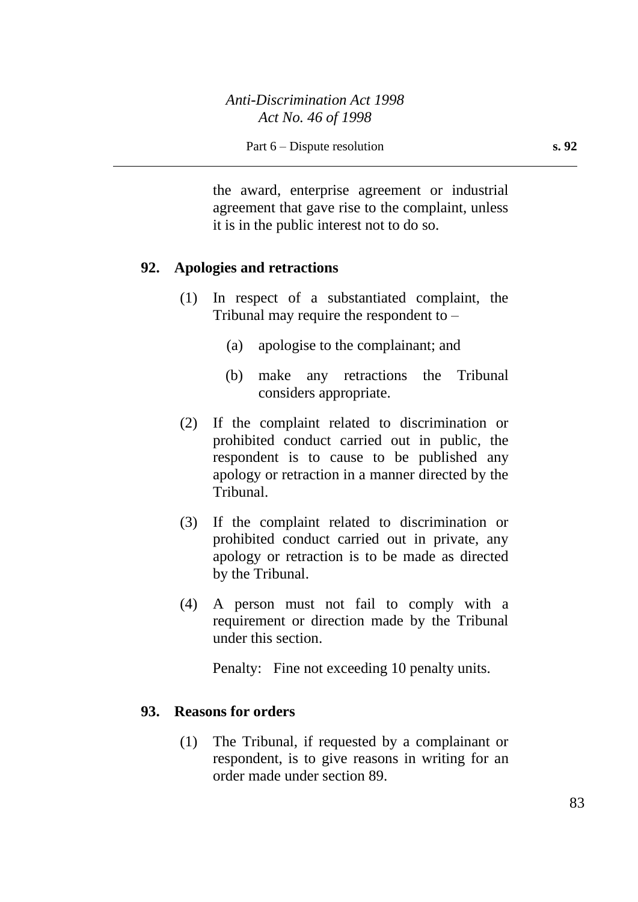the award, enterprise agreement or industrial agreement that gave rise to the complaint, unless it is in the public interest not to do so.

### **92. Apologies and retractions**

- (1) In respect of a substantiated complaint, the Tribunal may require the respondent to  $-$ 
	- (a) apologise to the complainant; and
	- (b) make any retractions the Tribunal considers appropriate.
- (2) If the complaint related to discrimination or prohibited conduct carried out in public, the respondent is to cause to be published any apology or retraction in a manner directed by the Tribunal.
- (3) If the complaint related to discrimination or prohibited conduct carried out in private, any apology or retraction is to be made as directed by the Tribunal.
- (4) A person must not fail to comply with a requirement or direction made by the Tribunal under this section.

Penalty: Fine not exceeding 10 penalty units.

### **93. Reasons for orders**

(1) The Tribunal, if requested by a complainant or respondent, is to give reasons in writing for an order made under section 89.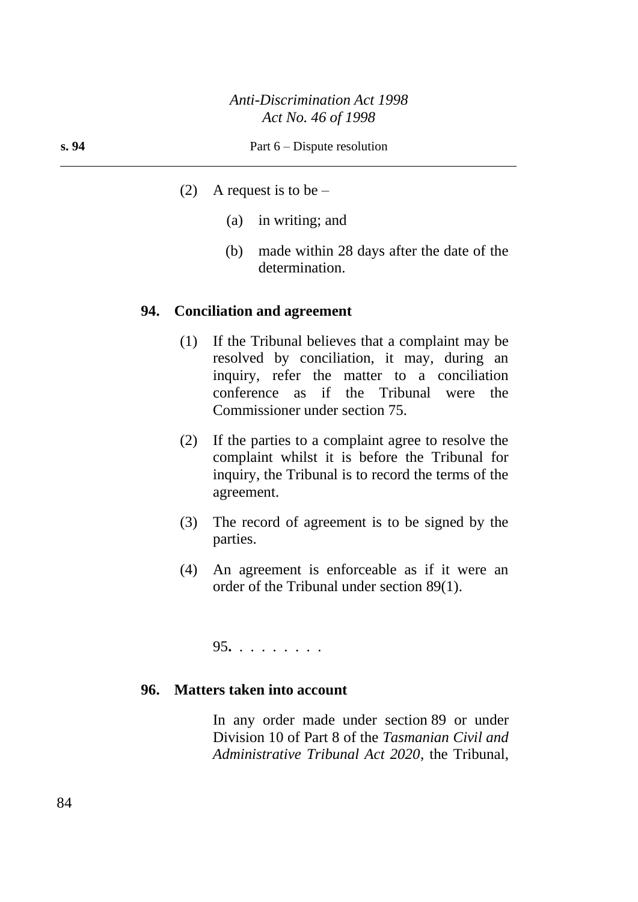- (2) A request is to be  $-$ 
	- (a) in writing; and
	- (b) made within 28 days after the date of the determination.

### **94. Conciliation and agreement**

- (1) If the Tribunal believes that a complaint may be resolved by conciliation, it may, during an inquiry, refer the matter to a conciliation conference as if the Tribunal were the Commissioner under section 75.
- (2) If the parties to a complaint agree to resolve the complaint whilst it is before the Tribunal for inquiry, the Tribunal is to record the terms of the agreement.
- (3) The record of agreement is to be signed by the parties.
- (4) An agreement is enforceable as if it were an order of the Tribunal under section 89(1).

95**.** . . . . . . . .

### **96. Matters taken into account**

In any order made under section 89 or under Division 10 of Part 8 of the *Tasmanian Civil and Administrative Tribunal Act 2020*, the Tribunal,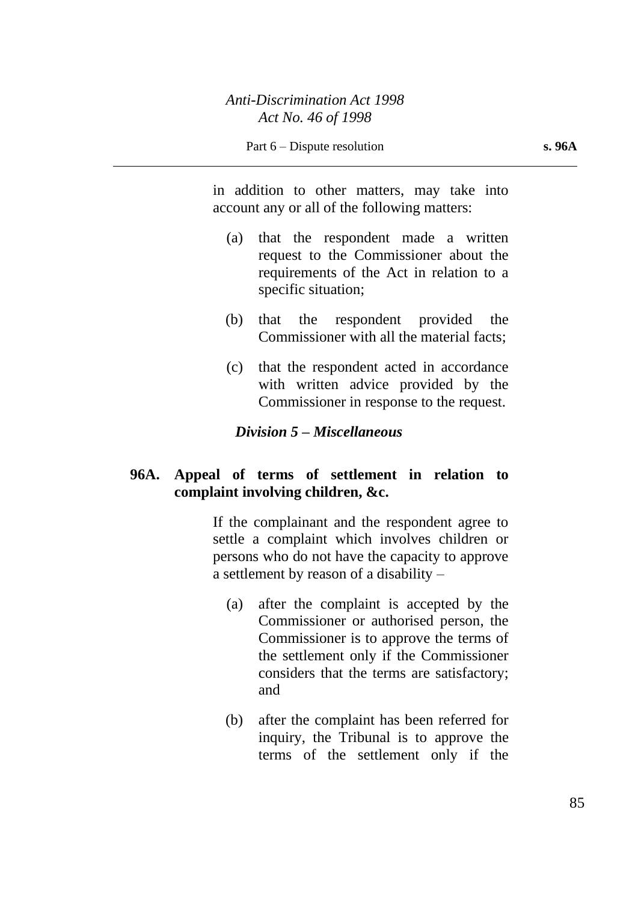in addition to other matters, may take into account any or all of the following matters:

- (a) that the respondent made a written request to the Commissioner about the requirements of the Act in relation to a specific situation;
- (b) that the respondent provided the Commissioner with all the material facts;
- (c) that the respondent acted in accordance with written advice provided by the Commissioner in response to the request.

### *Division 5 – Miscellaneous*

## **96A. Appeal of terms of settlement in relation to complaint involving children, &c.**

If the complainant and the respondent agree to settle a complaint which involves children or persons who do not have the capacity to approve a settlement by reason of a disability –

- (a) after the complaint is accepted by the Commissioner or authorised person, the Commissioner is to approve the terms of the settlement only if the Commissioner considers that the terms are satisfactory; and
- (b) after the complaint has been referred for inquiry, the Tribunal is to approve the terms of the settlement only if the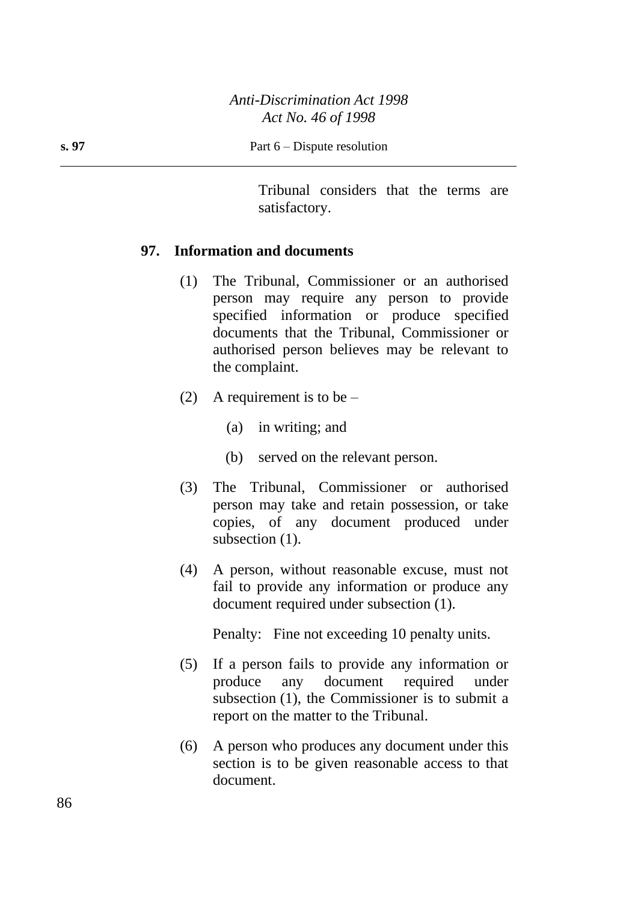Tribunal considers that the terms are satisfactory.

## **97. Information and documents**

- (1) The Tribunal, Commissioner or an authorised person may require any person to provide specified information or produce specified documents that the Tribunal, Commissioner or authorised person believes may be relevant to the complaint.
- (2) A requirement is to be  $-$ 
	- (a) in writing; and
	- (b) served on the relevant person.
- (3) The Tribunal, Commissioner or authorised person may take and retain possession, or take copies, of any document produced under subsection  $(1)$ .
- (4) A person, without reasonable excuse, must not fail to provide any information or produce any document required under subsection (1).

Penalty: Fine not exceeding 10 penalty units.

- (5) If a person fails to provide any information or produce any document required under subsection (1), the Commissioner is to submit a report on the matter to the Tribunal.
- (6) A person who produces any document under this section is to be given reasonable access to that document.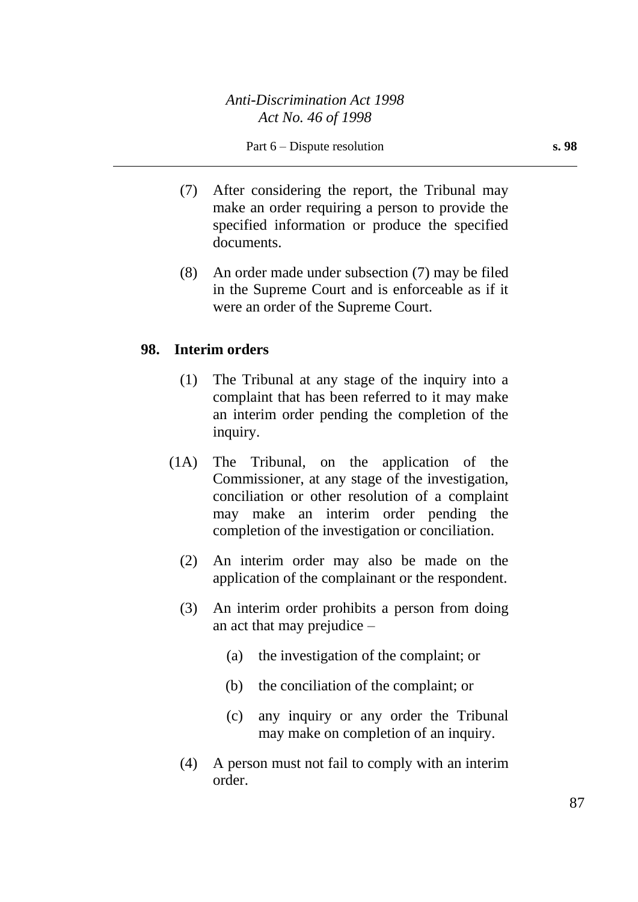- (7) After considering the report, the Tribunal may make an order requiring a person to provide the specified information or produce the specified documents.
- (8) An order made under subsection (7) may be filed in the Supreme Court and is enforceable as if it were an order of the Supreme Court.

## **98. Interim orders**

- (1) The Tribunal at any stage of the inquiry into a complaint that has been referred to it may make an interim order pending the completion of the inquiry.
- (1A) The Tribunal, on the application of the Commissioner, at any stage of the investigation, conciliation or other resolution of a complaint may make an interim order pending the completion of the investigation or conciliation.
	- (2) An interim order may also be made on the application of the complainant or the respondent.
	- (3) An interim order prohibits a person from doing an act that may prejudice –
		- (a) the investigation of the complaint; or
		- (b) the conciliation of the complaint; or
		- (c) any inquiry or any order the Tribunal may make on completion of an inquiry.
	- (4) A person must not fail to comply with an interim order.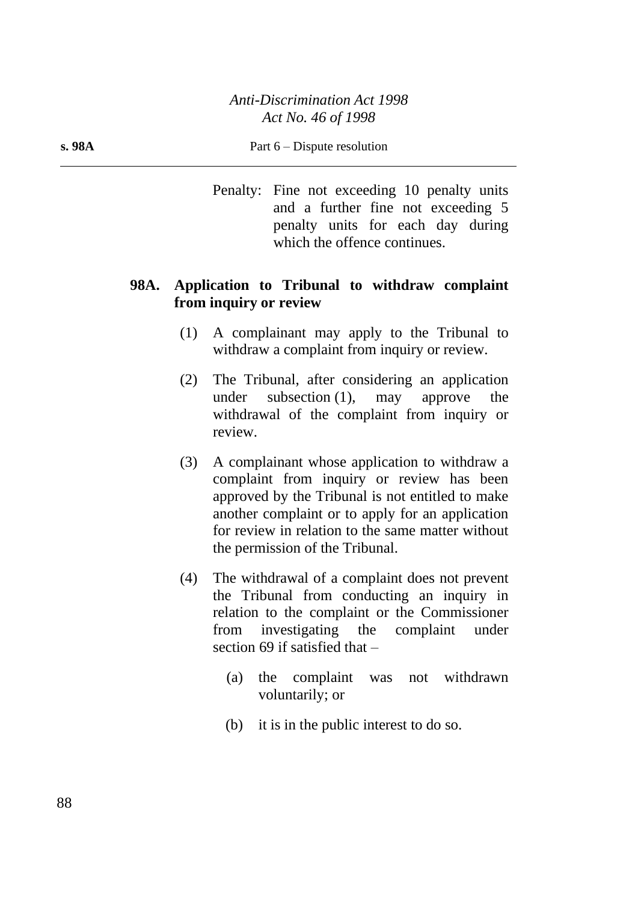#### **s. 98A** Part 6 – Dispute resolution

Penalty: Fine not exceeding 10 penalty units and a further fine not exceeding 5 penalty units for each day during which the offence continues.

## **98A. Application to Tribunal to withdraw complaint from inquiry or review**

- (1) A complainant may apply to the Tribunal to withdraw a complaint from inquiry or review.
- (2) The Tribunal, after considering an application under subsection (1), may approve the withdrawal of the complaint from inquiry or review.
- (3) A complainant whose application to withdraw a complaint from inquiry or review has been approved by the Tribunal is not entitled to make another complaint or to apply for an application for review in relation to the same matter without the permission of the Tribunal.
- (4) The withdrawal of a complaint does not prevent the Tribunal from conducting an inquiry in relation to the complaint or the Commissioner from investigating the complaint under section 69 if satisfied that –
	- (a) the complaint was not withdrawn voluntarily; or
	- (b) it is in the public interest to do so.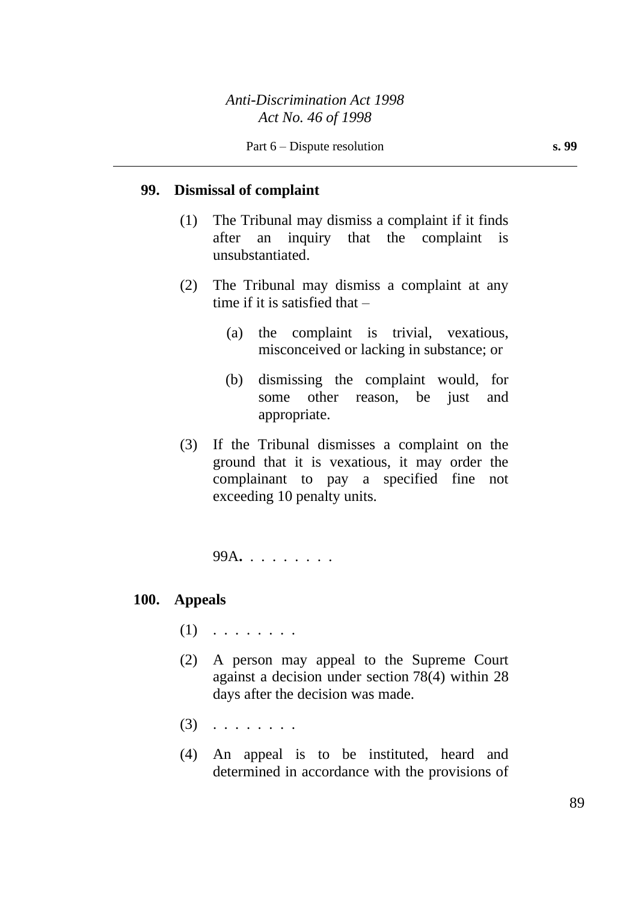### **99. Dismissal of complaint**

- (1) The Tribunal may dismiss a complaint if it finds after an inquiry that the complaint is unsubstantiated.
- (2) The Tribunal may dismiss a complaint at any time if it is satisfied that –
	- (a) the complaint is trivial, vexatious, misconceived or lacking in substance; or
	- (b) dismissing the complaint would, for some other reason, be just and appropriate.
- (3) If the Tribunal dismisses a complaint on the ground that it is vexatious, it may order the complainant to pay a specified fine not exceeding 10 penalty units.

99A**.** . . . . . . . .

#### **100. Appeals**

- $(1)$  . . . . . . . .
- (2) A person may appeal to the Supreme Court against a decision under section 78(4) within 28 days after the decision was made.
- (3) . . . . . . . .
- (4) An appeal is to be instituted, heard and determined in accordance with the provisions of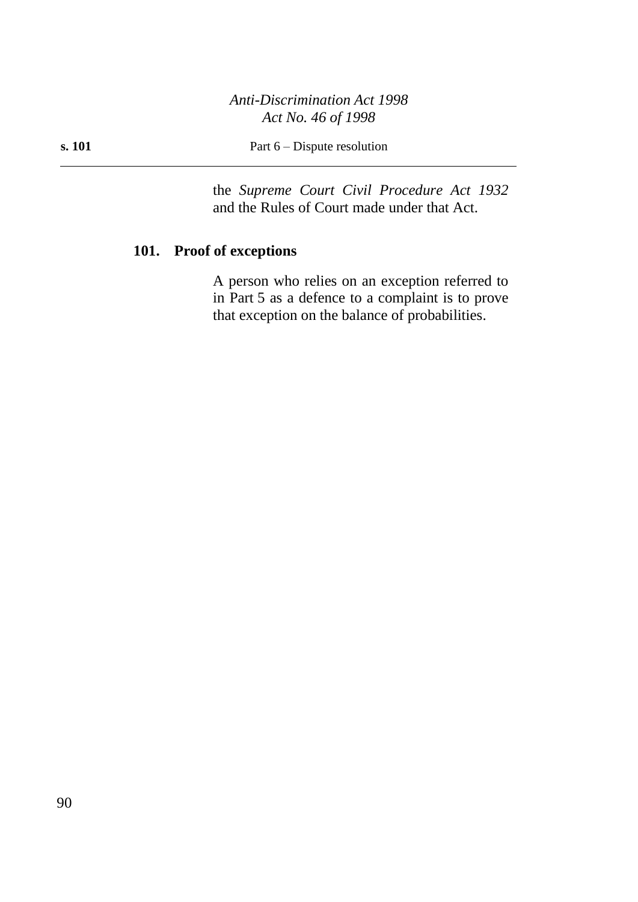**s. 101** Part 6 – Dispute resolution

the *Supreme Court Civil Procedure Act 1932* and the Rules of Court made under that Act.

## **101. Proof of exceptions**

A person who relies on an exception referred to in Part 5 as a defence to a complaint is to prove that exception on the balance of probabilities.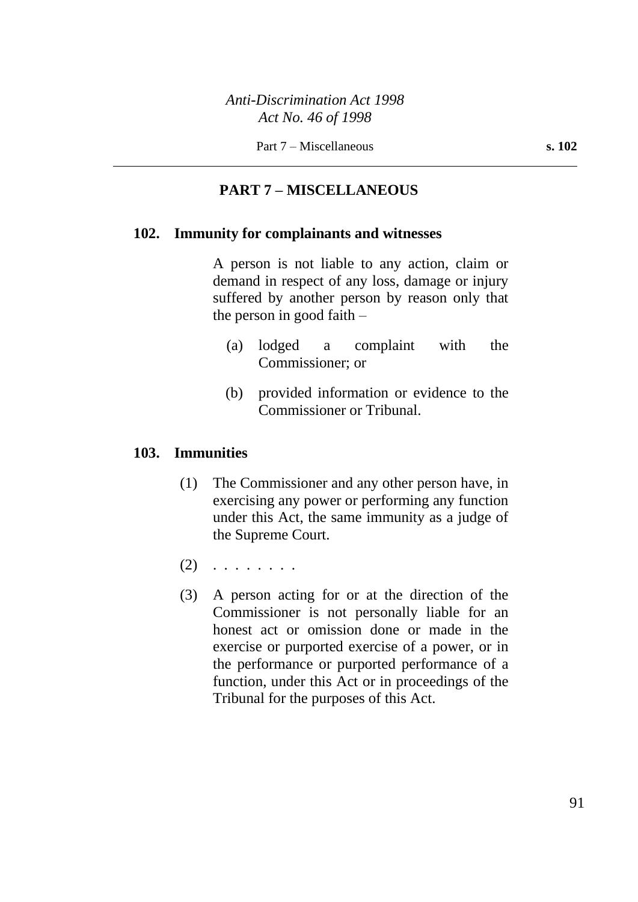## **PART 7 – MISCELLANEOUS**

### **102. Immunity for complainants and witnesses**

A person is not liable to any action, claim or demand in respect of any loss, damage or injury suffered by another person by reason only that the person in good faith –

- (a) lodged a complaint with the Commissioner; or
- (b) provided information or evidence to the Commissioner or Tribunal.

### **103. Immunities**

- (1) The Commissioner and any other person have, in exercising any power or performing any function under this Act, the same immunity as a judge of the Supreme Court.
- $(2)$  . . . . . . . .
- (3) A person acting for or at the direction of the Commissioner is not personally liable for an honest act or omission done or made in the exercise or purported exercise of a power, or in the performance or purported performance of a function, under this Act or in proceedings of the Tribunal for the purposes of this Act.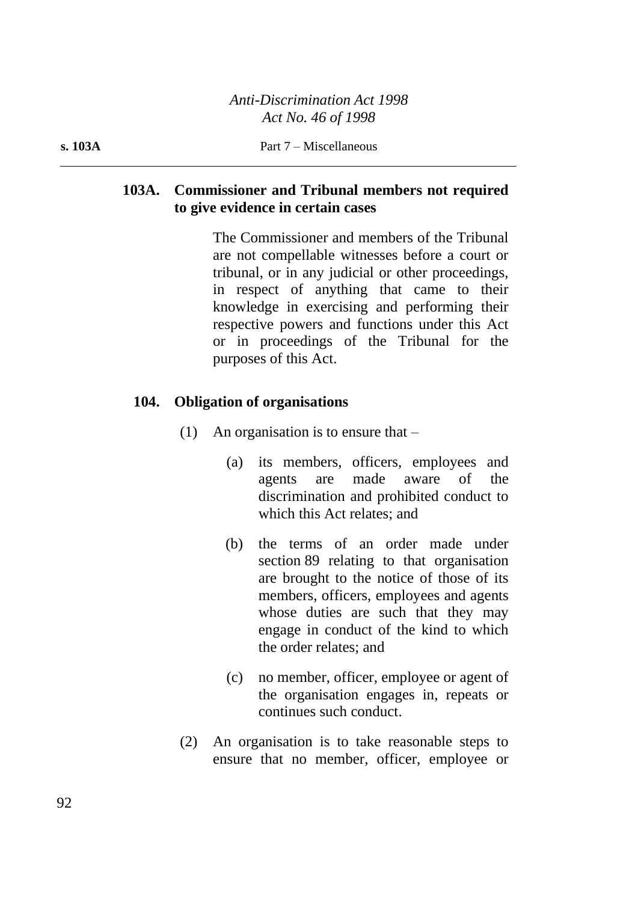## **103A. Commissioner and Tribunal members not required to give evidence in certain cases**

The Commissioner and members of the Tribunal are not compellable witnesses before a court or tribunal, or in any judicial or other proceedings, in respect of anything that came to their knowledge in exercising and performing their respective powers and functions under this Act or in proceedings of the Tribunal for the purposes of this Act.

## **104. Obligation of organisations**

- (1) An organisation is to ensure that  $-$ 
	- (a) its members, officers, employees and agents are made aware of the discrimination and prohibited conduct to which this Act relates; and
	- (b) the terms of an order made under section 89 relating to that organisation are brought to the notice of those of its members, officers, employees and agents whose duties are such that they may engage in conduct of the kind to which the order relates; and
	- (c) no member, officer, employee or agent of the organisation engages in, repeats or continues such conduct.
- (2) An organisation is to take reasonable steps to ensure that no member, officer, employee or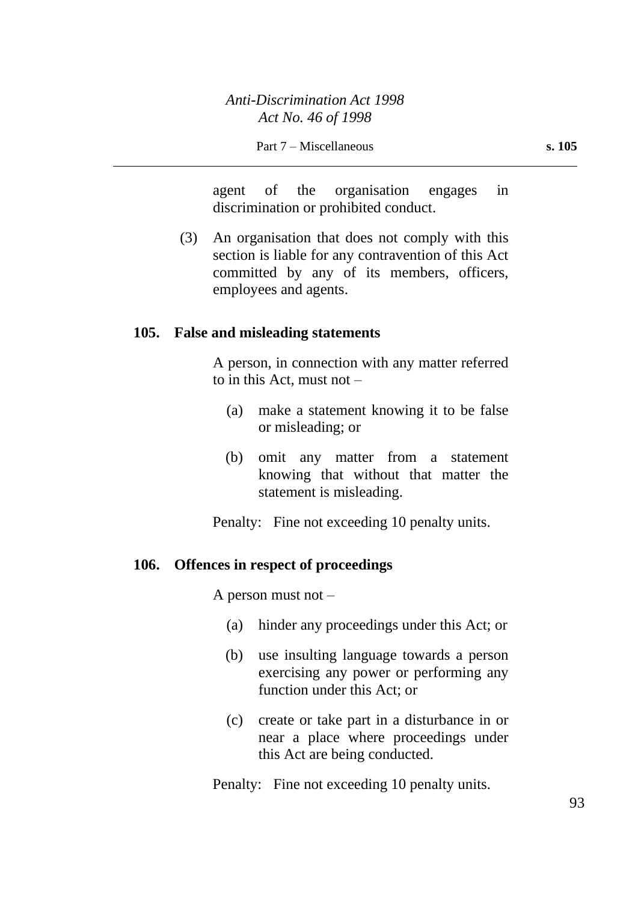agent of the organisation engages in discrimination or prohibited conduct.

(3) An organisation that does not comply with this section is liable for any contravention of this Act committed by any of its members, officers, employees and agents.

#### **105. False and misleading statements**

A person, in connection with any matter referred to in this Act, must not –

- (a) make a statement knowing it to be false or misleading; or
- (b) omit any matter from a statement knowing that without that matter the statement is misleading.

Penalty: Fine not exceeding 10 penalty units.

#### **106. Offences in respect of proceedings**

A person must not –

- (a) hinder any proceedings under this Act; or
- (b) use insulting language towards a person exercising any power or performing any function under this Act; or
- (c) create or take part in a disturbance in or near a place where proceedings under this Act are being conducted.

Penalty: Fine not exceeding 10 penalty units.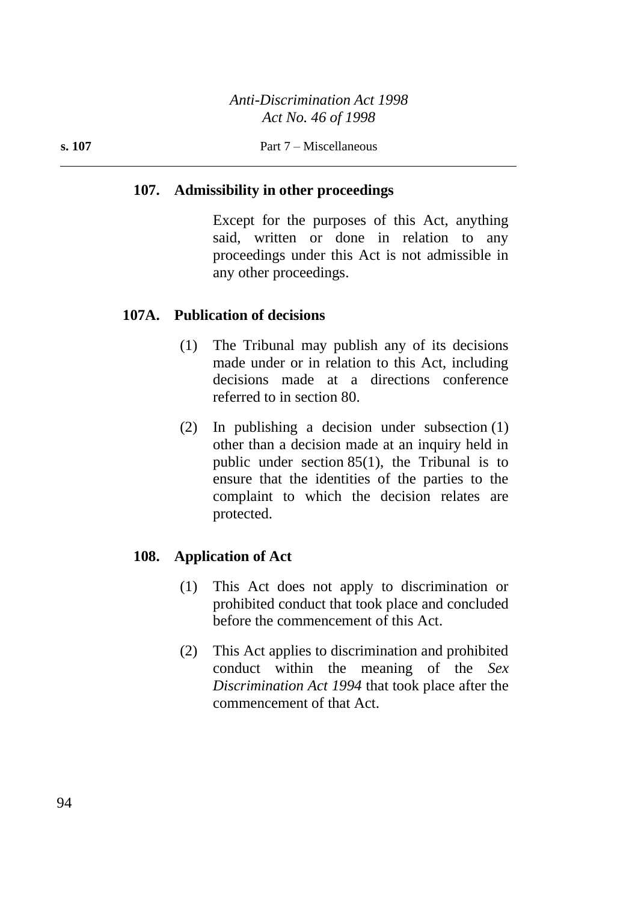## **107. Admissibility in other proceedings**

Except for the purposes of this Act, anything said, written or done in relation to any proceedings under this Act is not admissible in any other proceedings.

## **107A. Publication of decisions**

- (1) The Tribunal may publish any of its decisions made under or in relation to this Act, including decisions made at a directions conference referred to in section 80.
- (2) In publishing a decision under subsection (1) other than a decision made at an inquiry held in public under section 85(1), the Tribunal is to ensure that the identities of the parties to the complaint to which the decision relates are protected.

## **108. Application of Act**

- (1) This Act does not apply to discrimination or prohibited conduct that took place and concluded before the commencement of this Act.
- (2) This Act applies to discrimination and prohibited conduct within the meaning of the *Sex Discrimination Act 1994* that took place after the commencement of that Act.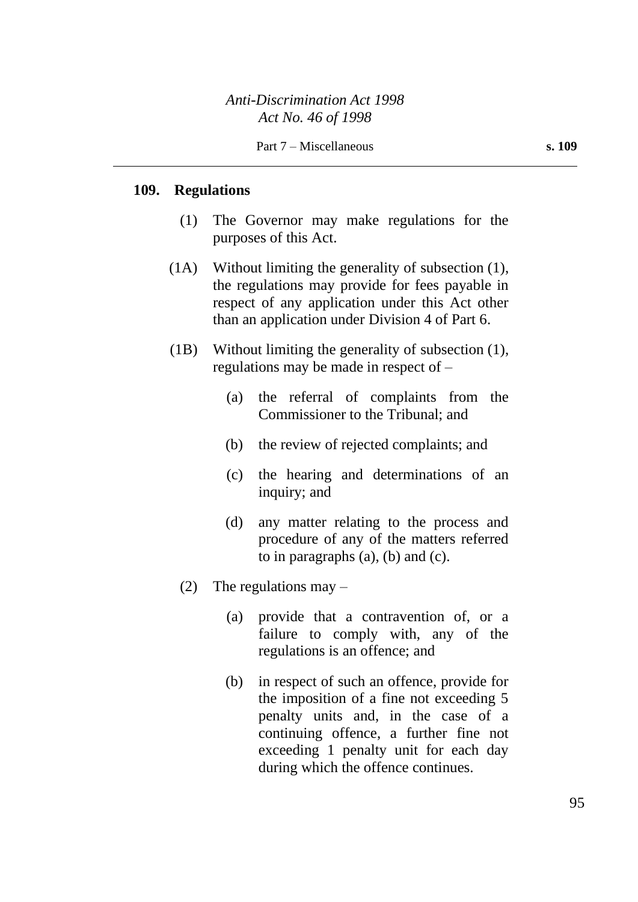# **109. Regulations**

- (1) The Governor may make regulations for the purposes of this Act.
- (1A) Without limiting the generality of subsection (1), the regulations may provide for fees payable in respect of any application under this Act other than an application under Division 4 of Part 6.
- (1B) Without limiting the generality of subsection (1), regulations may be made in respect of –
	- (a) the referral of complaints from the Commissioner to the Tribunal; and
	- (b) the review of rejected complaints; and
	- (c) the hearing and determinations of an inquiry; and
	- (d) any matter relating to the process and procedure of any of the matters referred to in paragraphs (a), (b) and (c).
	- (2) The regulations may  $-$ 
		- (a) provide that a contravention of, or a failure to comply with, any of the regulations is an offence; and
		- (b) in respect of such an offence, provide for the imposition of a fine not exceeding 5 penalty units and, in the case of a continuing offence, a further fine not exceeding 1 penalty unit for each day during which the offence continues.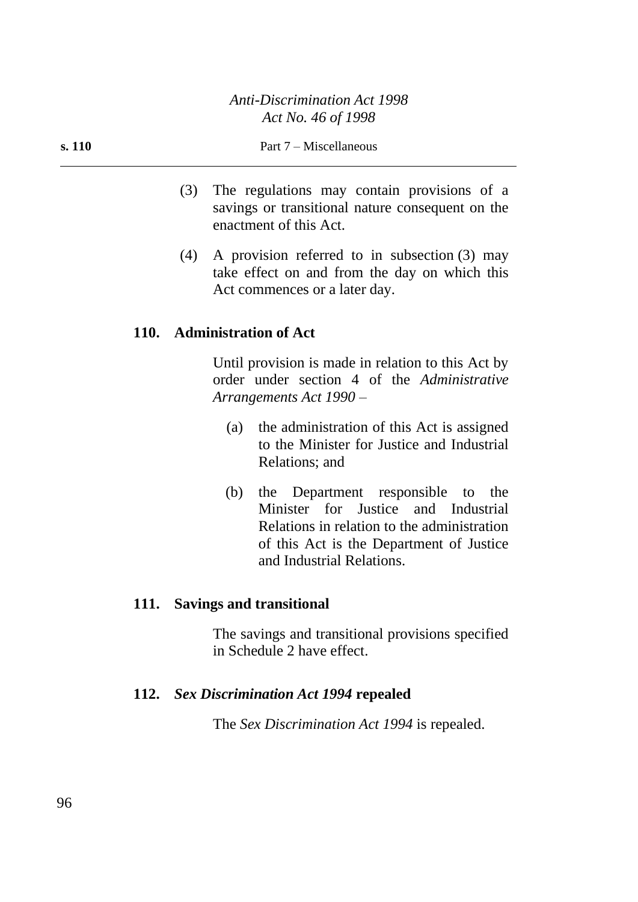- (3) The regulations may contain provisions of a savings or transitional nature consequent on the enactment of this Act.
- (4) A provision referred to in subsection (3) may take effect on and from the day on which this Act commences or a later day.

### **110. Administration of Act**

Until provision is made in relation to this Act by order under section 4 of the *Administrative Arrangements Act 1990* –

- (a) the administration of this Act is assigned to the Minister for Justice and Industrial Relations; and
- (b) the Department responsible to the Minister for Justice and Industrial Relations in relation to the administration of this Act is the Department of Justice and Industrial Relations.

### **111. Savings and transitional**

The savings and transitional provisions specified in Schedule 2 have effect.

### **112.** *Sex Discrimination Act 1994* **repealed**

The *Sex Discrimination Act 1994* is repealed.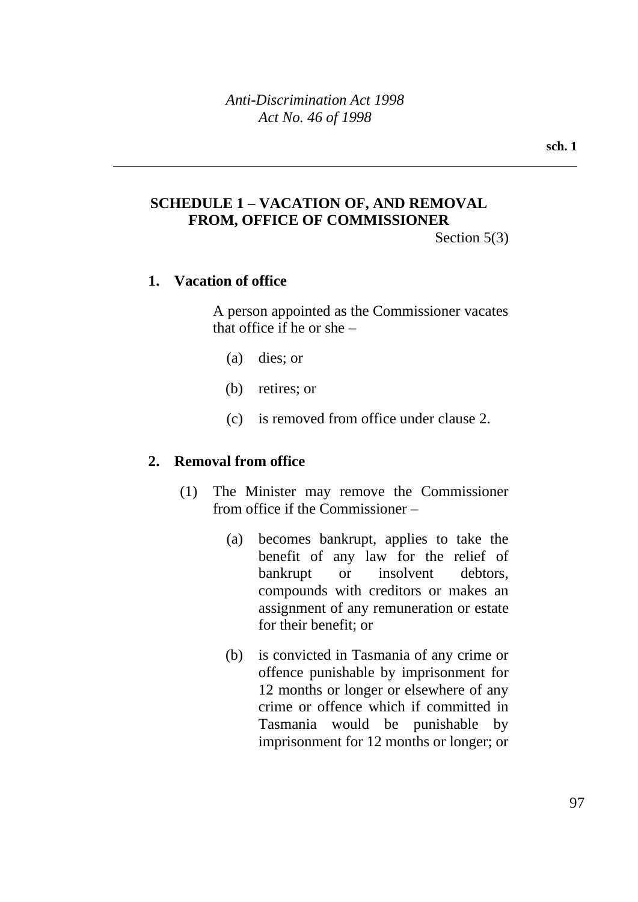## **SCHEDULE 1 – VACATION OF, AND REMOVAL FROM, OFFICE OF COMMISSIONER**

Section 5(3)

## **1. Vacation of office**

A person appointed as the Commissioner vacates that office if he or she –

- (a) dies; or
- (b) retires; or
- (c) is removed from office under clause 2.

## **2. Removal from office**

- (1) The Minister may remove the Commissioner from office if the Commissioner –
	- (a) becomes bankrupt, applies to take the benefit of any law for the relief of bankrupt or insolvent debtors, compounds with creditors or makes an assignment of any remuneration or estate for their benefit; or
	- (b) is convicted in Tasmania of any crime or offence punishable by imprisonment for 12 months or longer or elsewhere of any crime or offence which if committed in Tasmania would be punishable by imprisonment for 12 months or longer; or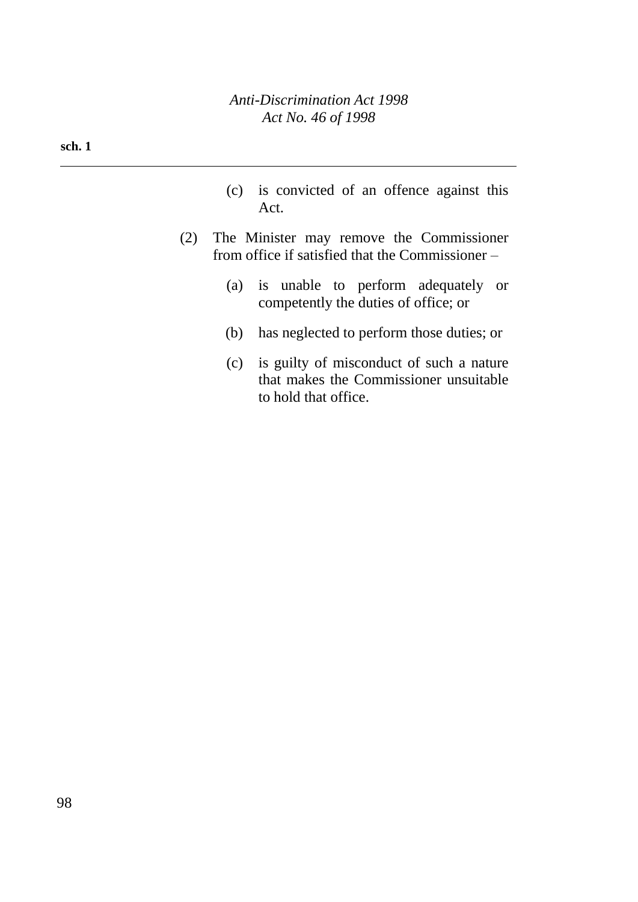#### **sch. 1**

- (c) is convicted of an offence against this Act.
- (2) The Minister may remove the Commissioner from office if satisfied that the Commissioner –
	- (a) is unable to perform adequately or competently the duties of office; or
	- (b) has neglected to perform those duties; or
	- (c) is guilty of misconduct of such a nature that makes the Commissioner unsuitable to hold that office.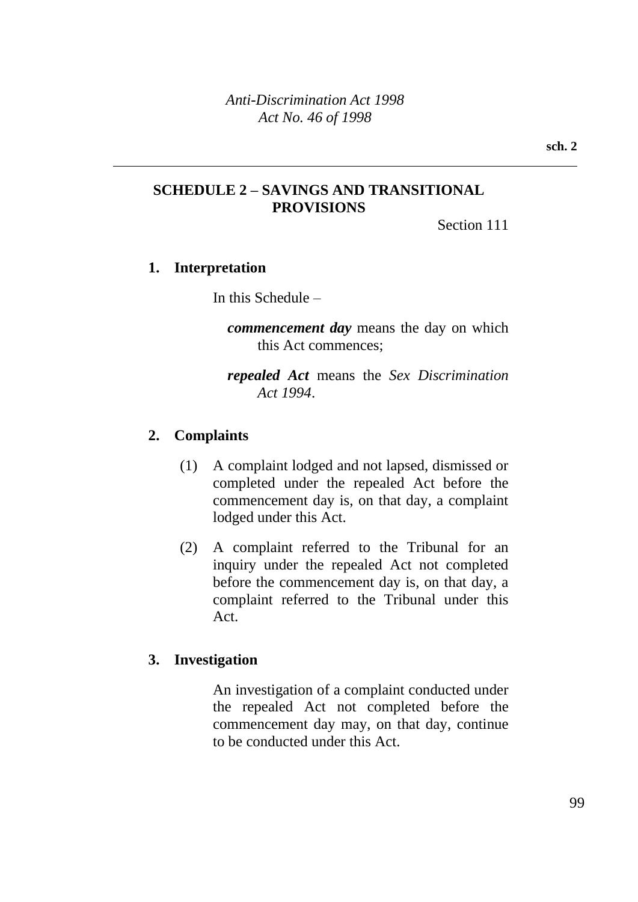## **SCHEDULE 2 – SAVINGS AND TRANSITIONAL PROVISIONS**

Section 111

## **1. Interpretation**

In this Schedule –

*commencement day* means the day on which this Act commences;

*repealed Act* means the *Sex Discrimination Act 1994*.

## **2. Complaints**

- (1) A complaint lodged and not lapsed, dismissed or completed under the repealed Act before the commencement day is, on that day, a complaint lodged under this Act.
- (2) A complaint referred to the Tribunal for an inquiry under the repealed Act not completed before the commencement day is, on that day, a complaint referred to the Tribunal under this Act.

## **3. Investigation**

An investigation of a complaint conducted under the repealed Act not completed before the commencement day may, on that day, continue to be conducted under this Act.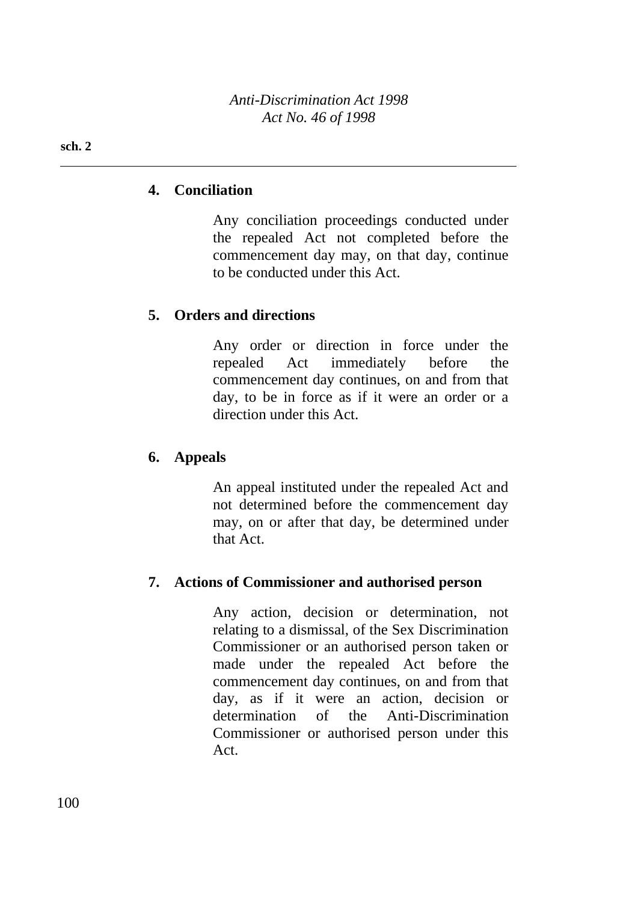#### **sch. 2**

## **4. Conciliation**

Any conciliation proceedings conducted under the repealed Act not completed before the commencement day may, on that day, continue to be conducted under this Act.

## **5. Orders and directions**

Any order or direction in force under the repealed Act immediately before the commencement day continues, on and from that day, to be in force as if it were an order or a direction under this Act.

## **6. Appeals**

An appeal instituted under the repealed Act and not determined before the commencement day may, on or after that day, be determined under that Act.

## **7. Actions of Commissioner and authorised person**

Any action, decision or determination, not relating to a dismissal, of the Sex Discrimination Commissioner or an authorised person taken or made under the repealed Act before the commencement day continues, on and from that day, as if it were an action, decision or determination of the Anti-Discrimination Commissioner or authorised person under this Act.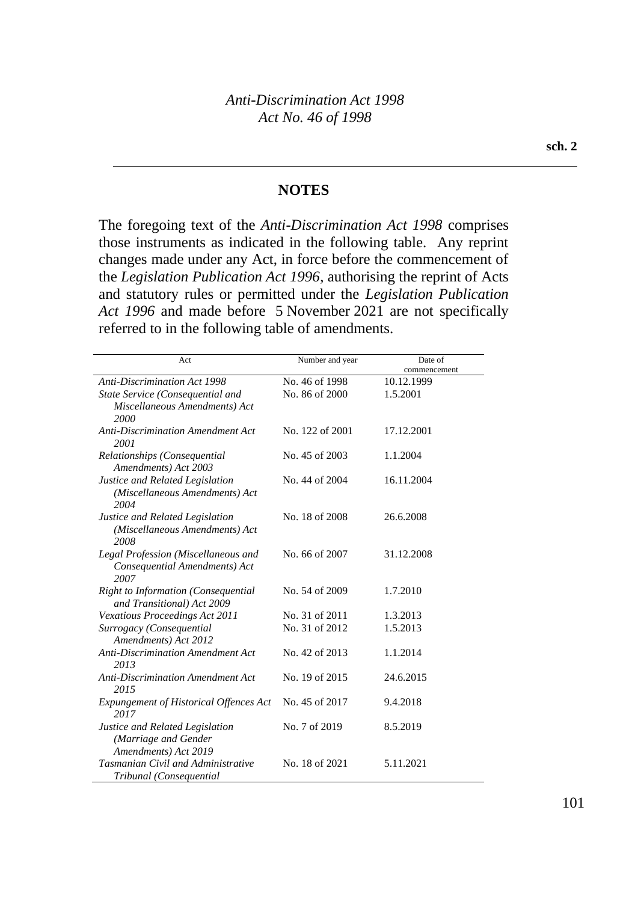### **NOTES**

The foregoing text of the *Anti-Discrimination Act 1998* comprises those instruments as indicated in the following table. Any reprint changes made under any Act, in force before the commencement of the *Legislation Publication Act 1996*, authorising the reprint of Acts and statutory rules or permitted under the *Legislation Publication Act 1996* and made before 5 November 2021 are not specifically referred to in the following table of amendments.

| Act                                                                             | Number and year | Date of      |
|---------------------------------------------------------------------------------|-----------------|--------------|
|                                                                                 |                 | commencement |
| <b>Anti-Discrimination Act 1998</b>                                             | No. 46 of 1998  | 10.12.1999   |
| State Service (Consequential and                                                | No. 86 of 2000  | 1.5.2001     |
| Miscellaneous Amendments) Act<br>2000                                           |                 |              |
| <b>Anti-Discrimination Amendment Act</b><br>2001                                | No. 122 of 2001 | 17.12.2001   |
| Relationships (Consequential<br>Amendments) Act 2003                            | No. 45 of 2003  | 1.1.2004     |
| Justice and Related Legislation<br>(Miscellaneous Amendments) Act<br>2004       | No. 44 of 2004  | 16.11.2004   |
| Justice and Related Legislation<br>(Miscellaneous Amendments) Act<br>2008       | No. 18 of 2008  | 26.6.2008    |
| Legal Profession (Miscellaneous and<br>Consequential Amendments) Act<br>2007    | No. 66 of 2007  | 31.12.2008   |
| <b>Right to Information (Consequential</b><br>and Transitional) Act 2009        | No. 54 of 2009  | 1.7.2010     |
| Vexatious Proceedings Act 2011                                                  | No. 31 of 2011  | 1.3.2013     |
| Surrogacy (Consequential<br>Amendments) Act 2012                                | No. 31 of 2012  | 1.5.2013     |
| <b>Anti-Discrimination Amendment Act</b><br>2013                                | No. 42 of 2013  | 1.1.2014     |
| <b>Anti-Discrimination Amendment Act</b><br>2015                                | No. 19 of 2015  | 24.6.2015    |
| <b>Expungement of Historical Offences Act</b><br>2017                           | No. 45 of 2017  | 9.4.2018     |
| Justice and Related Legislation<br>(Marriage and Gender<br>Amendments) Act 2019 | No. 7 of 2019   | 8.5.2019     |
| <b>Tasmanian Civil and Administrative</b><br>Tribunal (Consequential            | No. 18 of 2021  | 5.11.2021    |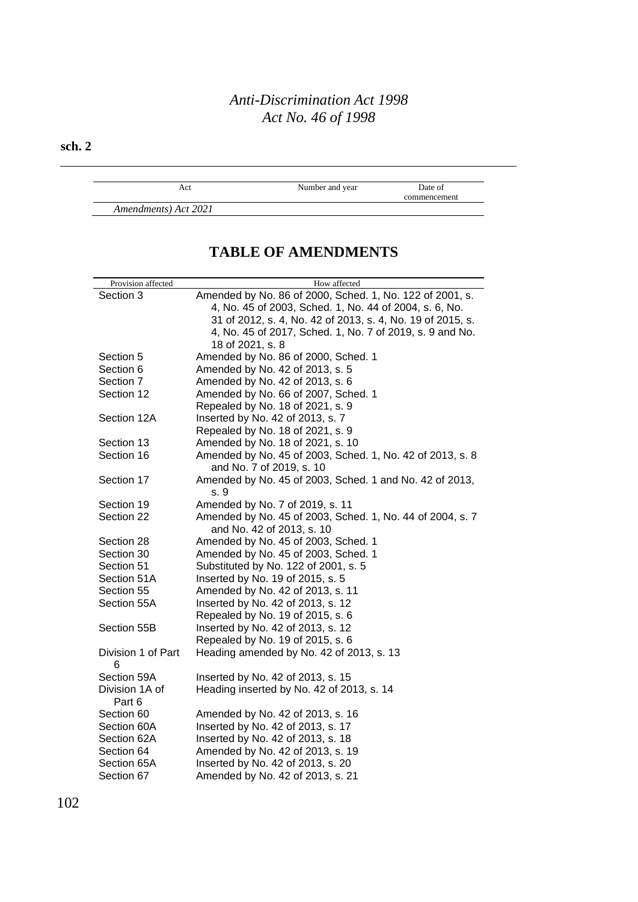### **sch. 2**

Act Number and year Date of commencement

*Amendments) Act 2021*

## **TABLE OF AMENDMENTS**

| Provision affected      | How affected                                               |
|-------------------------|------------------------------------------------------------|
| Section 3               | Amended by No. 86 of 2000, Sched. 1, No. 122 of 2001, s.   |
|                         | 4, No. 45 of 2003, Sched. 1, No. 44 of 2004, s. 6, No.     |
|                         | 31 of 2012, s. 4, No. 42 of 2013, s. 4, No. 19 of 2015, s. |
|                         | 4, No. 45 of 2017, Sched. 1, No. 7 of 2019, s. 9 and No.   |
|                         | 18 of 2021, s. 8                                           |
| Section 5               | Amended by No. 86 of 2000, Sched. 1                        |
| Section 6               | Amended by No. 42 of 2013, s. 5                            |
| Section 7               | Amended by No. 42 of 2013, s. 6                            |
| Section 12              | Amended by No. 66 of 2007, Sched. 1                        |
|                         | Repealed by No. 18 of 2021, s. 9                           |
| Section 12A             | Inserted by No. 42 of 2013, s. 7                           |
|                         | Repealed by No. 18 of 2021, s. 9                           |
| Section 13              | Amended by No. 18 of 2021, s. 10                           |
| Section 16              | Amended by No. 45 of 2003, Sched. 1, No. 42 of 2013, s. 8  |
|                         | and No. 7 of 2019, s. 10                                   |
| Section 17              | Amended by No. 45 of 2003, Sched. 1 and No. 42 of 2013,    |
|                         | s. 9                                                       |
| Section 19              | Amended by No. 7 of 2019, s. 11                            |
| Section 22              | Amended by No. 45 of 2003, Sched. 1, No. 44 of 2004, s. 7  |
|                         | and No. 42 of 2013, s. 10                                  |
| Section 28              | Amended by No. 45 of 2003, Sched. 1                        |
| Section 30              | Amended by No. 45 of 2003, Sched. 1                        |
| Section 51              | Substituted by No. 122 of 2001, s. 5                       |
| Section 51A             | Inserted by No. 19 of 2015, s. 5                           |
| Section 55              | Amended by No. 42 of 2013, s. 11                           |
| Section 55A             | Inserted by No. 42 of 2013, s. 12                          |
|                         | Repealed by No. 19 of 2015, s. 6                           |
| Section 55B             | Inserted by No. 42 of 2013, s. 12                          |
|                         | Repealed by No. 19 of 2015, s. 6                           |
| Division 1 of Part<br>6 | Heading amended by No. 42 of 2013, s. 13                   |
| Section 59A             | Inserted by No. 42 of 2013, s. 15                          |
| Division 1A of          | Heading inserted by No. 42 of 2013, s. 14                  |
| Part 6                  |                                                            |
| Section 60              | Amended by No. 42 of 2013, s. 16                           |
| Section 60A             | Inserted by No. 42 of 2013, s. 17                          |
| Section 62A             | Inserted by No. 42 of 2013, s. 18                          |
| Section 64              | Amended by No. 42 of 2013, s. 19                           |
| Section 65A             | Inserted by No. 42 of 2013, s. 20                          |
| Section 67              | Amended by No. 42 of 2013, s. 21                           |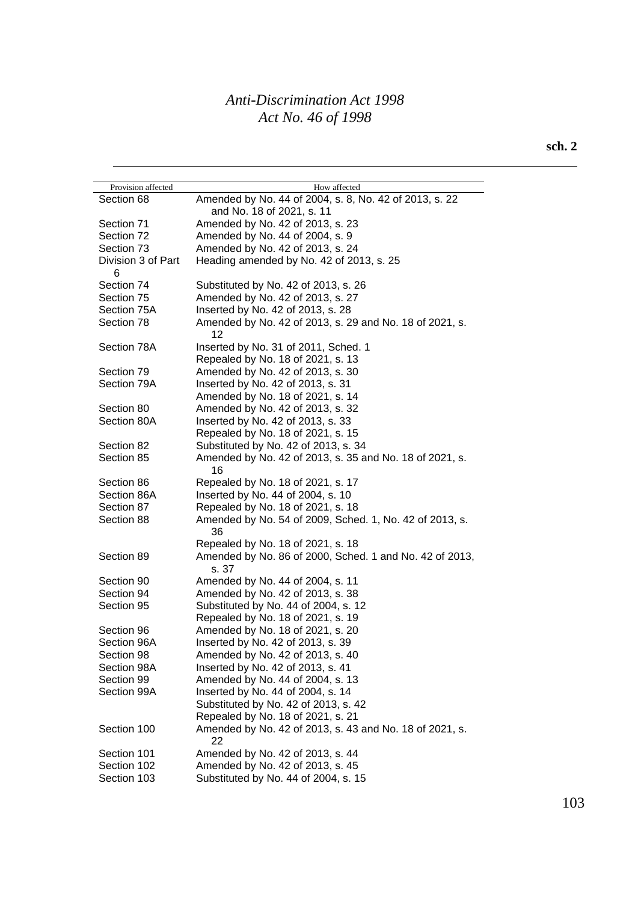### **sch. 2**

| Provision affected      | How affected                                                     |
|-------------------------|------------------------------------------------------------------|
| Section 68              | Amended by No. 44 of 2004, s. 8, No. 42 of 2013, s. 22           |
|                         | and No. 18 of 2021, s. 11                                        |
| Section 71              | Amended by No. 42 of 2013, s. 23                                 |
| Section 72              | Amended by No. 44 of 2004, s. 9                                  |
| Section 73              | Amended by No. 42 of 2013, s. 24                                 |
| Division 3 of Part<br>6 | Heading amended by No. 42 of 2013, s. 25                         |
| Section 74              | Substituted by No. 42 of 2013, s. 26                             |
| Section 75              | Amended by No. 42 of 2013, s. 27                                 |
| Section 75A             | Inserted by No. 42 of 2013, s. 28                                |
| Section 78              | Amended by No. 42 of 2013, s. 29 and No. 18 of 2021, s.<br>12    |
| Section 78A             | Inserted by No. 31 of 2011, Sched. 1                             |
|                         | Repealed by No. 18 of 2021, s. 13                                |
| Section 79              | Amended by No. 42 of 2013, s. 30                                 |
| Section 79A             | Inserted by No. 42 of 2013, s. 31                                |
|                         | Amended by No. 18 of 2021, s. 14                                 |
| Section 80              | Amended by No. 42 of 2013, s. 32                                 |
| Section 80A             | Inserted by No. 42 of 2013, s. 33                                |
|                         | Repealed by No. 18 of 2021, s. 15                                |
| Section 82              | Substituted by No. 42 of 2013, s. 34                             |
| Section 85              | Amended by No. 42 of 2013, s. 35 and No. 18 of 2021, s.          |
|                         | 16                                                               |
| Section 86              | Repealed by No. 18 of 2021, s. 17                                |
| Section 86A             | Inserted by No. 44 of 2004, s. 10                                |
| Section 87              | Repealed by No. 18 of 2021, s. 18                                |
| Section 88              | Amended by No. 54 of 2009, Sched. 1, No. 42 of 2013, s.<br>36    |
|                         | Repealed by No. 18 of 2021, s. 18                                |
| Section 89              | Amended by No. 86 of 2000, Sched. 1 and No. 42 of 2013,<br>s. 37 |
| Section 90              | Amended by No. 44 of 2004, s. 11                                 |
| Section 94              | Amended by No. 42 of 2013, s. 38                                 |
| Section 95              | Substituted by No. 44 of 2004, s. 12                             |
|                         | Repealed by No. 18 of 2021, s. 19                                |
| Section 96              | Amended by No. 18 of 2021, s. 20                                 |
| Section 96A             | Inserted by No. 42 of 2013, s. 39                                |
| Section 98              | Amended by No. 42 of 2013, s. 40                                 |
| Section 98A             | Inserted by No. 42 of 2013, s. 41                                |
| Section 99              | Amended by No. 44 of 2004, s. 13                                 |
| Section 99A             | Inserted by No. 44 of 2004, s. 14                                |
|                         | Substituted by No. 42 of 2013, s. 42                             |
|                         | Repealed by No. 18 of 2021, s. 21                                |
| Section 100             | Amended by No. 42 of 2013, s. 43 and No. 18 of 2021, s.          |
|                         | 22                                                               |
| Section 101             | Amended by No. 42 of 2013, s. 44                                 |
| Section 102             | Amended by No. 42 of 2013, s. 45                                 |
| Section 103             | Substituted by No. 44 of 2004, s. 15                             |
|                         |                                                                  |